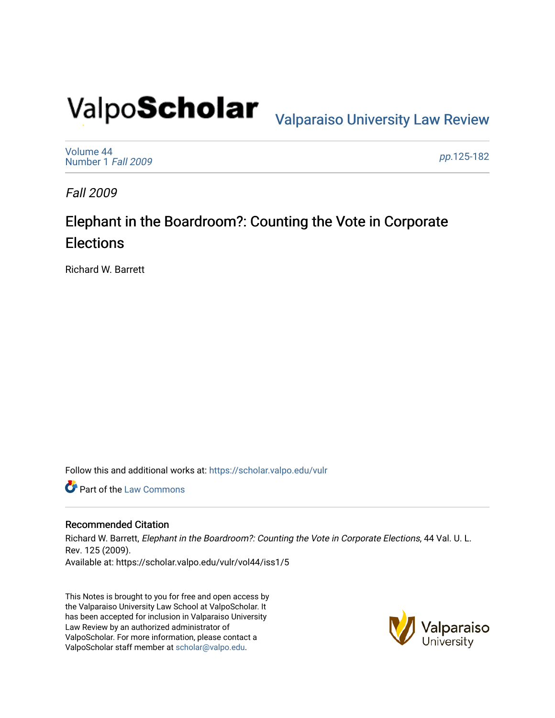# Valpo**Scholar** <sub>Valparaiso University Law Review</sub>

[Volume 44](https://scholar.valpo.edu/vulr/vol44) [Number 1](https://scholar.valpo.edu/vulr/vol44/iss1) Fall 2009

pp.[125-182](https://scholar.valpo.edu/vulr/vol44/iss1/5) 

Fall 2009

## Elephant in the Boardroom?: Counting the Vote in Corporate **Elections**

Richard W. Barrett

Follow this and additional works at: [https://scholar.valpo.edu/vulr](https://scholar.valpo.edu/vulr?utm_source=scholar.valpo.edu%2Fvulr%2Fvol44%2Fiss1%2F5&utm_medium=PDF&utm_campaign=PDFCoverPages)

**C** Part of the [Law Commons](http://network.bepress.com/hgg/discipline/578?utm_source=scholar.valpo.edu%2Fvulr%2Fvol44%2Fiss1%2F5&utm_medium=PDF&utm_campaign=PDFCoverPages)

## Recommended Citation

Richard W. Barrett, Elephant in the Boardroom?: Counting the Vote in Corporate Elections, 44 Val. U. L. Rev. 125 (2009). Available at: https://scholar.valpo.edu/vulr/vol44/iss1/5

This Notes is brought to you for free and open access by the Valparaiso University Law School at ValpoScholar. It has been accepted for inclusion in Valparaiso University Law Review by an authorized administrator of ValpoScholar. For more information, please contact a ValpoScholar staff member at [scholar@valpo.edu](mailto:scholar@valpo.edu).

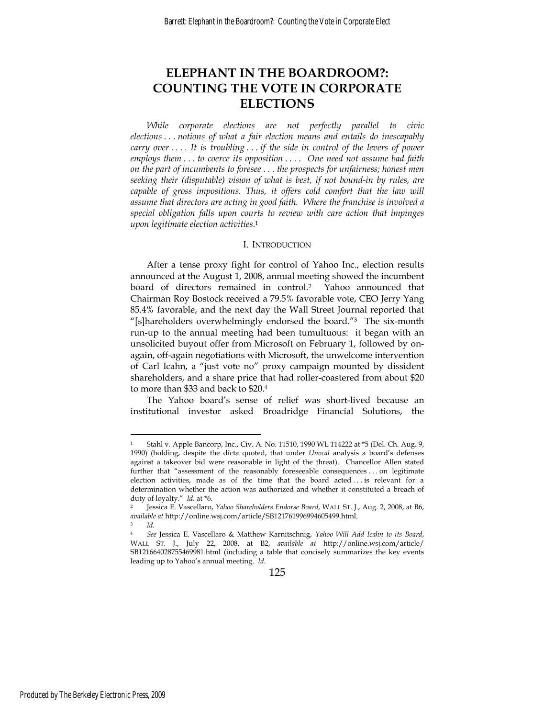## **ELEPHANT IN THE BOARDROOM?: COUNTING THE VOTE IN CORPORATE ELECTIONS**

*While corporate elections are not perfectly parallel to civic elections . . . notions of what a fair election means and entails do inescapably carry over ....* It is troubling ... if the side in control of the levers of power *employs them . . . to coerce its opposition . . . . One need not assume bad faith on the part of incumbents to foresee . . . the prospects for unfairness; honest men seeking their (disputable) vision of what is best, if not bound-in by rules, are capable of gross impositions. Thus, it offers cold comfort that the law will assume that directors are acting in good faith. Where the franchise is involved a special obligation falls upon courts to review with care action that impinges upon legitimate election activities*. 1

#### I. INTRODUCTION

After a tense proxy fight for control of Yahoo Inc., election results announced at the August 1, 2008, annual meeting showed the incumbent board of directors remained in control.2 Yahoo announced that Chairman Roy Bostock received a 79.5% favorable vote, CEO Jerry Yang 85.4% favorable, and the next day the Wall Street Journal reported that "[s]hareholders overwhelmingly endorsed the board."3 The six-month run-up to the annual meeting had been tumultuous: it began with an unsolicited buyout offer from Microsoft on February 1, followed by onagain, off-again negotiations with Microsoft, the unwelcome intervention of Carl Icahn, a "just vote no" proxy campaign mounted by dissident shareholders, and a share price that had roller-coastered from about \$20 to more than \$33 and back to \$20.4

The Yahoo board's sense of relief was short-lived because an institutional investor asked Broadridge Financial Solutions, the

125

Stahl v. Apple Bancorp, Inc., Civ. A. No. 11510, 1990 WL 114222 at \*5 (Del. Ch. Aug. 9, 1990) (holding, despite the dicta quoted, that under *Unocal* analysis a board's defenses against a takeover bid were reasonable in light of the threat). Chancellor Allen stated further that "assessment of the reasonably foreseeable consequences . . . on legitimate election activities, made as of the time that the board acted . . . is relevant for a determination whether the action was authorized and whether it constituted a breach of duty of loyalty." *Id.* at \*6.

<sup>2</sup> Jessica E. Vascellaro, *Yahoo Shareholders Endorse Board*, WALL ST. J., Aug. 2, 2008, at B6, *available at* http://online.wsj.com/article/SB121761996994605499.html. <sup>3</sup> *Id*.

<sup>4</sup> *See* Jessica E. Vascellaro & Matthew Karnitschnig, *Yahoo Will Add Icahn to its Board*, WALL ST. J., July 22, 2008, at B2, *available at* http://online.wsj.com/article/ SB121664028755469981.html (including a table that concisely summarizes the key events leading up to Yahoo's annual meeting. *Id*.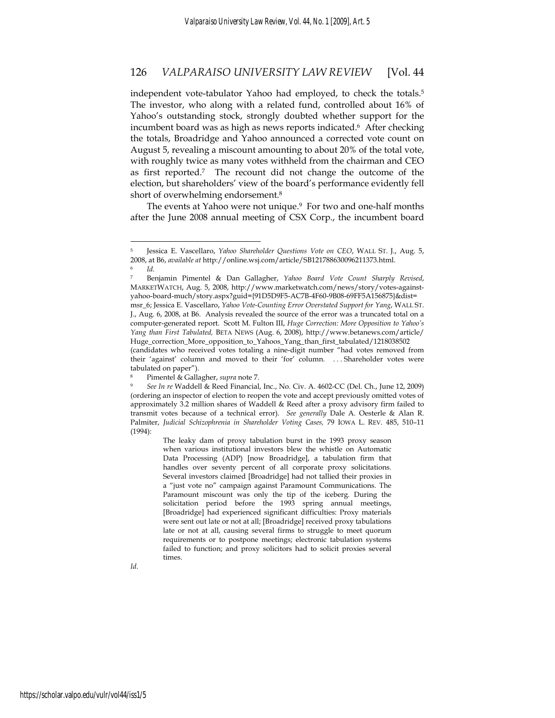independent vote-tabulator Yahoo had employed, to check the totals.5 The investor, who along with a related fund, controlled about 16% of Yahoo's outstanding stock, strongly doubted whether support for the incumbent board was as high as news reports indicated.<sup>6</sup> After checking the totals, Broadridge and Yahoo announced a corrected vote count on August 5, revealing a miscount amounting to about 20% of the total vote, with roughly twice as many votes withheld from the chairman and CEO as first reported.7 The recount did not change the outcome of the election, but shareholders' view of the board's performance evidently fell short of overwhelming endorsement.8

The events at Yahoo were not unique.<sup>9</sup> For two and one-half months after the June 2008 annual meeting of CSX Corp., the incumbent board

The leaky dam of proxy tabulation burst in the 1993 proxy season when various institutional investors blew the whistle on Automatic Data Processing (ADP) [now Broadridge], a tabulation firm that handles over seventy percent of all corporate proxy solicitations. Several investors claimed [Broadridge] had not tallied their proxies in a "just vote no" campaign against Paramount Communications. The Paramount miscount was only the tip of the iceberg. During the solicitation period before the 1993 spring annual meetings, [Broadridge] had experienced significant difficulties: Proxy materials were sent out late or not at all; [Broadridge] received proxy tabulations late or not at all, causing several firms to struggle to meet quorum requirements or to postpone meetings; electronic tabulation systems failed to function; and proxy solicitors had to solicit proxies several times.

*Id*.

<sup>5</sup> Jessica E. Vascellaro, *Yahoo Shareholder Questions Vote on CEO*, WALL ST. J., Aug. 5, 2008, at B6, *available at* http://online.wsj.com/article/SB121788630096211373.html.

<sup>6</sup> *Id*. 7 Benjamin Pimentel & Dan Gallagher, *Yahoo Board Vote Count Sharply Revised*, MARKETWATCH, Aug. 5, 2008, http://www.marketwatch.com/news/story/votes-againstyahoo-board-much/story.aspx?guid={91D5D9F5-AC7B-4F60-9B08-69FF5A156875}&dist= msr\_6; Jessica E. Vascellaro, *Yahoo Vote-Counting Error Overstated Support for Yang*, WALL ST. J., Aug. 6, 2008, at B6. Analysis revealed the source of the error was a truncated total on a computer-generated report. Scott M. Fulton III, *Huge Correction: More Opposition to Yahoo's Yang than First Tabulated,* BETA NEWS (Aug. 6, 2008), http://www.betanews.com/article/ Huge\_correction\_More\_opposition\_to\_Yahoos\_Yang\_than\_first\_tabulated/1218038502

<sup>(</sup>candidates who received votes totaling a nine-digit number "had votes removed from their 'against' column and moved to their 'for' column. . . . Shareholder votes were tabulated on paper").

<sup>8</sup> Pimentel & Gallagher, *supra* note 7. 9 *See In re* Waddell & Reed Financial, Inc., No. Civ. A. 4602-CC (Del. Ch., June 12, 2009) (ordering an inspector of election to reopen the vote and accept previously omitted votes of approximately 3.2 million shares of Waddell & Reed after a proxy advisory firm failed to transmit votes because of a technical error). *See generally* Dale A. Oesterle & Alan R. Palmiter, *Judicial Schizophrenia in Shareholder Voting Cases,* 79 IOWA L. REV. 485, 510–11 (1994):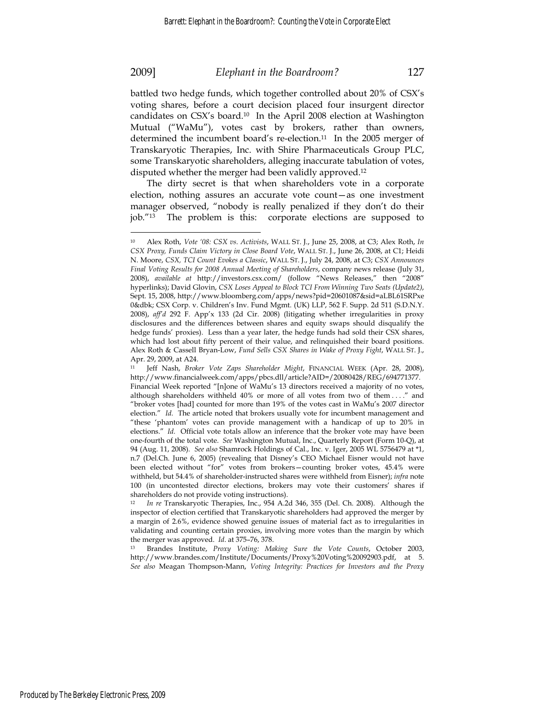battled two hedge funds, which together controlled about 20% of CSX's voting shares, before a court decision placed four insurgent director candidates on CSX's board.10 In the April 2008 election at Washington Mutual ("WaMu"), votes cast by brokers, rather than owners, determined the incumbent board's re-election.<sup>11</sup> In the 2005 merger of Transkaryotic Therapies, Inc. with Shire Pharmaceuticals Group PLC, some Transkaryotic shareholders, alleging inaccurate tabulation of votes, disputed whether the merger had been validly approved.12

The dirty secret is that when shareholders vote in a corporate election, nothing assures an accurate vote count—as one investment manager observed, "nobody is really penalized if they don't do their job."13 The problem is this: corporate elections are supposed to

shareholders do not provide voting instructions).

13 Brandes Institute, *Proxy Voting: Making Sure the Vote Counts*, October 2003, http://www.brandes.com/Institute/Documents/Proxy%20Voting%20092903.pdf, at 5. *See also* Meagan Thompson-Mann, *Voting Integrity: Practices for Investors and the Proxy* 

<sup>10</sup> Alex Roth, *Vote '08: CSX vs. Activists*, WALL ST. J., June 25, 2008, at C3; Alex Roth, *In CSX Proxy, Funds Claim Victory in Close Board Vote*, WALL ST. J., June 26, 2008, at C1; Heidi N. Moore, *CSX, TCI Count Evokes a Classic*, WALL ST. J., July 24, 2008, at C3; *CSX Announces Final Voting Results for 2008 Annual Meeting of Shareholders*, company news release (July 31, 2008), *available at* http://investors.csx.com/ (follow "News Releases," then "2008" hyperlinks); David Glovin, *CSX Loses Appeal to Block TCI From Winning Two Seats (Update2)*, Sept. 15, 2008, http://www.bloomberg.com/apps/news?pid=20601087&sid=aLBL61SRPxe 0&dbk; CSX Corp. v. Children's Inv. Fund Mgmt. (UK) LLP, 562 F. Supp. 2d 511 (S.D.N.Y. 2008), *aff'd* 292 F. App'x 133 (2d Cir. 2008) (litigating whether irregularities in proxy disclosures and the differences between shares and equity swaps should disqualify the hedge funds' proxies). Less than a year later, the hedge funds had sold their CSX shares, which had lost about fifty percent of their value, and relinquished their board positions. Alex Roth & Cassell Bryan-Low, *Fund Sells CSX Shares in Wake of Proxy Fight*, WALL ST. J., Apr. 29, 2009, at A24.

<sup>11</sup> Jeff Nash, *Broker Vote Zaps Shareholder Might*, FINANCIAL WEEK (Apr. 28, 2008), http://www.financialweek.com/apps/pbcs.dll/article?AID=/20080428/REG/694771377. Financial Week reported "[n]one of WaMu's 13 directors received a majority of no votes, although shareholders withheld 40% or more of all votes from two of them . . . ." and "broker votes [had] counted for more than 19% of the votes cast in WaMu's 2007 director election." *Id.* The article noted that brokers usually vote for incumbent management and "these 'phantom' votes can provide management with a handicap of up to 20% in elections." *Id.* Official vote totals allow an inference that the broker vote may have been one-fourth of the total vote. *See* Washington Mutual, Inc., Quarterly Report (Form 10-Q), at 94 (Aug. 11, 2008). *See also* Shamrock Holdings of Cal., Inc. v. Iger, 2005 WL 5756479 at \*1, n.7 (Del.Ch. June 6, 2005) (revealing that Disney's CEO Michael Eisner would not have been elected without "for" votes from brokers—counting broker votes, 45.4% were withheld, but 54.4% of shareholder-instructed shares were withheld from Eisner); *infra* note 100 (in uncontested director elections, brokers may vote their customers' shares if

<sup>12</sup> *In re* Transkaryotic Therapies, Inc., 954 A.2d 346, 355 (Del. Ch. 2008). Although the inspector of election certified that Transkaryotic shareholders had approved the merger by a margin of 2.6%, evidence showed genuine issues of material fact as to irregularities in validating and counting certain proxies, involving more votes than the margin by which the merger was approved. *Id*. at 375–76, 378.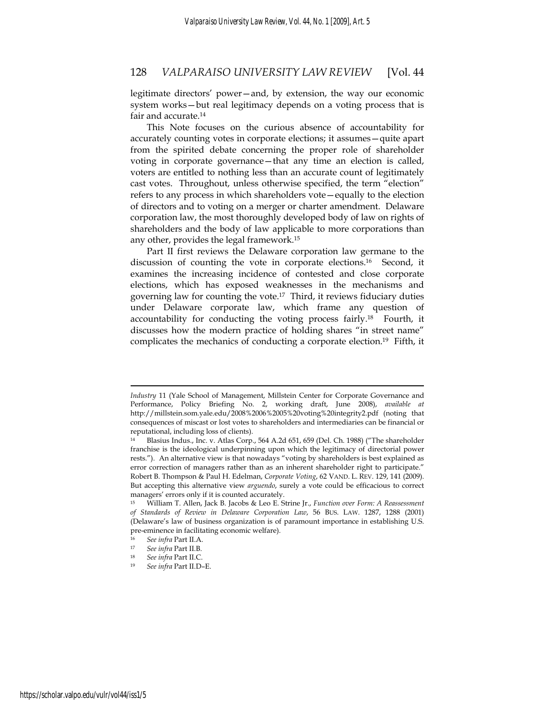legitimate directors' power—and, by extension, the way our economic system works—but real legitimacy depends on a voting process that is fair and accurate.14

This Note focuses on the curious absence of accountability for accurately counting votes in corporate elections; it assumes—quite apart from the spirited debate concerning the proper role of shareholder voting in corporate governance—that any time an election is called, voters are entitled to nothing less than an accurate count of legitimately cast votes. Throughout, unless otherwise specified, the term "election" refers to any process in which shareholders vote—equally to the election of directors and to voting on a merger or charter amendment. Delaware corporation law, the most thoroughly developed body of law on rights of shareholders and the body of law applicable to more corporations than any other, provides the legal framework.15

Part II first reviews the Delaware corporation law germane to the discussion of counting the vote in corporate elections.16 Second, it examines the increasing incidence of contested and close corporate elections, which has exposed weaknesses in the mechanisms and governing law for counting the vote.17 Third, it reviews fiduciary duties under Delaware corporate law, which frame any question of accountability for conducting the voting process fairly.18 Fourth, it discusses how the modern practice of holding shares "in street name" complicates the mechanics of conducting a corporate election.19 Fifth, it

*Industry* 11 (Yale School of Management, Millstein Center for Corporate Governance and Performance, Policy Briefing No. 2, working draft, June 2008), *available at* http://millstein.som.yale.edu/2008%2006%2005%20voting%20integrity2.pdf (noting that consequences of miscast or lost votes to shareholders and intermediaries can be financial or reputational, including loss of clients).

<sup>14</sup> Blasius Indus., Inc. v. Atlas Corp., 564 A.2d 651, 659 (Del. Ch. 1988) ("The shareholder franchise is the ideological underpinning upon which the legitimacy of directorial power rests."). An alternative view is that nowadays "voting by shareholders is best explained as error correction of managers rather than as an inherent shareholder right to participate." Robert B. Thompson & Paul H. Edelman, *Corporate Voting*, 62 VAND. L. REV. 129, 141 (2009). But accepting this alternative view *arguendo*, surely a vote could be efficacious to correct managers' errors only if it is counted accurately.

<sup>15</sup> William T. Allen, Jack B. Jacobs & Leo E. Strine Jr., *Function over Form: A Reassessment of Standards of Review in Delaware Corporation Law*, 56 BUS. LAW. 1287, 1288 (2001) (Delaware's law of business organization is of paramount importance in establishing U.S. pre-eminence in facilitating economic welfare).

<sup>16</sup> *See infra* Part II.A. 17 *See infra* Part II.B.

<sup>18</sup> *See infra* Part II.C. 19 *See infra* Part II.D–E.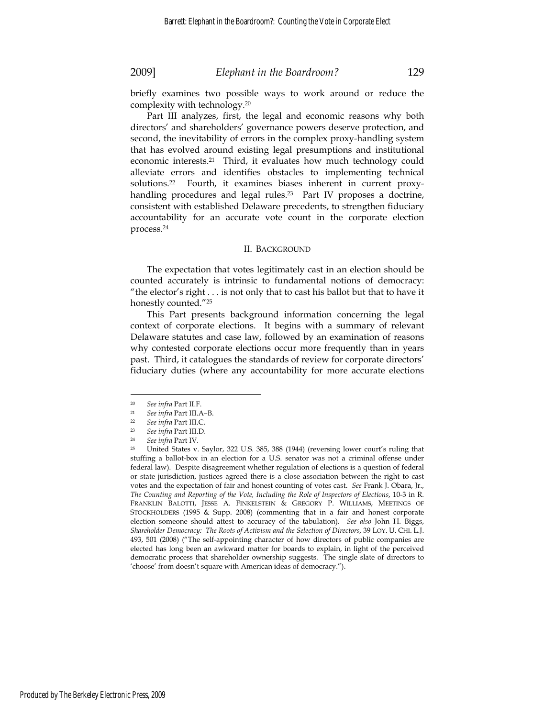briefly examines two possible ways to work around or reduce the complexity with technology.20

Part III analyzes, first, the legal and economic reasons why both directors' and shareholders' governance powers deserve protection, and second, the inevitability of errors in the complex proxy-handling system that has evolved around existing legal presumptions and institutional economic interests.21 Third, it evaluates how much technology could alleviate errors and identifies obstacles to implementing technical solutions.<sup>22</sup> Fourth, it examines biases inherent in current proxyhandling procedures and legal rules.<sup>23</sup> Part IV proposes a doctrine, consistent with established Delaware precedents, to strengthen fiduciary accountability for an accurate vote count in the corporate election process.24

#### II. BACKGROUND

The expectation that votes legitimately cast in an election should be counted accurately is intrinsic to fundamental notions of democracy: "the elector's right . . . is not only that to cast his ballot but that to have it honestly counted."25

This Part presents background information concerning the legal context of corporate elections. It begins with a summary of relevant Delaware statutes and case law, followed by an examination of reasons why contested corporate elections occur more frequently than in years past. Third, it catalogues the standards of review for corporate directors' fiduciary duties (where any accountability for more accurate elections

<sup>20</sup> *See infra* Part II.F.

<sup>21</sup> *See infra* Part III.A–B. 22 *See infra* Part III.C.

<sup>23</sup> *See infra* Part III.D.

<sup>&</sup>lt;sup>24</sup> See infra Part IV.<br><sup>25</sup> United States v. Saylor, 322 U.S. 385, 388 (1944) (reversing lower court's ruling that stuffing a ballot-box in an election for a U.S. senator was not a criminal offense under federal law). Despite disagreement whether regulation of elections is a question of federal or state jurisdiction, justices agreed there is a close association between the right to cast votes and the expectation of fair and honest counting of votes cast. *See* Frank J. Obara, Jr., *The Counting and Reporting of the Vote, Including the Role of Inspectors of Elections*, 10-3 in R. FRANKLIN BALOTTI, JESSE A. FINKELSTEIN & GREGORY P. WILLIAMS, MEETINGS OF STOCKHOLDERS (1995 & Supp. 2008) (commenting that in a fair and honest corporate election someone should attest to accuracy of the tabulation). *See also* John H. Biggs, *Shareholder Democracy: The Roots of Activism and the Selection of Directors*, 39 LOY. U. CHI. L.J. 493, 501 (2008) ("The self-appointing character of how directors of public companies are elected has long been an awkward matter for boards to explain, in light of the perceived democratic process that shareholder ownership suggests. The single slate of directors to 'choose' from doesn't square with American ideas of democracy.").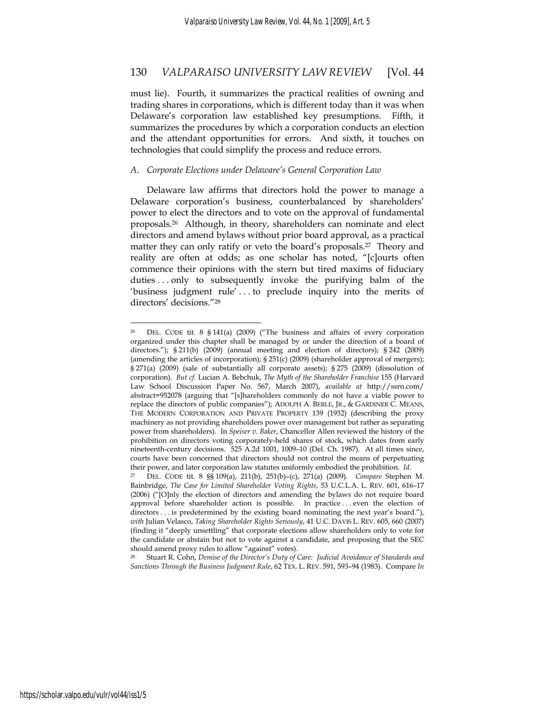must lie). Fourth, it summarizes the practical realities of owning and trading shares in corporations, which is different today than it was when Delaware's corporation law established key presumptions. Fifth, it summarizes the procedures by which a corporation conducts an election and the attendant opportunities for errors. And sixth, it touches on technologies that could simplify the process and reduce errors.

#### *A. Corporate Elections under Delaware's General Corporation Law*

Delaware law affirms that directors hold the power to manage a Delaware corporation's business, counterbalanced by shareholders' power to elect the directors and to vote on the approval of fundamental proposals.26 Although, in theory, shareholders can nominate and elect directors and amend bylaws without prior board approval, as a practical matter they can only ratify or veto the board's proposals.<sup>27</sup> Theory and reality are often at odds; as one scholar has noted, "[c]ourts often commence their opinions with the stern but tired maxims of fiduciary duties . . . only to subsequently invoke the purifying balm of the 'business judgment rule' . . . to preclude inquiry into the merits of directors' decisions."28

<sup>26</sup> DEL. CODE tit. 8 § 141(a) (2009) ("The business and affairs of every corporation organized under this chapter shall be managed by or under the direction of a board of directors."); § 211(b) (2009) (annual meeting and election of directors); § 242 (2009) (amending the articles of incorporation); § 251(c) (2009) (shareholder approval of mergers); § 271(a) (2009) (sale of substantially all corporate assets); § 275 (2009) (dissolution of corporation). *But cf.* Lucian A. Bebchuk, *The Myth of the Shareholder Franchise* 155 (Harvard Law School Discussion Paper No. 567, March 2007), *available at* http://ssrn.com/ abstract=952078 (arguing that "[s]hareholders commonly do not have a viable power to replace the directors of public companies"); ADOLPH A. BERLE, JR., & GARDINER C. MEANS, THE MODERN CORPORATION AND PRIVATE PROPERTY 139 (1932) (describing the proxy machinery as not providing shareholders power over management but rather as separating power from shareholders). In *Speiser v. Baker*, Chancellor Allen reviewed the history of the prohibition on directors voting corporately-held shares of stock, which dates from early nineteenth-century decisions. 525 A.2d 1001, 1009–10 (Del. Ch. 1987). At all times since, courts have been concerned that directors should not control the means of perpetuating their power, and later corporation law statutes uniformly embodied the prohibition. *Id*. 27 DEL. CODE tit. 8 §§ 109(a), 211(b), 251(b)–(c), 271(a) (2009). *Compare* Stephen M.

Bainbridge, *The Case for Limited Shareholder Voting Rights*, 53 U.C.L.A. L. REV. 601, 616–17 (2006) ("[O]nly the election of directors and amending the bylaws do not require board approval before shareholder action is possible. In practice . . . even the election of directors . . . is predetermined by the existing board nominating the next year's board."), *with* Julian Velasco, *Taking Shareholder Rights Seriously*, 41 U.C. DAVIS L. REV. 605, 660 (2007) (finding it "deeply unsettling" that corporate elections allow shareholders only to vote for the candidate or abstain but not to vote against a candidate, and proposing that the SEC should amend proxy rules to allow "against" votes).

<sup>28</sup> Stuart R. Cohn, *Demise of the Director's Duty of Care: Judicial Avoidance of Standards and Sanctions Through the Business Judgment Rule*, 62 TEX. L. REV. 591, 593–94 (1983). Compare *In*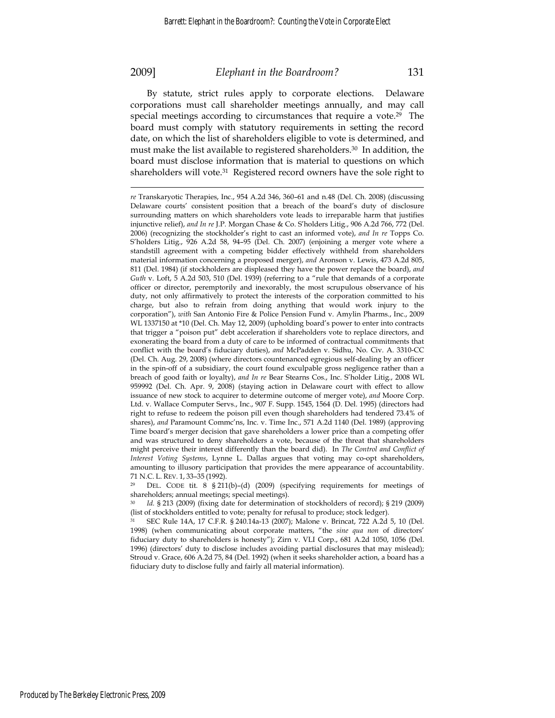#### 2009] *Elephant in the Boardroom?* 131

By statute, strict rules apply to corporate elections. Delaware corporations must call shareholder meetings annually, and may call special meetings according to circumstances that require a vote.29 The board must comply with statutory requirements in setting the record date, on which the list of shareholders eligible to vote is determined, and must make the list available to registered shareholders.30 In addition, the board must disclose information that is material to questions on which shareholders will vote.31 Registered record owners have the sole right to

29 DEL. CODE tit. 8 § 211(b)–(d) (2009) (specifying requirements for meetings of shareholders; annual meetings; special meetings).

Id. § 213 (2009) (fixing date for determination of stockholders of record); § 219 (2009) (list of stockholders entitled to vote; penalty for refusal to produce; stock ledger).

31 SEC Rule 14A, 17 C.F.R. § 240.14a-13 (2007); Malone v. Brincat, 722 A.2d 5, 10 (Del. 1998) (when communicating about corporate matters, "the *sine qua non* of directors' fiduciary duty to shareholders is honesty"); Zirn v. VLI Corp., 681 A.2d 1050, 1056 (Del. 1996) (directors' duty to disclose includes avoiding partial disclosures that may mislead); Stroud v. Grace, 606 A.2d 75, 84 (Del. 1992) (when it seeks shareholder action, a board has a fiduciary duty to disclose fully and fairly all material information).

*re* Transkaryotic Therapies, Inc., 954 A.2d 346, 360–61 and n.48 (Del. Ch. 2008) (discussing Delaware courts' consistent position that a breach of the board's duty of disclosure surrounding matters on which shareholders vote leads to irreparable harm that justifies injunctive relief), *and In re* J.P. Morgan Chase & Co. S'holders Litig., 906 A.2d 766, 772 (Del. 2006) (recognizing the stockholder's right to cast an informed vote), *and In re* Topps Co. S'holders Litig., 926 A.2d 58, 94–95 (Del. Ch. 2007) (enjoining a merger vote where a standstill agreement with a competing bidder effectively withheld from shareholders material information concerning a proposed merger), *and* Aronson v. Lewis, 473 A.2d 805, 811 (Del. 1984) (if stockholders are displeased they have the power replace the board), *and Guth* v. Loft, 5 A.2d 503, 510 (Del. 1939) (referring to a "rule that demands of a corporate officer or director, peremptorily and inexorably, the most scrupulous observance of his duty, not only affirmatively to protect the interests of the corporation committed to his charge, but also to refrain from doing anything that would work injury to the corporation"), *with* San Antonio Fire & Police Pension Fund v. Amylin Pharms., Inc., 2009 WL 1337150 at \*10 (Del. Ch. May 12, 2009) (upholding board's power to enter into contracts that trigger a "poison put" debt acceleration if shareholders vote to replace directors, and exonerating the board from a duty of care to be informed of contractual commitments that conflict with the board's fiduciary duties), *and* McPadden v. Sidhu, No. Civ. A. 3310-CC (Del. Ch. Aug. 29, 2008) (where directors countenanced egregious self-dealing by an officer in the spin-off of a subsidiary, the court found exculpable gross negligence rather than a breach of good faith or loyalty), *and In re* Bear Stearns Cos., Inc. S'holder Litig., 2008 WL 959992 (Del. Ch. Apr. 9, 2008) (staying action in Delaware court with effect to allow issuance of new stock to acquirer to determine outcome of merger vote), *and* Moore Corp. Ltd. v. Wallace Computer Servs., Inc., 907 F. Supp. 1545, 1564 (D. Del. 1995) (directors had right to refuse to redeem the poison pill even though shareholders had tendered 73.4% of shares), *and* Paramount Commc'ns, Inc. v. Time Inc., 571 A.2d 1140 (Del. 1989) (approving Time board's merger decision that gave shareholders a lower price than a competing offer and was structured to deny shareholders a vote, because of the threat that shareholders might perceive their interest differently than the board did). In *The Control and Conflict of Interest Voting Systems*, Lynne L. Dallas argues that voting may co-opt shareholders, amounting to illusory participation that provides the mere appearance of accountability. 71 N.C. L. REV. 1, 33–35 (1992).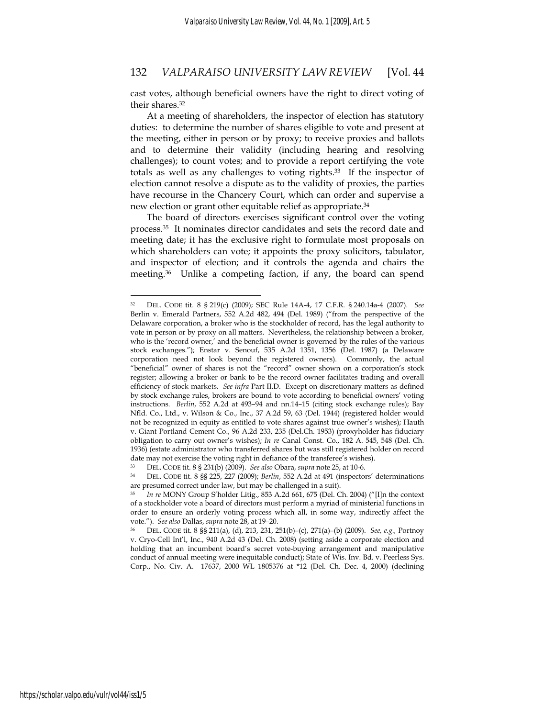cast votes, although beneficial owners have the right to direct voting of their shares.32

At a meeting of shareholders, the inspector of election has statutory duties: to determine the number of shares eligible to vote and present at the meeting, either in person or by proxy; to receive proxies and ballots and to determine their validity (including hearing and resolving challenges); to count votes; and to provide a report certifying the vote totals as well as any challenges to voting rights.33 If the inspector of election cannot resolve a dispute as to the validity of proxies, the parties have recourse in the Chancery Court, which can order and supervise a new election or grant other equitable relief as appropriate.34

The board of directors exercises significant control over the voting process.35 It nominates director candidates and sets the record date and meeting date; it has the exclusive right to formulate most proposals on which shareholders can vote; it appoints the proxy solicitors, tabulator, and inspector of election; and it controls the agenda and chairs the meeting.36 Unlike a competing faction, if any, the board can spend

<sup>32</sup> DEL. CODE tit. 8 § 219(c) (2009); SEC Rule 14A-4, 17 C.F.R. § 240.14a-4 (2007). *See*  Berlin v. Emerald Partners, 552 A.2d 482, 494 (Del. 1989) ("from the perspective of the Delaware corporation, a broker who is the stockholder of record, has the legal authority to vote in person or by proxy on all matters. Nevertheless, the relationship between a broker, who is the 'record owner,' and the beneficial owner is governed by the rules of the various stock exchanges."); Enstar v. Senouf, 535 A.2d 1351, 1356 (Del. 1987) (a Delaware corporation need not look beyond the registered owners). Commonly, the actual "beneficial" owner of shares is not the "record" owner shown on a corporation's stock register; allowing a broker or bank to be the record owner facilitates trading and overall efficiency of stock markets. *See infra* Part II.D. Except on discretionary matters as defined by stock exchange rules, brokers are bound to vote according to beneficial owners' voting instructions. *Berlin*, 552 A.2d at 493–94 and nn.14–15 (citing stock exchange rules); Bay Nfld. Co., Ltd., v. Wilson & Co., Inc., 37 A.2d 59, 63 (Del. 1944) (registered holder would not be recognized in equity as entitled to vote shares against true owner's wishes); Hauth v. Giant Portland Cement Co., 96 A.2d 233, 235 (Del.Ch. 1953) (proxyholder has fiduciary obligation to carry out owner's wishes); *In re* Canal Const. Co., 182 A. 545, 548 (Del. Ch. 1936) (estate administrator who transferred shares but was still registered holder on record date may not exercise the voting right in defiance of the transferee's wishes).

<sup>33</sup> DEL. CODE tit. 8 § 231(b) (2009). *See also* Obara, *supra* note 25, at 10-6. 34 DEL. CODE tit. 8 §§ 225, 227 (2009); *Berlin*, 552 A.2d at 491 (inspectors' determinations are presumed correct under law, but may be challenged in a suit).

<sup>35</sup> *In re* MONY Group S'holder Litig., 853 A.2d 661, 675 (Del. Ch. 2004) ("[I]n the context of a stockholder vote a board of directors must perform a myriad of ministerial functions in order to ensure an orderly voting process which all, in some way, indirectly affect the vote."). *See also* Dallas, *supra* note 28, at 19–20.

<sup>36</sup> DEL. CODE tit. 8 §§ 211(a), (d), 213, 231, 251(b)–(c), 271(a)–(b) (2009). *See, e.g.,* Portnoy v. Cryo-Cell Int'l, Inc., 940 A.2d 43 (Del. Ch. 2008) (setting aside a corporate election and holding that an incumbent board's secret vote-buying arrangement and manipulative conduct of annual meeting were inequitable conduct); State of Wis. Inv. Bd. v. Peerless Sys. Corp., No. Civ. A. 17637, 2000 WL 1805376 at \*12 (Del. Ch. Dec. 4, 2000) (declining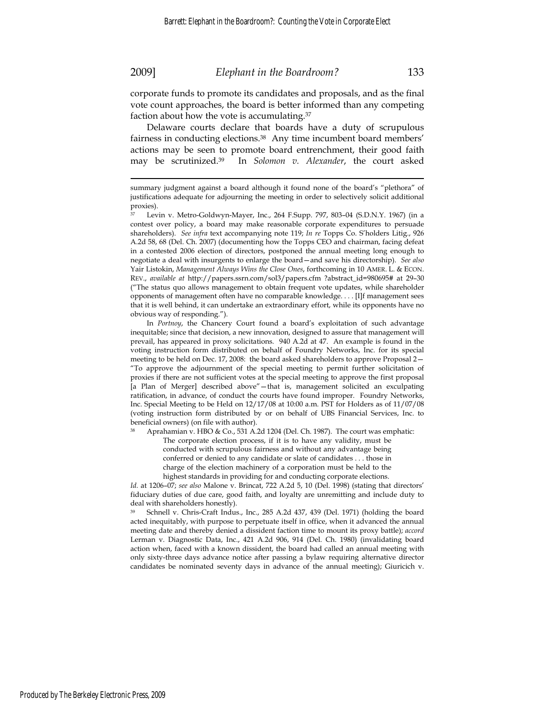corporate funds to promote its candidates and proposals, and as the final vote count approaches, the board is better informed than any competing faction about how the vote is accumulating.37

Delaware courts declare that boards have a duty of scrupulous fairness in conducting elections.<sup>38</sup> Any time incumbent board members' actions may be seen to promote board entrenchment, their good faith may be scrutinized.39 In *Solomon v. Alexander*, the court asked

 In *Portnoy*, the Chancery Court found a board's exploitation of such advantage inequitable; since that decision, a new innovation, designed to assure that management will prevail, has appeared in proxy solicitations. 940 A.2d at 47. An example is found in the voting instruction form distributed on behalf of Foundry Networks, Inc. for its special meeting to be held on Dec. 17, 2008: the board asked shareholders to approve Proposal 2— "To approve the adjournment of the special meeting to permit further solicitation of proxies if there are not sufficient votes at the special meeting to approve the first proposal [a Plan of Merger] described above"—that is, management solicited an exculpating ratification, in advance, of conduct the courts have found improper. Foundry Networks, Inc. Special Meeting to be Held on 12/17/08 at 10:00 a.m. PST for Holders as of 11/07/08 (voting instruction form distributed by or on behalf of UBS Financial Services, Inc. to beneficial owners) (on file with author).

Aprahamian v. HBO & Co., 531 A.2d 1204 (Del. Ch. 1987). The court was emphatic: The corporate election process, if it is to have any validity, must be conducted with scrupulous fairness and without any advantage being conferred or denied to any candidate or slate of candidates . . . those in charge of the election machinery of a corporation must be held to the highest standards in providing for and conducting corporate elections.

*Id.* at 1206–07; *see also* Malone v. Brincat, 722 A.2d 5, 10 (Del. 1998) (stating that directors' fiduciary duties of due care, good faith, and loyalty are unremitting and include duty to deal with shareholders honestly).

39 Schnell v. Chris-Craft Indus., Inc., 285 A.2d 437, 439 (Del. 1971) (holding the board acted inequitably, with purpose to perpetuate itself in office, when it advanced the annual meeting date and thereby denied a dissident faction time to mount its proxy battle); *accord* Lerman v. Diagnostic Data, Inc., 421 A.2d 906, 914 (Del. Ch. 1980) (invalidating board action when, faced with a known dissident, the board had called an annual meeting with only sixty-three days advance notice after passing a bylaw requiring alternative director candidates be nominated seventy days in advance of the annual meeting); Giuricich v.

summary judgment against a board although it found none of the board's "plethora" of justifications adequate for adjourning the meeting in order to selectively solicit additional proxies).

<sup>37</sup> Levin v. Metro-Goldwyn-Mayer, Inc., 264 F.Supp. 797, 803–04 (S.D.N.Y. 1967) (in a contest over policy, a board may make reasonable corporate expenditures to persuade shareholders). *See infra* text accompanying note 119; *In re* Topps Co. S'holders Litig., 926 A.2d 58, 68 (Del. Ch. 2007) (documenting how the Topps CEO and chairman, facing defeat in a contested 2006 election of directors, postponed the annual meeting long enough to negotiate a deal with insurgents to enlarge the board—and save his directorship). *See also* Yair Listokin, *Management Always Wins the Close Ones*, forthcoming in 10 AMER. L. & ECON. REV., *available at* http://papers.ssrn.com/sol3/papers.cfm ?abstract\_id=980695# at 29–30 ("The status quo allows management to obtain frequent vote updates, while shareholder opponents of management often have no comparable knowledge. . . . [I]f management sees that it is well behind, it can undertake an extraordinary effort, while its opponents have no obvious way of responding.").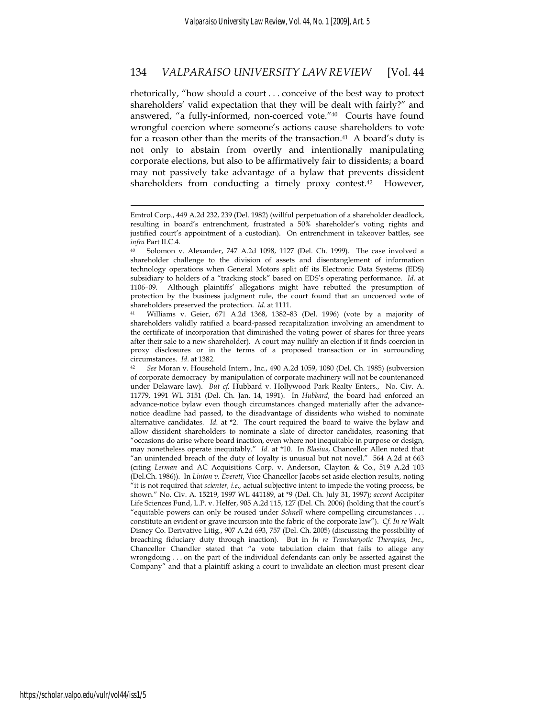rhetorically, "how should a court . . . conceive of the best way to protect shareholders' valid expectation that they will be dealt with fairly?" and answered, "a fully-informed, non-coerced vote."40 Courts have found wrongful coercion where someone's actions cause shareholders to vote for a reason other than the merits of the transaction.<sup>41</sup> A board's duty is not only to abstain from overtly and intentionally manipulating corporate elections, but also to be affirmatively fair to dissidents; a board may not passively take advantage of a bylaw that prevents dissident shareholders from conducting a timely proxy contest.<sup>42</sup> However,

Emtrol Corp., 449 A.2d 232, 239 (Del. 1982) (willful perpetuation of a shareholder deadlock, resulting in board's entrenchment, frustrated a 50% shareholder's voting rights and justified court's appointment of a custodian). On entrenchment in takeover battles, see *infra* Part II.C.4.

<sup>40</sup> Solomon v. Alexander, 747 A.2d 1098, 1127 (Del. Ch. 1999). The case involved a shareholder challenge to the division of assets and disentanglement of information technology operations when General Motors split off its Electronic Data Systems (EDS) subsidiary to holders of a "tracking stock" based on EDS's operating performance. *Id.* at 1106–09. Although plaintiffs' allegations might have rebutted the presumption of protection by the business judgment rule, the court found that an uncoerced vote of shareholders preserved the protection. *Id.* at 1111.

<sup>41</sup> Williams v. Geier, 671 A.2d 1368, 1382–83 (Del. 1996) (vote by a majority of shareholders validly ratified a board-passed recapitalization involving an amendment to the certificate of incorporation that diminished the voting power of shares for three years after their sale to a new shareholder). A court may nullify an election if it finds coercion in proxy disclosures or in the terms of a proposed transaction or in surrounding circumstances. *Id*. at 1382.

<sup>42</sup> *See* Moran v. Household Intern., Inc., 490 A.2d 1059, 1080 (Del. Ch. 1985) (subversion of corporate democracy by manipulation of corporate machinery will not be countenanced under Delaware law). *But cf.* Hubbard v. Hollywood Park Realty Enters., No. Civ. A. 11779, 1991 WL 3151 (Del. Ch. Jan. 14, 1991). In *Hubbard*, the board had enforced an advance-notice bylaw even though circumstances changed materially after the advancenotice deadline had passed, to the disadvantage of dissidents who wished to nominate alternative candidates. *Id*. at \*2. The court required the board to waive the bylaw and allow dissident shareholders to nominate a slate of director candidates, reasoning that "occasions do arise where board inaction, even where not inequitable in purpose or design, may nonetheless operate inequitably." *Id.* at \*10. In *Blasius*, Chancellor Allen noted that "an unintended breach of the duty of loyalty is unusual but not novel." 564 A.2d at 663 (citing *Lerman* and AC Acquisitions Corp. v. Anderson, Clayton & Co., 519 A.2d 103 (Del.Ch. 1986)). In *Linton v. Everett*, Vice Chancellor Jacobs set aside election results, noting "it is not required that *scienter, i.e.,* actual subjective intent to impede the voting process, be shown." No. Civ. A. 15219, 1997 WL 441189, at \*9 (Del. Ch. July 31, 1997); *accord* Accipiter Life Sciences Fund, L.P. v. Helfer, 905 A.2d 115, 127 (Del. Ch. 2006) (holding that the court's "equitable powers can only be roused under *Schnell* where compelling circumstances . . . constitute an evident or grave incursion into the fabric of the corporate law"). *Cf. In re* Walt Disney Co. Derivative Litig., 907 A.2d 693, 757 (Del. Ch. 2005) (discussing the possibility of breaching fiduciary duty through inaction). But in *In re Transkaryotic Therapies, Inc.*, Chancellor Chandler stated that "a vote tabulation claim that fails to allege any wrongdoing . . . on the part of the individual defendants can only be asserted against the Company" and that a plaintiff asking a court to invalidate an election must present clear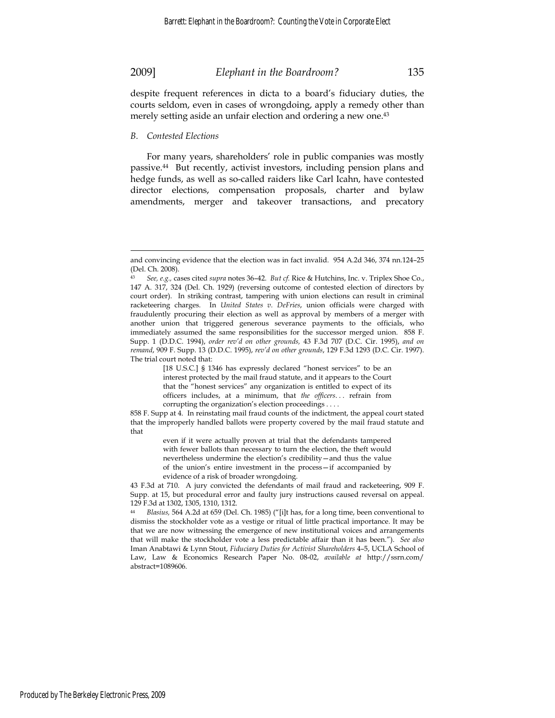#### 2009] *Elephant in the Boardroom?* 135

despite frequent references in dicta to a board's fiduciary duties, the courts seldom, even in cases of wrongdoing, apply a remedy other than merely setting aside an unfair election and ordering a new one.<sup>43</sup>

#### *B. Contested Elections*

 $\overline{a}$ 

For many years, shareholders' role in public companies was mostly passive.44 But recently, activist investors, including pension plans and hedge funds, as well as so-called raiders like Carl Icahn, have contested director elections, compensation proposals, charter and bylaw amendments, merger and takeover transactions, and precatory

[18 U.S.C.] § 1346 has expressly declared "honest services" to be an interest protected by the mail fraud statute, and it appears to the Court that the "honest services" any organization is entitled to expect of its officers includes, at a minimum, that *the officers*. . . refrain from corrupting the organization's election proceedings . . . .

even if it were actually proven at trial that the defendants tampered with fewer ballots than necessary to turn the election, the theft would nevertheless undermine the election's credibility—and thus the value of the union's entire investment in the process—if accompanied by evidence of a risk of broader wrongdoing.

and convincing evidence that the election was in fact invalid. 954 A.2d 346, 374 nn.124–25 (Del. Ch. 2008).

<sup>43</sup> *See, e.g.,* cases cited *supra* notes 36–42. *But cf.* Rice & Hutchins, Inc. v. Triplex Shoe Co., 147 A. 317, 324 (Del. Ch. 1929) (reversing outcome of contested election of directors by court order). In striking contrast, tampering with union elections can result in criminal racketeering charges. In *United States v. DeFries*, union officials were charged with fraudulently procuring their election as well as approval by members of a merger with another union that triggered generous severance payments to the officials, who immediately assumed the same responsibilities for the successor merged union. 858 F. Supp. 1 (D.D.C. 1994), *order rev'd on other grounds,* 43 F.3d 707 (D.C. Cir. 1995), *and on remand*, 909 F. Supp. 13 (D.D.C. 1995), *rev'd on other grounds*, 129 F.3d 1293 (D.C. Cir. 1997). The trial court noted that:

<sup>858</sup> F. Supp at 4. In reinstating mail fraud counts of the indictment, the appeal court stated that the improperly handled ballots were property covered by the mail fraud statute and that

<sup>43</sup> F.3d at 710. A jury convicted the defendants of mail fraud and racketeering, 909 F. Supp. at 15, but procedural error and faulty jury instructions caused reversal on appeal. 129 F.3d at 1302, 1305, 1310, 1312.

<sup>44</sup> *Blasius,* 564 A.2d at 659 (Del. Ch. 1985) ("[i]t has, for a long time, been conventional to dismiss the stockholder vote as a vestige or ritual of little practical importance. It may be that we are now witnessing the emergence of new institutional voices and arrangements that will make the stockholder vote a less predictable affair than it has been."). *See also* Iman Anabtawi & Lynn Stout, *Fiduciary Duties for Activist Shareholders* 4–5, UCLA School of Law, Law & Economics Research Paper No. 08-02, *available at* http://ssrn.com/ abstract=1089606.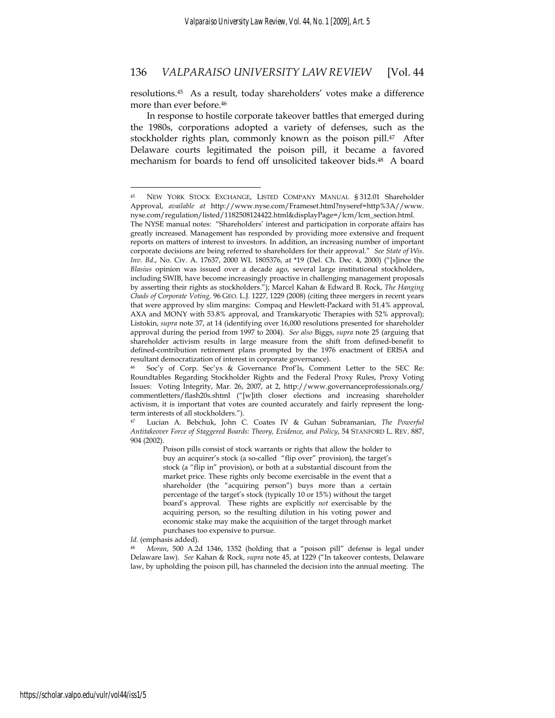resolutions.45 As a result, today shareholders' votes make a difference more than ever before.46

In response to hostile corporate takeover battles that emerged during the 1980s, corporations adopted a variety of defenses, such as the stockholder rights plan, commonly known as the poison pill.<sup>47</sup> After Delaware courts legitimated the poison pill, it became a favored mechanism for boards to fend off unsolicited takeover bids.48 A board

*Id*. (emphasis added).

 $\overline{a}$ 

<sup>48</sup> *Moran*, 500 A.2d 1346, 1352 (holding that a "poison pill" defense is legal under Delaware law). *See* Kahan & Rock, *supra* note 45, at 1229 ("In takeover contests, Delaware law, by upholding the poison pill, has channeled the decision into the annual meeting. The

<sup>45</sup> NEW YORK STOCK EXCHANGE, LISTED COMPANY MANUAL § 312.01 Shareholder Approval, *available at* http://www.nyse.com/Frameset.html?nyseref=http%3A//www. nyse.com/regulation/listed/1182508124422.html&displayPage=/lcm/lcm\_section.html.

The NYSE manual notes: "Shareholders' interest and participation in corporate affairs has greatly increased. Management has responded by providing more extensive and frequent reports on matters of interest to investors. In addition, an increasing number of important corporate decisions are being referred to shareholders for their approval." *See State of Wis. Inv. Bd*., No. Civ. A. 17637, 2000 WL 1805376, at \*19 (Del. Ch. Dec. 4, 2000) ("[s]ince the *Blasius* opinion was issued over a decade ago, several large institutional stockholders, including SWIB, have become increasingly proactive in challenging management proposals by asserting their rights as stockholders."); Marcel Kahan & Edward B. Rock, *The Hanging Chads of Corporate Voting,* 96 GEO. L.J. 1227, 1229 (2008) (citing three mergers in recent years that were approved by slim margins: Compaq and Hewlett-Packard with 51.4% approval, AXA and MONY with 53.8% approval, and Transkaryotic Therapies with 52% approval); Listokin, *supra* note 37, at 14 (identifying over 16,000 resolutions presented for shareholder approval during the period from 1997 to 2004). *See also* Biggs, *supra* note 25 (arguing that shareholder activism results in large measure from the shift from defined-benefit to defined-contribution retirement plans prompted by the 1976 enactment of ERISA and resultant democratization of interest in corporate governance).

Soc'y of Corp. Sec'ys & Governance Prof'ls, Comment Letter to the SEC Re: Roundtables Regarding Stockholder Rights and the Federal Proxy Rules, Proxy Voting Issues: Voting Integrity, Mar. 26, 2007, at 2, http://www.governanceprofessionals.org/ commentletters/flash20s.shtml ("[w]ith closer elections and increasing shareholder activism, it is important that votes are counted accurately and fairly represent the longterm interests of all stockholders.").

<sup>47</sup> Lucian A. Bebchuk, John C. Coates IV & Guhan Subramanian, *The Powerful Antitakeover Force of Staggered Boards: Theory, Evidence, and Policy*, 54 STANFORD L. REV. 887, 904 (2002).

Poison pills consist of stock warrants or rights that allow the holder to buy an acquirer's stock (a so-called "flip over" provision), the target's stock (a "flip in" provision), or both at a substantial discount from the market price. These rights only become exercisable in the event that a shareholder (the "acquiring person") buys more than a certain percentage of the target's stock (typically 10 or 15%) without the target board's approval. These rights are explicitly *not* exercisable by the acquiring person, so the resulting dilution in his voting power and economic stake may make the acquisition of the target through market purchases too expensive to pursue.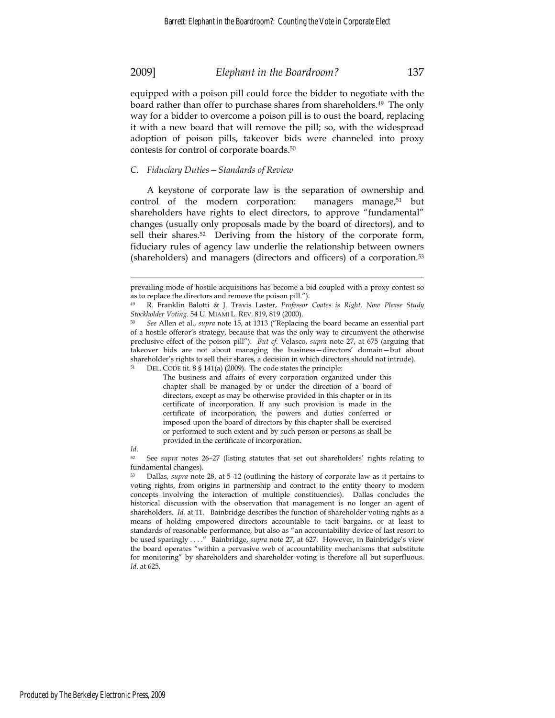equipped with a poison pill could force the bidder to negotiate with the board rather than offer to purchase shares from shareholders.<sup>49</sup> The only way for a bidder to overcome a poison pill is to oust the board, replacing it with a new board that will remove the pill; so, with the widespread adoption of poison pills, takeover bids were channeled into proxy contests for control of corporate boards.50

#### *C. Fiduciary Duties—Standards of Review*

A keystone of corporate law is the separation of ownership and control of the modern corporation: managers manage,<sup>51</sup> but shareholders have rights to elect directors, to approve "fundamental" changes (usually only proposals made by the board of directors), and to sell their shares.<sup>52</sup> Deriving from the history of the corporate form, fiduciary rules of agency law underlie the relationship between owners (shareholders) and managers (directors and officers) of a corporation.53

*Id*.

prevailing mode of hostile acquisitions has become a bid coupled with a proxy contest so as to replace the directors and remove the poison pill.").

<sup>49</sup> R. Franklin Balotti & J. Travis Laster, *Professor Coates is Right. Now Please Study Stockholder Voting*. 54 U. MIAMI L. REV. 819, 819 (2000). 50 *See* Allen et al., *supra* note 15, at 1313 ("Replacing the board became an essential part

of a hostile offeror's strategy, because that was the only way to circumvent the otherwise preclusive effect of the poison pill"). *But cf.* Velasco, *supra* note 27, at 675 (arguing that takeover bids are not about managing the business—directors' domain—but about shareholder's rights to sell their shares, a decision in which directors should not intrude). DEL. CODE tit. 8 § 141(a) (2009). The code states the principle:

The business and affairs of every corporation organized under this chapter shall be managed by or under the direction of a board of directors, except as may be otherwise provided in this chapter or in its certificate of incorporation. If any such provision is made in the certificate of incorporation, the powers and duties conferred or imposed upon the board of directors by this chapter shall be exercised or performed to such extent and by such person or persons as shall be provided in the certificate of incorporation.

<sup>52</sup> See *supra* notes 26–27 (listing statutes that set out shareholders' rights relating to fundamental changes).

<sup>53</sup> Dallas, *supra* note 28, at 5–12 (outlining the history of corporate law as it pertains to voting rights, from origins in partnership and contract to the entity theory to modern concepts involving the interaction of multiple constituencies). Dallas concludes the historical discussion with the observation that management is no longer an agent of shareholders. *Id.* at 11. Bainbridge describes the function of shareholder voting rights as a means of holding empowered directors accountable to tacit bargains, or at least to standards of reasonable performance, but also as "an accountability device of last resort to be used sparingly . . . ." Bainbridge, *supra* note 27, at 627. However, in Bainbridge's view the board operates "within a pervasive web of accountability mechanisms that substitute for monitoring" by shareholders and shareholder voting is therefore all but superfluous. *Id*. at 625.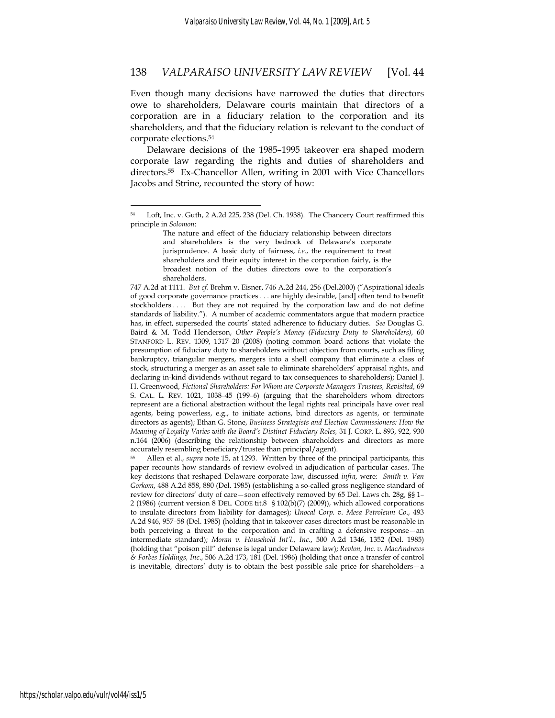Even though many decisions have narrowed the duties that directors owe to shareholders, Delaware courts maintain that directors of a corporation are in a fiduciary relation to the corporation and its shareholders, and that the fiduciary relation is relevant to the conduct of corporate elections.54

Delaware decisions of the 1985–1995 takeover era shaped modern corporate law regarding the rights and duties of shareholders and directors.55 Ex-Chancellor Allen, writing in 2001 with Vice Chancellors Jacobs and Strine, recounted the story of how:

747 A.2d at 1111. *But cf.* Brehm v. Eisner, 746 A.2d 244, 256 (Del.2000) ("Aspirational ideals of good corporate governance practices . . . are highly desirable, [and] often tend to benefit stockholders .... But they are not required by the corporation law and do not define standards of liability."). A number of academic commentators argue that modern practice has, in effect, superseded the courts' stated adherence to fiduciary duties. *See* Douglas G. Baird & M. Todd Henderson, *Other People's Money (Fiduciary Duty to Shareholders)*, 60 STANFORD L. REV. 1309, 1317–20 (2008) (noting common board actions that violate the presumption of fiduciary duty to shareholders without objection from courts, such as filing bankruptcy, triangular mergers, mergers into a shell company that eliminate a class of stock, structuring a merger as an asset sale to eliminate shareholders' appraisal rights, and declaring in-kind dividends without regard to tax consequences to shareholders); Daniel J. H. Greenwood, *Fictional Shareholders: For Whom are Corporate Managers Trustees, Revisited*, 69 S. CAL. L. REV. 1021, 1038–45 (199–6) (arguing that the shareholders whom directors represent are a fictional abstraction without the legal rights real principals have over real agents, being powerless, e.g., to initiate actions, bind directors as agents, or terminate directors as agents); Ethan G. Stone, *Business Strategists and Election Commissioners: How the Meaning of Loyalty Varies with the Board's Distinct Fiduciary Roles,* 31 J. CORP. L. 893, 922, 930 n.164 (2006) (describing the relationship between shareholders and directors as more accurately resembling beneficiary/trustee than principal/agent).

55 Allen et al., *supra* note 15, at 1293. Written by three of the principal participants, this paper recounts how standards of review evolved in adjudication of particular cases. The key decisions that reshaped Delaware corporate law, discussed *infra*, were: *Smith v. Van Gorkom*, 488 A.2d 858, 880 (Del. 1985) (establishing a so-called gross negligence standard of review for directors' duty of care—soon effectively removed by 65 Del. Laws ch. 28g, §§ 1– 2 (1986) (current version 8 DEL. CODE tit.8 § 102(b)(7) (2009)), which allowed corporations to insulate directors from liability for damages); *Unocal Corp. v. Mesa Petroleum Co*., 493 A.2d 946, 957–58 (Del. 1985) (holding that in takeover cases directors must be reasonable in both perceiving a threat to the corporation and in crafting a defensive response—an intermediate standard); *Moran v. Household Int'l., Inc*., 500 A.2d 1346, 1352 (Del. 1985) (holding that "poison pill" defense is legal under Delaware law); *Revlon, Inc. v. MacAndrews & Forbes Holdings, Inc*., 506 A.2d 173, 181 (Del. 1986) (holding that once a transfer of control is inevitable, directors' duty is to obtain the best possible sale price for shareholders—a

Loft, Inc. v. Guth, 2 A.2d 225, 238 (Del. Ch. 1938). The Chancery Court reaffirmed this principle in *Solomon*:

The nature and effect of the fiduciary relationship between directors and shareholders is the very bedrock of Delaware's corporate jurisprudence. A basic duty of fairness, *i.e.*, the requirement to treat shareholders and their equity interest in the corporation fairly, is the broadest notion of the duties directors owe to the corporation's shareholders.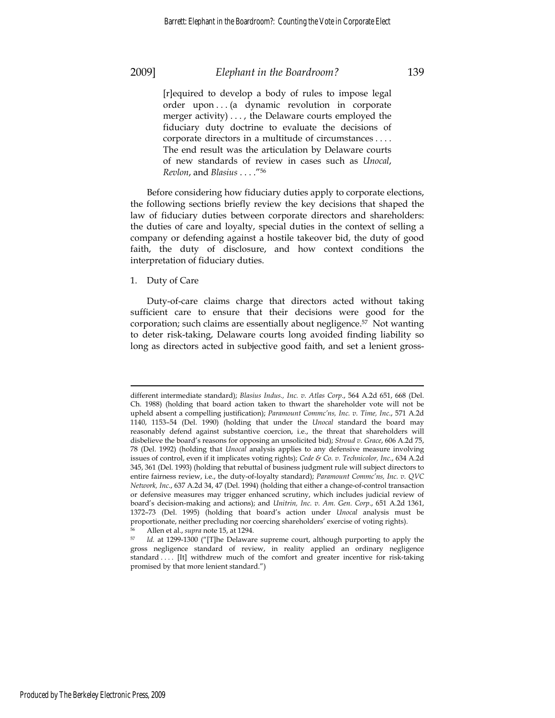#### 2009] *Elephant in the Boardroom?* 139

[r]equired to develop a body of rules to impose legal order upon . . . (a dynamic revolution in corporate merger activity) . . . , the Delaware courts employed the fiduciary duty doctrine to evaluate the decisions of corporate directors in a multitude of circumstances . . . . The end result was the articulation by Delaware courts of new standards of review in cases such as *Unocal*, *Revlon*, and *Blasius* . . . ."56

Before considering how fiduciary duties apply to corporate elections, the following sections briefly review the key decisions that shaped the law of fiduciary duties between corporate directors and shareholders: the duties of care and loyalty, special duties in the context of selling a company or defending against a hostile takeover bid, the duty of good faith, the duty of disclosure, and how context conditions the interpretation of fiduciary duties.

#### 1. Duty of Care

 $\overline{a}$ 

Duty-of-care claims charge that directors acted without taking sufficient care to ensure that their decisions were good for the corporation; such claims are essentially about negligence.57 Not wanting to deter risk-taking, Delaware courts long avoided finding liability so long as directors acted in subjective good faith, and set a lenient gross-

different intermediate standard); *Blasius Indus., Inc. v. Atlas Corp*., 564 A.2d 651, 668 (Del. Ch. 1988) (holding that board action taken to thwart the shareholder vote will not be upheld absent a compelling justification); *Paramount Commc'ns, Inc. v. Time, Inc*., 571 A.2d 1140, 1153–54 (Del. 1990) (holding that under the *Unocal* standard the board may reasonably defend against substantive coercion, i.e., the threat that shareholders will disbelieve the board's reasons for opposing an unsolicited bid); *Stroud v. Grace*, 606 A.2d 75, 78 (Del. 1992) (holding that *Unocal* analysis applies to any defensive measure involving issues of control, even if it implicates voting rights); *Cede & Co. v. Technicolor, Inc*., 634 A.2d 345, 361 (Del. 1993) (holding that rebuttal of business judgment rule will subject directors to entire fairness review, i.e., the duty-of-loyalty standard); *Paramount Commc'ns, Inc. v. QVC Network, Inc*., 637 A.2d 34, 47 (Del. 1994) (holding that either a change-of-control transaction or defensive measures may trigger enhanced scrutiny, which includes judicial review of board's decision-making and actions); and *Unitrin, Inc. v. Am. Gen. Corp*., 651 A.2d 1361, 1372–73 (Del. 1995) (holding that board's action under *Unocal* analysis must be proportionate, neither precluding nor coercing shareholders' exercise of voting rights).

<sup>56</sup> Allen et al., *supra* note 15, at 1294. 57 *Id.* at 1299-1300 ("[T]he Delaware supreme court, although purporting to apply the gross negligence standard of review, in reality applied an ordinary negligence standard . . . . [It] withdrew much of the comfort and greater incentive for risk-taking promised by that more lenient standard.")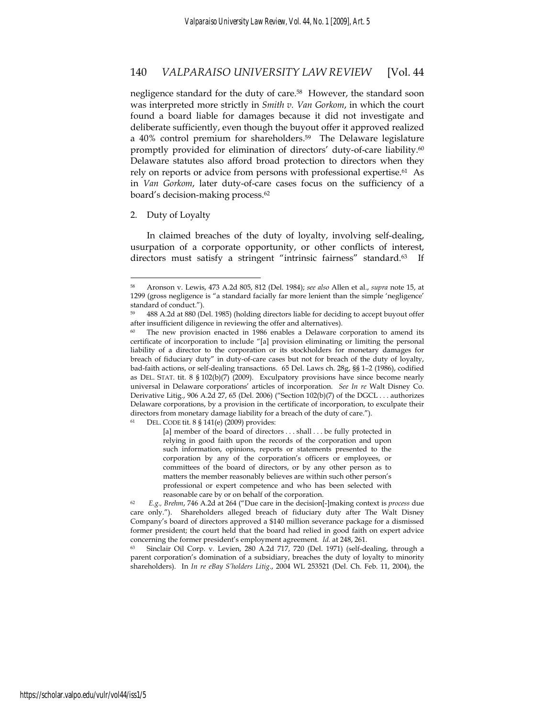negligence standard for the duty of care.<sup>58</sup> However, the standard soon was interpreted more strictly in *Smith v. Van Gorkom*, in which the court found a board liable for damages because it did not investigate and deliberate sufficiently, even though the buyout offer it approved realized a 40% control premium for shareholders.59 The Delaware legislature promptly provided for elimination of directors' duty-of-care liability.60 Delaware statutes also afford broad protection to directors when they rely on reports or advice from persons with professional expertise.<sup>61</sup> As in *Van Gorkom*, later duty-of-care cases focus on the sufficiency of a board's decision-making process.62

#### 2. Duty of Loyalty

 $\overline{a}$ 

In claimed breaches of the duty of loyalty, involving self-dealing, usurpation of a corporate opportunity, or other conflicts of interest, directors must satisfy a stringent "intrinsic fairness" standard.<sup>63</sup> If

<sup>58</sup> Aronson v. Lewis, 473 A.2d 805, 812 (Del. 1984); *see also* Allen et al., *supra* note 15, at 1299 (gross negligence is "a standard facially far more lenient than the simple 'negligence' standard of conduct.").

<sup>59 488</sup> A.2d at 880 (Del. 1985) (holding directors liable for deciding to accept buyout offer after insufficient diligence in reviewing the offer and alternatives).

The new provision enacted in 1986 enables a Delaware corporation to amend its certificate of incorporation to include "[a] provision eliminating or limiting the personal liability of a director to the corporation or its stockholders for monetary damages for breach of fiduciary duty" in duty-of-care cases but not for breach of the duty of loyalty, bad-faith actions, or self-dealing transactions. 65 Del. Laws ch. 28g, §§ 1–2 (1986), codified as DEL. STAT. tit. 8 § 102(b)(7) (2009). Exculpatory provisions have since become nearly universal in Delaware corporations' articles of incorporation. *See In re* Walt Disney Co. Derivative Litig., 906 A.2d 27, 65 (Del. 2006) ("Section 102(b)(7) of the DGCL . . . authorizes Delaware corporations, by a provision in the certificate of incorporation, to exculpate their directors from monetary damage liability for a breach of the duty of care.").

<sup>61</sup> DEL. CODE tit. 8 § 141(e) (2009) provides:

<sup>[</sup>a] member of the board of directors . . . shall . . . be fully protected in relying in good faith upon the records of the corporation and upon such information, opinions, reports or statements presented to the corporation by any of the corporation's officers or employees, or committees of the board of directors, or by any other person as to matters the member reasonably believes are within such other person's professional or expert competence and who has been selected with

reasonable care by or on behalf of the corporation. 62 *E.g., Brehm*, 746 A.2d at 264 ("Due care in the decision[-]making context is *process* due care only."). Shareholders alleged breach of fiduciary duty after The Walt Disney Company's board of directors approved a \$140 million severance package for a dismissed former president; the court held that the board had relied in good faith on expert advice concerning the former president's employment agreement. *Id.* at 248, 261.

<sup>63</sup> Sinclair Oil Corp. v. Levien, 280 A.2d 717, 720 (Del. 1971) (self-dealing, through a parent corporation's domination of a subsidiary, breaches the duty of loyalty to minority shareholders). In *In re eBay S'holders Litig*., 2004 WL 253521 (Del. Ch. Feb. 11, 2004), the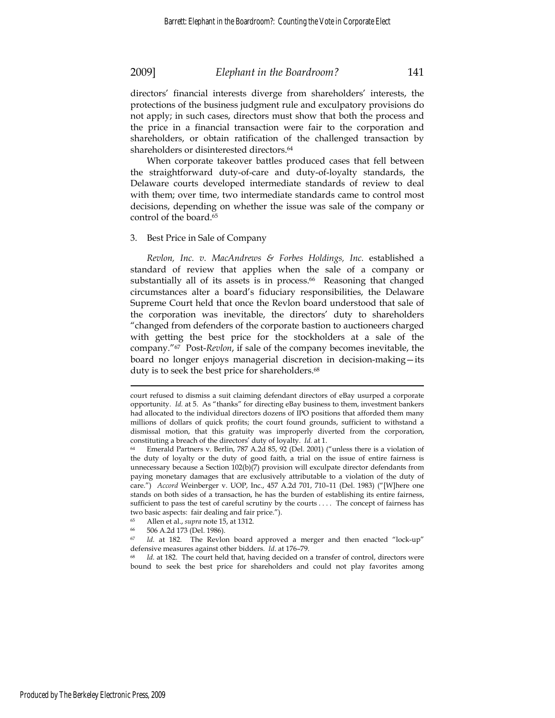2009] *Elephant in the Boardroom?* 141

directors' financial interests diverge from shareholders' interests, the protections of the business judgment rule and exculpatory provisions do not apply; in such cases, directors must show that both the process and the price in a financial transaction were fair to the corporation and shareholders, or obtain ratification of the challenged transaction by shareholders or disinterested directors.<sup>64</sup>

When corporate takeover battles produced cases that fell between the straightforward duty-of-care and duty-of-loyalty standards, the Delaware courts developed intermediate standards of review to deal with them; over time, two intermediate standards came to control most decisions, depending on whether the issue was sale of the company or control of the board.65

#### 3. Best Price in Sale of Company

*Revlon, Inc. v. MacAndrews & Forbes Holdings, Inc.* established a standard of review that applies when the sale of a company or substantially all of its assets is in process.<sup>66</sup> Reasoning that changed circumstances alter a board's fiduciary responsibilities, the Delaware Supreme Court held that once the Revlon board understood that sale of the corporation was inevitable, the directors' duty to shareholders "changed from defenders of the corporate bastion to auctioneers charged with getting the best price for the stockholders at a sale of the company."67 Post-*Revlon*, if sale of the company becomes inevitable, the board no longer enjoys managerial discretion in decision-making—its duty is to seek the best price for shareholders.<sup>68</sup>

court refused to dismiss a suit claiming defendant directors of eBay usurped a corporate opportunity. *Id.* at 5. As "thanks" for directing eBay business to them, investment bankers had allocated to the individual directors dozens of IPO positions that afforded them many millions of dollars of quick profits; the court found grounds, sufficient to withstand a dismissal motion, that this gratuity was improperly diverted from the corporation, constituting a breach of the directors' duty of loyalty. *Id.* at 1.<br><sup>64</sup> Emerald Partners v. Berlin, 787 A.2d 85, 92 (Del. 2001) ("unless there is a violation of

the duty of loyalty or the duty of good faith, a trial on the issue of entire fairness is unnecessary because a Section 102(b)(7) provision will exculpate director defendants from paying monetary damages that are exclusively attributable to a violation of the duty of care.") *Accord* Weinberger v. UOP, Inc., 457 A.2d 701, 710–11 (Del. 1983) ("[W]here one stands on both sides of a transaction, he has the burden of establishing its entire fairness, sufficient to pass the test of careful scrutiny by the courts . . . . The concept of fairness has two basic aspects: fair dealing and fair price.").

<sup>65</sup> Allen et al., *supra* note 15, at 1312.

<sup>66 506</sup> A.2d 173 (Del. 1986).

Id. at 182. The Revlon board approved a merger and then enacted "lock-up" defensive measures against other bidders. *Id.* at 176–79.

Id. at 182. The court held that, having decided on a transfer of control, directors were bound to seek the best price for shareholders and could not play favorites among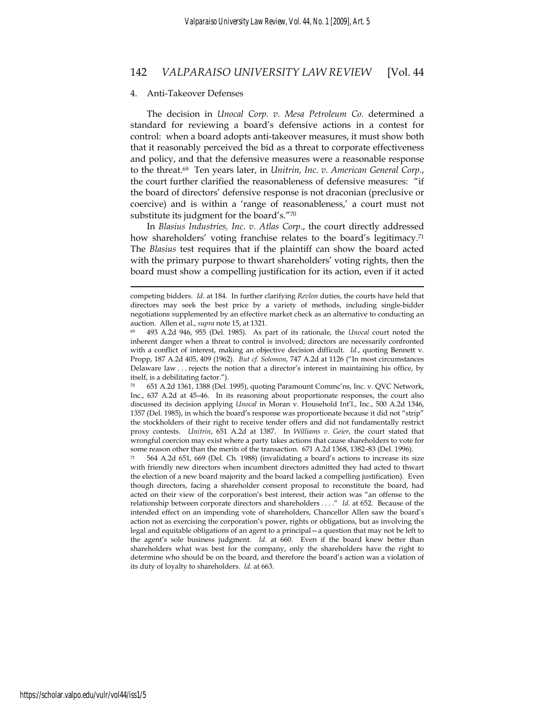#### 4. Anti-Takeover Defenses

 $\overline{a}$ 

The decision in *Unocal Corp. v. Mesa Petroleum Co.* determined a standard for reviewing a board's defensive actions in a contest for control: when a board adopts anti-takeover measures, it must show both that it reasonably perceived the bid as a threat to corporate effectiveness and policy, and that the defensive measures were a reasonable response to the threat.69 Ten years later, in *Unitrin, Inc. v. American General Corp.*, the court further clarified the reasonableness of defensive measures: "if the board of directors' defensive response is not draconian (preclusive or coercive) and is within a 'range of reasonableness,' a court must not substitute its judgment for the board's."70

In *Blasius Industries, Inc. v. Atlas Corp*., the court directly addressed how shareholders' voting franchise relates to the board's legitimacy.<sup>71</sup> The *Blasius* test requires that if the plaintiff can show the board acted with the primary purpose to thwart shareholders' voting rights, then the board must show a compelling justification for its action, even if it acted

70 651 A.2d 1361, 1388 (Del. 1995), quoting Paramount Commc'ns, Inc. v. QVC Network, Inc., 637 A.2d at 45–46. In its reasoning about proportionate responses, the court also discussed its decision applying *Unocal* in Moran v. Household Int'l., Inc*.*, 500 A.2d 1346, 1357 (Del. 1985), in which the board's response was proportionate because it did not "strip" the stockholders of their right to receive tender offers and did not fundamentally restrict proxy contests. *Unitrin*, 651 A.2d at 1387. In *Williams v. Geier*, the court stated that wrongful coercion may exist where a party takes actions that cause shareholders to vote for some reason other than the merits of the transaction. 671 A.2d 1368, 1382–83 (Del. 1996).

564 A.2d 651, 669 (Del. Ch. 1988) (invalidating a board's actions to increase its size with friendly new directors when incumbent directors admitted they had acted to thwart the election of a new board majority and the board lacked a compelling justification). Even though directors, facing a shareholder consent proposal to reconstitute the board, had acted on their view of the corporation's best interest, their action was "an offense to the relationship between corporate directors and shareholders . . . ." *Id.* at 652. Because of the intended effect on an impending vote of shareholders, Chancellor Allen saw the board's action not as exercising the corporation's power, rights or obligations, but as involving the legal and equitable obligations of an agent to a principal—a question that may not be left to the agent's sole business judgment. *Id.* at 660. Even if the board knew better than shareholders what was best for the company, only the shareholders have the right to determine who should be on the board, and therefore the board's action was a violation of its duty of loyalty to shareholders. *Id.* at 663.

competing bidders. *Id.* at 184. In further clarifying *Revlon* duties, the courts have held that directors may seek the best price by a variety of methods, including single-bidder negotiations supplemented by an effective market check as an alternative to conducting an auction. Allen et al., *supra* note 15, at 1321.<br>
<sup>69</sup> 493 A.2d 946, 955 (Del. 1985). As part of its rationale, the *Unocal* court noted the

inherent danger when a threat to control is involved; directors are necessarily confronted with a conflict of interest, making an objective decision difficult. *Id.*, quoting Bennett v. Propp, 187 A.2d 405, 409 (1962). *But cf. Solomon*, 747 A.2d at 1126 ("In most circumstances Delaware law . . . rejects the notion that a director's interest in maintaining his office, by itself, is a debilitating factor.").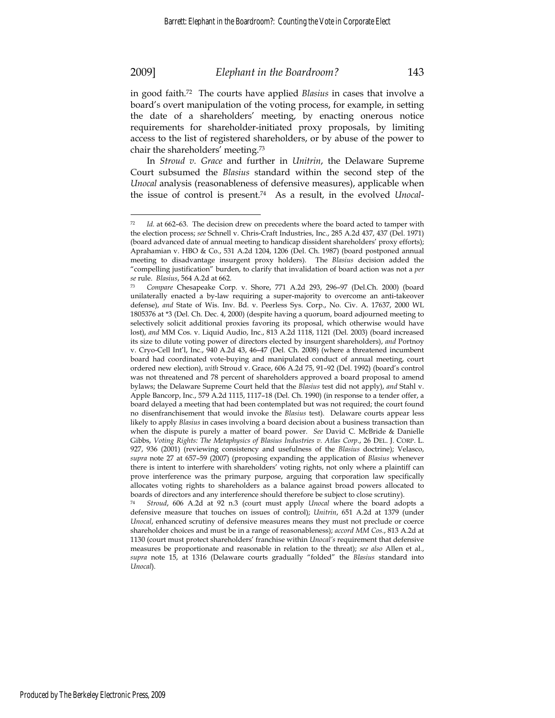in good faith.72 The courts have applied *Blasius* in cases that involve a board's overt manipulation of the voting process, for example, in setting the date of a shareholders' meeting, by enacting onerous notice requirements for shareholder-initiated proxy proposals, by limiting access to the list of registered shareholders, or by abuse of the power to chair the shareholders' meeting.73

In *Stroud v. Grace* and further in *Unitrin*, the Delaware Supreme Court subsumed the *Blasius* standard within the second step of the *Unocal* analysis (reasonableness of defensive measures), applicable when the issue of control is present.74 As a result, in the evolved *Unocal-*

defensive measure that touches on issues of control); *Unitrin*, 651 A.2d at 1379 (under *Unocal*, enhanced scrutiny of defensive measures means they must not preclude or coerce shareholder choices and must be in a range of reasonableness); *accord MM Cos.*, 813 A.2d at 1130 (court must protect shareholders' franchise within *Unocal's* requirement that defensive measures be proportionate and reasonable in relation to the threat); *see also* Allen et al., *supra* note 15, at 1316 (Delaware courts gradually "folded" the *Blasius* standard into *Unocal*).

<sup>72</sup> *Id.* at 662–63. The decision drew on precedents where the board acted to tamper with the election process; *see* Schnell v. Chris-Craft Industries, Inc*.*, 285 A.2d 437, 437 (Del. 1971) (board advanced date of annual meeting to handicap dissident shareholders' proxy efforts); Aprahamian v. HBO & Co., 531 A.2d 1204, 1206 (Del. Ch. 1987) (board postponed annual meeting to disadvantage insurgent proxy holders). The *Blasius* decision added the "compelling justification" burden, to clarify that invalidation of board action was not a *per se* rule. *Blasius*, 564 A.2d at 662.

<sup>73</sup> *Compare* Chesapeake Corp. v. Shore, 771 A.2d 293, 296–97 (Del.Ch. 2000) (board unilaterally enacted a by-law requiring a super-majority to overcome an anti-takeover defense), *and* State of Wis. Inv. Bd. v. Peerless Sys. Corp., No. Civ. A. 17637, 2000 WL 1805376 at \*3 (Del. Ch. Dec. 4, 2000) (despite having a quorum, board adjourned meeting to selectively solicit additional proxies favoring its proposal, which otherwise would have lost), *and* MM Cos. v. Liquid Audio, Inc., 813 A.2d 1118, 1121 (Del. 2003) (board increased its size to dilute voting power of directors elected by insurgent shareholders), *and* Portnoy v. Cryo-Cell Int'l, Inc., 940 A.2d 43, 46–47 (Del. Ch. 2008) (where a threatened incumbent board had coordinated vote-buying and manipulated conduct of annual meeting, court ordered new election), *with* Stroud v. Grace, 606 A.2d 75, 91–92 (Del. 1992) (board's control was not threatened and 78 percent of shareholders approved a board proposal to amend bylaws; the Delaware Supreme Court held that the *Blasius* test did not apply), *and* Stahl v. Apple Bancorp, Inc., 579 A.2d 1115, 1117–18 (Del. Ch. 1990) (in response to a tender offer, a board delayed a meeting that had been contemplated but was not required; the court found no disenfranchisement that would invoke the *Blasius* test). Delaware courts appear less likely to apply *Blasius* in cases involving a board decision about a business transaction than when the dispute is purely a matter of board power. *See* David C. McBride & Danielle Gibbs, *Voting Rights: The Metaphysics of Blasius Industries v. Atlas Corp*., 26 DEL. J. CORP. L. 927, 936 (2001) (reviewing consistency and usefulness of the *Blasius* doctrine); Velasco, *supra* note 27 at 657–59 (2007) (proposing expanding the application of *Blasius* whenever there is intent to interfere with shareholders' voting rights, not only where a plaintiff can prove interference was the primary purpose, arguing that corporation law specifically allocates voting rights to shareholders as a balance against broad powers allocated to boards of directors and any interference should therefore be subject to close scrutiny). 74 *Stroud*, 606 A.2d at 92 n.3 (court must apply *Unocal* where the board adopts a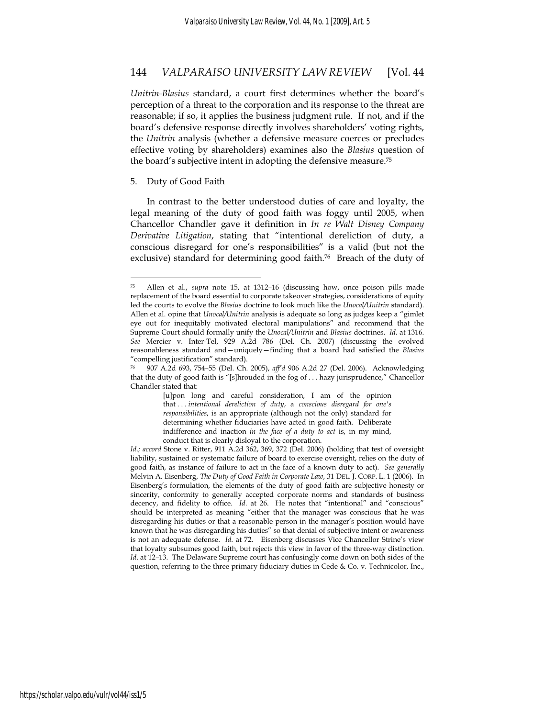*Unitrin-Blasius* standard, a court first determines whether the board's perception of a threat to the corporation and its response to the threat are reasonable; if so, it applies the business judgment rule. If not, and if the board's defensive response directly involves shareholders' voting rights, the *Unitrin* analysis (whether a defensive measure coerces or precludes effective voting by shareholders) examines also the *Blasius* question of the board's subjective intent in adopting the defensive measure.75

#### 5. Duty of Good Faith

 $\overline{a}$ 

In contrast to the better understood duties of care and loyalty, the legal meaning of the duty of good faith was foggy until 2005, when Chancellor Chandler gave it definition in *In re Walt Disney Company Derivative Litigation*, stating that "intentional dereliction of duty, a conscious disregard for one's responsibilities" is a valid (but not the exclusive) standard for determining good faith.<sup>76</sup> Breach of the duty of

<sup>75</sup> Allen et al., *supra* note 15, at 1312–16 (discussing how, once poison pills made replacement of the board essential to corporate takeover strategies, considerations of equity led the courts to evolve the *Blasius* doctrine to look much like the *Unocal/Unitrin* standard). Allen et al. opine that *Unocal/Unitrin* analysis is adequate so long as judges keep a "gimlet eye out for inequitably motivated electoral manipulations" and recommend that the Supreme Court should formally unify the *Unocal/Unitrin* and *Blasius* doctrines. *Id.* at 1316. *See* Mercier v. Inter-Tel, 929 A.2d 786 (Del. Ch. 2007) (discussing the evolved reasonableness standard and—uniquely—finding that a board had satisfied the *Blasius* "compelling justification" standard).

<sup>76 907</sup> A.2d 693, 754–55 (Del. Ch. 2005), *aff'd* 906 A.2d 27 (Del. 2006). Acknowledging that the duty of good faith is "[s]hrouded in the fog of . . . hazy jurisprudence," Chancellor Chandler stated that:

<sup>[</sup>u]pon long and careful consideration, I am of the opinion that . . . *intentional dereliction of duty*, a *conscious disregard for one's responsibilities*, is an appropriate (although not the only) standard for determining whether fiduciaries have acted in good faith. Deliberate indifference and inaction *in the face of a duty to act* is, in my mind, conduct that is clearly disloyal to the corporation.

*Id.; accord* Stone v. Ritter, 911 A.2d 362, 369, 372 (Del. 2006) (holding that test of oversight liability, sustained or systematic failure of board to exercise oversight, relies on the duty of good faith, as instance of failure to act in the face of a known duty to act). *See generally* Melvin A. Eisenberg, *The Duty of Good Faith in Corporate Law*, 31 DEL. J. CORP. L. 1 (2006). In Eisenberg's formulation, the elements of the duty of good faith are subjective honesty or sincerity, conformity to generally accepted corporate norms and standards of business decency, and fidelity to office. *Id*. at 26. He notes that "intentional" and "conscious" should be interpreted as meaning "either that the manager was conscious that he was disregarding his duties or that a reasonable person in the manager's position would have known that he was disregarding his duties" so that denial of subjective intent or awareness is not an adequate defense. *Id*. at 72. Eisenberg discusses Vice Chancellor Strine's view that loyalty subsumes good faith, but rejects this view in favor of the three-way distinction. *Id*. at 12–13. The Delaware Supreme court has confusingly come down on both sides of the question, referring to the three primary fiduciary duties in Cede & Co. v. Technicolor, Inc.,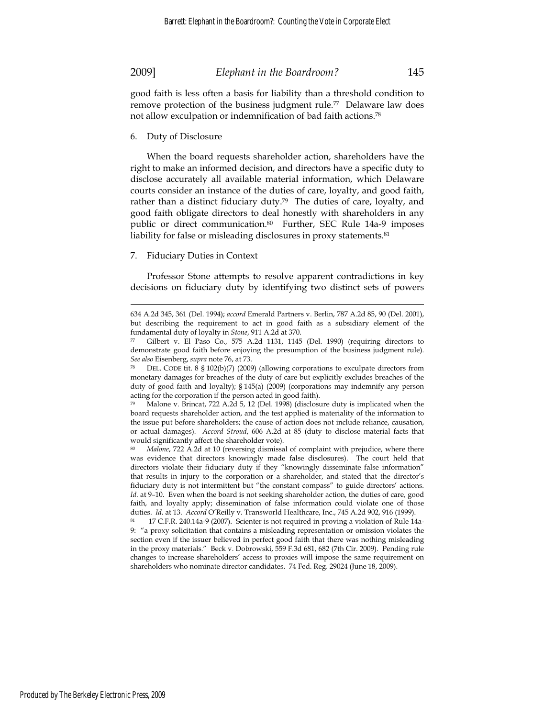#### 2009] *Elephant in the Boardroom?* 145

good faith is less often a basis for liability than a threshold condition to remove protection of the business judgment rule.<sup>77</sup> Delaware law does not allow exculpation or indemnification of bad faith actions.78

6. Duty of Disclosure

When the board requests shareholder action, shareholders have the right to make an informed decision, and directors have a specific duty to disclose accurately all available material information, which Delaware courts consider an instance of the duties of care, loyalty, and good faith, rather than a distinct fiduciary duty.<sup>79</sup> The duties of care, loyalty, and good faith obligate directors to deal honestly with shareholders in any public or direct communication.<sup>80</sup> Further, SEC Rule 14a-9 imposes liability for false or misleading disclosures in proxy statements.<sup>81</sup>

#### 7. Fiduciary Duties in Context

 $\overline{a}$ 

Professor Stone attempts to resolve apparent contradictions in key decisions on fiduciary duty by identifying two distinct sets of powers

<sup>634</sup> A.2d 345, 361 (Del. 1994); *accord* Emerald Partners v. Berlin, 787 A.2d 85, 90 (Del. 2001), but describing the requirement to act in good faith as a subsidiary element of the fundamental duty of loyalty in *Stone*, 911 A.2d at 370.

<sup>77</sup> Gilbert v. El Paso Co., 575 A.2d 1131, 1145 (Del. 1990) (requiring directors to demonstrate good faith before enjoying the presumption of the business judgment rule). *See also* Eisenberg, *supra* note 76, at 73.

DEL. CODE tit. 8 § 102(b)(7) (2009) (allowing corporations to exculpate directors from monetary damages for breaches of the duty of care but explicitly excludes breaches of the duty of good faith and loyalty); § 145(a) (2009) (corporations may indemnify any person acting for the corporation if the person acted in good faith).

<sup>79</sup> Malone v. Brincat, 722 A.2d 5, 12 (Del. 1998) (disclosure duty is implicated when the board requests shareholder action, and the test applied is materiality of the information to the issue put before shareholders; the cause of action does not include reliance, causation, or actual damages). *Accord Stroud*, 606 A.2d at 85 (duty to disclose material facts that would significantly affect the shareholder vote).

Malone, 722 A.2d at 10 (reversing dismissal of complaint with prejudice, where there was evidence that directors knowingly made false disclosures). The court held that directors violate their fiduciary duty if they "knowingly disseminate false information" that results in injury to the corporation or a shareholder, and stated that the director's fiduciary duty is not intermittent but "the constant compass" to guide directors' actions. *Id.* at 9-10. Even when the board is not seeking shareholder action, the duties of care, good faith, and loyalty apply; dissemination of false information could violate one of those duties. *Id.* at 13. *Accord* O'Reilly v. Transworld Healthcare, Inc., 745 A.2d 902, 916 (1999).

<sup>17</sup> C.F.R. 240.14a-9 (2007). Scienter is not required in proving a violation of Rule 14a-9: "a proxy solicitation that contains a misleading representation or omission violates the section even if the issuer believed in perfect good faith that there was nothing misleading in the proxy materials." Beck v. Dobrowski, 559 F.3d 681, 682 (7th Cir. 2009). Pending rule changes to increase shareholders' access to proxies will impose the same requirement on shareholders who nominate director candidates. 74 Fed. Reg. 29024 (June 18, 2009).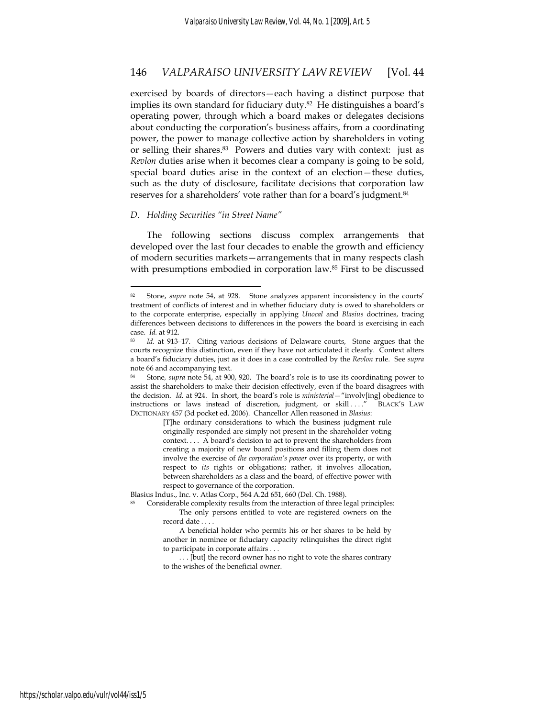exercised by boards of directors—each having a distinct purpose that implies its own standard for fiduciary duty.82 He distinguishes a board's operating power, through which a board makes or delegates decisions about conducting the corporation's business affairs, from a coordinating power, the power to manage collective action by shareholders in voting or selling their shares.83 Powers and duties vary with context: just as *Revlon* duties arise when it becomes clear a company is going to be sold, special board duties arise in the context of an election—these duties, such as the duty of disclosure, facilitate decisions that corporation law reserves for a shareholders' vote rather than for a board's judgment.84

#### *D. Holding Securities "in Street Name"*

 $\overline{a}$ 

The following sections discuss complex arrangements that developed over the last four decades to enable the growth and efficiency of modern securities markets—arrangements that in many respects clash with presumptions embodied in corporation law.85 First to be discussed

[T]he ordinary considerations to which the business judgment rule originally responded are simply not present in the shareholder voting context. . . . A board's decision to act to prevent the shareholders from creating a majority of new board positions and filling them does not involve the exercise of *the corporation's power* over its property, or with respect to *its* rights or obligations; rather, it involves allocation, between shareholders as a class and the board, of effective power with respect to governance of the corporation.

<sup>82</sup> Stone, *supra* note 54, at 928. Stone analyzes apparent inconsistency in the courts' treatment of conflicts of interest and in whether fiduciary duty is owed to shareholders or to the corporate enterprise, especially in applying *Unocal* and *Blasius* doctrines, tracing differences between decisions to differences in the powers the board is exercising in each case. *Id.* at 912.

<sup>83</sup> *Id*. at 913–17. Citing various decisions of Delaware courts, Stone argues that the courts recognize this distinction, even if they have not articulated it clearly. Context alters a board's fiduciary duties, just as it does in a case controlled by the *Revlon* rule. See *supra* note 66 and accompanying text.

<sup>84</sup> Stone*, supra* note 54, at 900, 920. The board's role is to use its coordinating power to assist the shareholders to make their decision effectively, even if the board disagrees with the decision. *Id.* at 924. In short, the board's role is *ministerial*—"involv[ing] obedience to instructions or laws instead of discretion, judgment, or skill ...." BLACK'S LAW DICTIONARY 457 (3d pocket ed. 2006). Chancellor Allen reasoned in *Blasius*:

Blasius Indus., Inc. v. Atlas Corp., 564 A.2d 651, 660 (Del. Ch. 1988).

Considerable complexity results from the interaction of three legal principles: The only persons entitled to vote are registered owners on the record date . . . .

A beneficial holder who permits his or her shares to be held by another in nominee or fiduciary capacity relinquishes the direct right to participate in corporate affairs . . .

 <sup>. . . [</sup>but] the record owner has no right to vote the shares contrary to the wishes of the beneficial owner.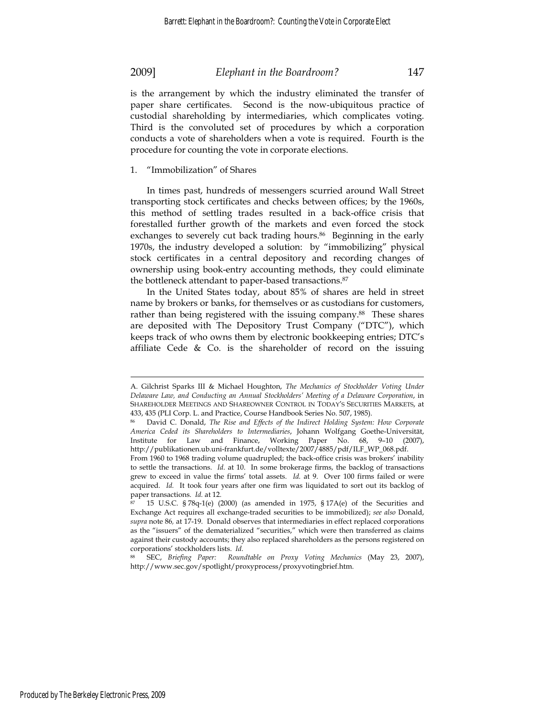#### 2009] *Elephant in the Boardroom?* 147

is the arrangement by which the industry eliminated the transfer of paper share certificates. Second is the now-ubiquitous practice of custodial shareholding by intermediaries, which complicates voting. Third is the convoluted set of procedures by which a corporation conducts a vote of shareholders when a vote is required. Fourth is the procedure for counting the vote in corporate elections.

#### 1. "Immobilization" of Shares

In times past, hundreds of messengers scurried around Wall Street transporting stock certificates and checks between offices; by the 1960s, this method of settling trades resulted in a back-office crisis that forestalled further growth of the markets and even forced the stock exchanges to severely cut back trading hours.<sup>86</sup> Beginning in the early 1970s, the industry developed a solution: by "immobilizing" physical stock certificates in a central depository and recording changes of ownership using book-entry accounting methods, they could eliminate the bottleneck attendant to paper-based transactions.87

In the United States today, about 85% of shares are held in street name by brokers or banks, for themselves or as custodians for customers, rather than being registered with the issuing company.<sup>88</sup> These shares are deposited with The Depository Trust Company ("DTC"), which keeps track of who owns them by electronic bookkeeping entries; DTC's affiliate Cede  $\&$  Co. is the shareholder of record on the issuing

A. Gilchrist Sparks III & Michael Houghton, *The Mechanics of Stockholder Voting Under Delaware Law, and Conducting an Annual Stockholders' Meeting of a Delaware Corporation*, in SHAREHOLDER MEETINGS AND SHAREOWNER CONTROL IN TODAY'S SECURITIES MARKETS, at 433, 435 (PLI Corp. L. and Practice, Course Handbook Series No. 507, 1985).

<sup>86</sup> David C. Donald, *The Rise and Effects of the Indirect Holding System: How Corporate America Ceded its Shareholders to Intermediaries*, Johann Wolfgang Goethe-Universität, Institute for Law and Finance, Working Paper No. 68, 9–10 (2007), http://publikationen.ub.uni-frankfurt.de/volltexte/2007/4885/pdf/ILF\_WP\_068.pdf.

From 1960 to 1968 trading volume quadrupled; the back-office crisis was brokers' inability to settle the transactions. *Id.* at 10.In some brokerage firms, the backlog of transactions grew to exceed in value the firms' total assets. *Id.* at 9.Over 100 firms failed or were acquired. *Id.* It took four years after one firm was liquidated to sort out its backlog of paper transactions. *Id.* at 12.

<sup>15</sup> U.S.C. § 78q-1(e) (2000) (as amended in 1975, § 17A(e) of the Securities and Exchange Act requires all exchange-traded securities to be immobilized); *see also* Donald, *supra* note 86*,* at 17-19. Donald observes that intermediaries in effect replaced corporations as the "issuers" of the dematerialized "securities," which were then transferred as claims against their custody accounts; they also replaced shareholders as the persons registered on corporations' stockholders lists. *Id.*

<sup>88</sup> SEC, *Briefing Paper: Roundtable on Proxy Voting Mechanics* (May 23, 2007), http://www.sec.gov/spotlight/proxyprocess/proxyvotingbrief.htm.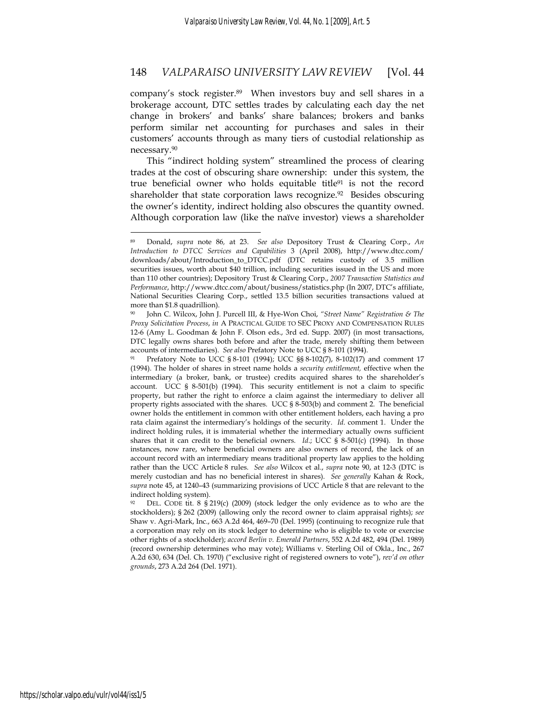company's stock register.89 When investors buy and sell shares in a brokerage account, DTC settles trades by calculating each day the net change in brokers' and banks' share balances; brokers and banks perform similar net accounting for purchases and sales in their customers' accounts through as many tiers of custodial relationship as necessary.90

This "indirect holding system" streamlined the process of clearing trades at the cost of obscuring share ownership: under this system, the true beneficial owner who holds equitable title $91$  is not the record shareholder that state corporation laws recognize.<sup>92</sup> Besides obscuring the owner's identity, indirect holding also obscures the quantity owned. Although corporation law (like the naïve investor) views a shareholder

<sup>89</sup> Donald, *supra* note 86*,* at 23. *See also* Depository Trust & Clearing Corp., *An Introduction to DTCC Services and Capabilities* 3 (April 2008), http://www.dtcc.com/ downloads/about/Introduction\_to\_DTCC.pdf (DTC retains custody of 3.5 million securities issues, worth about \$40 trillion, including securities issued in the US and more than 110 other countries); Depository Trust & Clearing Corp., *2007 Transaction Statistics and Performance*, http://www.dtcc.com/about/business/statistics.php (In 2007, DTC's affiliate, National Securities Clearing Corp., settled 13.5 billion securities transactions valued at more than \$1.8 quadrillion).

<sup>90</sup> John C. Wilcox, John J. Purcell III, & Hye-Won Choi, *"Street Name" Registration & The Proxy Solicitation Process*, *in* A PRACTICAL GUIDE TO SEC PROXY AND COMPENSATION RULES 12-6 (Amy L. Goodman & John F. Olson eds., 3rd ed. Supp. 2007) (in most transactions, DTC legally owns shares both before and after the trade, merely shifting them between

accounts of intermediaries). *See also* Prefatory Note to UCC § 8-101 (1994).<br><sup>91</sup> Prefatory Note to UCC § 8-101 (1994); UCC §§ 8-102(7), 8-102(17) and comment 17 (1994). The holder of shares in street name holds a *security entitlement,* effective when the intermediary (a broker, bank, or trustee) credits acquired shares to the shareholder's account. UCC § 8-501(b) (1994). This security entitlement is not a claim to specific property, but rather the right to enforce a claim against the intermediary to deliver all property rights associated with the shares. UCC § 8-503(b) and comment 2. The beneficial owner holds the entitlement in common with other entitlement holders, each having a pro rata claim against the intermediary's holdings of the security. *Id*. comment 1. Under the indirect holding rules, it is immaterial whether the intermediary actually owns sufficient shares that it can credit to the beneficial owners. *Id.*; UCC § 8-501(c) (1994). In those instances, now rare, where beneficial owners are also owners of record, the lack of an account record with an intermediary means traditional property law applies to the holding rather than the UCC Article 8 rules. *See also* Wilcox et al., *supra* note 90, at 12-3 (DTC is merely custodian and has no beneficial interest in shares). *See generally* Kahan & Rock, *supra* note 45, at 1240–43 (summarizing provisions of UCC Article 8 that are relevant to the indirect holding system).

<sup>92</sup> DEL. CODE tit. 8 § 219(c) (2009) (stock ledger the only evidence as to who are the stockholders); § 262 (2009) (allowing only the record owner to claim appraisal rights); *see* Shaw v. Agri-Mark, Inc., 663 A.2d 464, 469–70 (Del. 1995) (continuing to recognize rule that a corporation may rely on its stock ledger to determine who is eligible to vote or exercise other rights of a stockholder); *accord Berlin v. Emerald Partners*, 552 A.2d 482, 494 (Del. 1989) (record ownership determines who may vote); Williams v. Sterling Oil of Okla., Inc., 267 A.2d 630, 634 (Del. Ch. 1970) ("exclusive right of registered owners to vote"), *rev'd on other grounds*, 273 A.2d 264 (Del. 1971).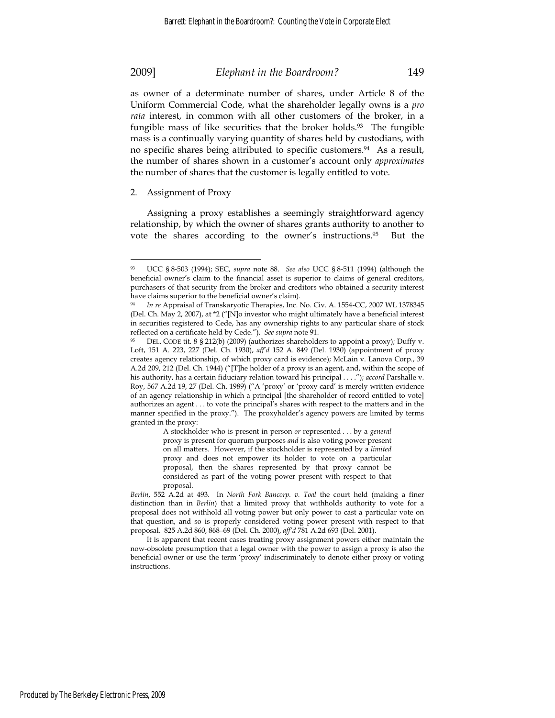#### 2009] *Elephant in the Boardroom?* 149

as owner of a determinate number of shares, under Article 8 of the Uniform Commercial Code, what the shareholder legally owns is a *pro rata* interest, in common with all other customers of the broker, in a fungible mass of like securities that the broker holds.<sup>93</sup> The fungible mass is a continually varying quantity of shares held by custodians, with no specific shares being attributed to specific customers.<sup>94</sup> As a result, the number of shares shown in a customer's account only *approximates* the number of shares that the customer is legally entitled to vote.

#### 2. Assignment of Proxy

Assigning a proxy establishes a seemingly straightforward agency relationship, by which the owner of shares grants authority to another to vote the shares according to the owner's instructions.95 But the

A stockholder who is present in person *or* represented . . . by a *general* proxy is present for quorum purposes *and* is also voting power present on all matters. However, if the stockholder is represented by a *limited* proxy and does not empower its holder to vote on a particular proposal, then the shares represented by that proxy cannot be considered as part of the voting power present with respect to that proposal.

 It is apparent that recent cases treating proxy assignment powers either maintain the now-obsolete presumption that a legal owner with the power to assign a proxy is also the beneficial owner or use the term 'proxy' indiscriminately to denote either proxy or voting instructions.

<sup>93</sup> UCC § 8-503 (1994); SEC, *supra* note 88. *See also* UCC § 8-511 (1994) (although the beneficial owner's claim to the financial asset is superior to claims of general creditors, purchasers of that security from the broker and creditors who obtained a security interest have claims superior to the beneficial owner's claim).

<sup>94</sup> *In re* Appraisal of Transkaryotic Therapies, Inc. No. Civ. A. 1554-CC, *2*007 WL 1378345 (Del. Ch. May 2, 2007), at \*2 ("[N]o investor who might ultimately have a beneficial interest in securities registered to Cede, has any ownership rights to any particular share of stock reflected on a certificate held by Cede."). *See supra* note 91.

<sup>&</sup>lt;sup>95</sup> DEL. CODE tit. 8 § 212(b) (2009) (authorizes shareholders to appoint a proxy); Duffy v. Loft, 151 A. 223, 227 (Del. Ch. 1930), *aff'd* 152 A. 849 (Del. 1930) (appointment of proxy creates agency relationship, of which proxy card is evidence); McLain v. Lanova Corp., 39 A.2d 209, 212 (Del. Ch. 1944) ("[T]he holder of a proxy is an agent, and, within the scope of his authority, has a certain fiduciary relation toward his principal . . . ."); *accord* Parshalle v. Roy, 567 A.2d 19, 27 (Del. Ch. 1989) ("A 'proxy' or 'proxy card' is merely written evidence of an agency relationship in which a principal [the shareholder of record entitled to vote] authorizes an agent . . . to vote the principal's shares with respect to the matters and in the manner specified in the proxy."). The proxyholder's agency powers are limited by terms granted in the proxy:

*Berlin*, 552 A.2d at 493*.* In *North Fork Bancorp. v. Toal* the court held (making a finer distinction than in *Berlin*) that a limited proxy that withholds authority to vote for a proposal does not withhold all voting power but only power to cast a particular vote on that question, and so is properly considered voting power present with respect to that proposal. 825 A.2d 860, 868–69 (Del. Ch. 2000), *aff'd* 781 A.2d 693 (Del. 2001).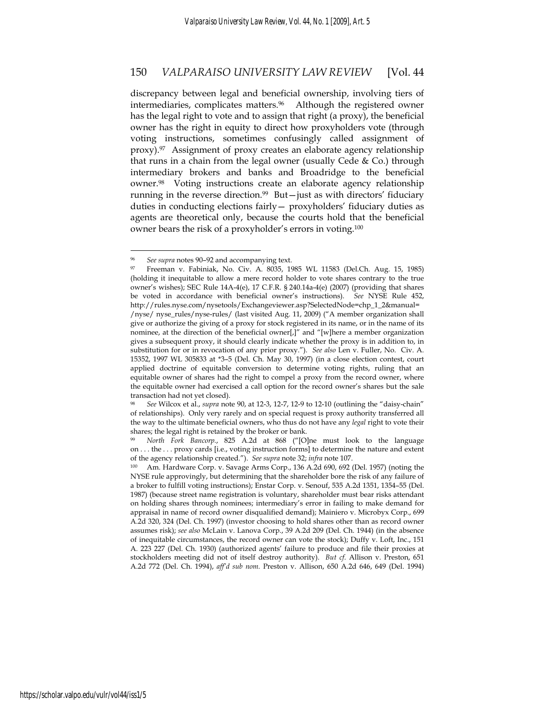discrepancy between legal and beneficial ownership, involving tiers of intermediaries, complicates matters.<sup>96</sup> Although the registered owner has the legal right to vote and to assign that right (a proxy), the beneficial owner has the right in equity to direct how proxyholders vote (through voting instructions, sometimes confusingly called assignment of proxy).97 Assignment of proxy creates an elaborate agency relationship that runs in a chain from the legal owner (usually Cede  $\&$  Co.) through intermediary brokers and banks and Broadridge to the beneficial owner.98 Voting instructions create an elaborate agency relationship running in the reverse direction.<sup>99</sup> But—just as with directors' fiduciary duties in conducting elections fairly— proxyholders' fiduciary duties as agents are theoretical only, because the courts hold that the beneficial owner bears the risk of a proxyholder's errors in voting.100

<sup>96</sup> *See supra* notes 90–92 and accompanying text. 97 Freeman v. Fabiniak, No. Civ. A. 8035, 1985 WL 11583 (Del.Ch. Aug. 15, 1985) (holding it inequitable to allow a mere record holder to vote shares contrary to the true owner's wishes); SEC Rule 14A-4(e), 17 C.F.R. § 240.14a-4(e) (2007) (providing that shares be voted in accordance with beneficial owner's instructions). *See* NYSE Rule 452, http://rules.nyse.com/nysetools/Exchangeviewer.asp?SelectedNode=chp\_1\_2&manual= /nyse/ nyse\_rules/nyse-rules/ (last visited Aug. 11, 2009) ("A member organization shall give or authorize the giving of a proxy for stock registered in its name, or in the name of its nominee, at the direction of the beneficial owner[,]" and "[w]here a member organization gives a subsequent proxy, it should clearly indicate whether the proxy is in addition to, in substitution for or in revocation of any prior proxy."). *See also* Len v. Fuller, No. Civ. A. 15352, 1997 WL 305833 at \*3–5 (Del. Ch. May 30, 1997) (in a close election contest, court applied doctrine of equitable conversion to determine voting rights, ruling that an equitable owner of shares had the right to compel a proxy from the record owner, where the equitable owner had exercised a call option for the record owner's shares but the sale transaction had not yet closed).

<sup>98</sup> *See* Wilcox et al., *supra* note 90, at 12-3, 12-7, 12-9 to 12-10 (outlining the "daisy-chain" of relationships). Only very rarely and on special request is proxy authority transferred all the way to the ultimate beneficial owners, who thus do not have any *legal* right to vote their shares; the legal right is retained by the broker or bank.

<sup>99</sup> *North Fork Bancorp.*, 825 A.2d at 868 ("[O]ne must look to the language on . . . the . . . proxy cards [i.e., voting instruction forms] to determine the nature and extent of the agency relationship created."). *See supra* note 32; *infra* note 107.

Am. Hardware Corp. v. Savage Arms Corp., 136 A.2d 690, 692 (Del. 1957) (noting the NYSE rule approvingly, but determining that the shareholder bore the risk of any failure of a broker to fulfill voting instructions); Enstar Corp. v. Senouf, 535 A.2d 1351, 1354–55 (Del. 1987) (because street name registration is voluntary, shareholder must bear risks attendant on holding shares through nominees; intermediary's error in failing to make demand for appraisal in name of record owner disqualified demand); Mainiero v. Microbyx Corp., 699 A.2d 320, 324 (Del. Ch. 1997) (investor choosing to hold shares other than as record owner assumes risk); *see also* McLain v. Lanova Corp., 39 A.2d 209 (Del. Ch. 1944) (in the absence of inequitable circumstances, the record owner can vote the stock); Duffy v. Loft, Inc., 151 A. 223 227 (Del. Ch. 1930) (authorized agents' failure to produce and file their proxies at stockholders meeting did not of itself destroy authority). *But cf.* Allison v. Preston, 651 A.2d 772 (Del. Ch. 1994), *aff'd sub nom.* Preston v. Allison, 650 A.2d 646, 649 (Del. 1994)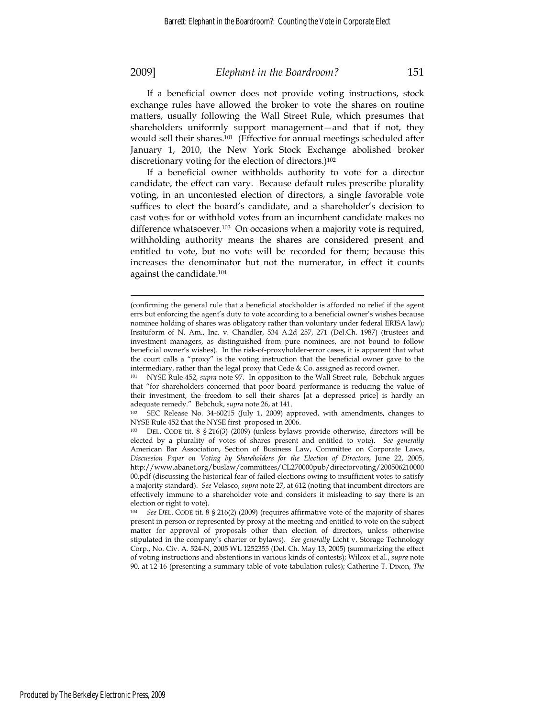#### 2009] *Elephant in the Boardroom?* 151

If a beneficial owner does not provide voting instructions, stock exchange rules have allowed the broker to vote the shares on routine matters, usually following the Wall Street Rule, which presumes that shareholders uniformly support management—and that if not, they would sell their shares.101 (Effective for annual meetings scheduled after January 1, 2010, the New York Stock Exchange abolished broker discretionary voting for the election of directors.)<sup>102</sup>

If a beneficial owner withholds authority to vote for a director candidate, the effect can vary. Because default rules prescribe plurality voting, in an uncontested election of directors, a single favorable vote suffices to elect the board's candidate, and a shareholder's decision to cast votes for or withhold votes from an incumbent candidate makes no difference whatsoever.<sup>103</sup> On occasions when a majority vote is required, withholding authority means the shares are considered present and entitled to vote, but no vote will be recorded for them; because this increases the denominator but not the numerator, in effect it counts against the candidate.104

<sup>(</sup>confirming the general rule that a beneficial stockholder is afforded no relief if the agent errs but enforcing the agent's duty to vote according to a beneficial owner's wishes because nominee holding of shares was obligatory rather than voluntary under federal ERISA law); Insituform of N. Am., Inc. v. Chandler, 534 A.2d 257, 271 (Del.Ch. 1987) (trustees and investment managers, as distinguished from pure nominees, are not bound to follow beneficial owner's wishes). In the risk-of-proxyholder-error cases, it is apparent that what the court calls a "proxy" is the voting instruction that the beneficial owner gave to the intermediary, rather than the legal proxy that Cede & Co. assigned as record owner.

<sup>&</sup>lt;sup>101</sup> NYSE Rule 452, *supra* note 97. In opposition to the Wall Street rule, Bebchuk argues that "for shareholders concerned that poor board performance is reducing the value of their investment, the freedom to sell their shares [at a depressed price] is hardly an adequate remedy." Bebchuk, *supra* note 26, at 141.

<sup>&</sup>lt;sup>102</sup> SEC Release No. 34-60215 (July 1, 2009) approved, with amendments, changes to NYSE Rule 452 that the NYSE first proposed in 2006.

DEL. CODE tit. 8 § 216(3) (2009) (unless bylaws provide otherwise, directors will be elected by a plurality of votes of shares present and entitled to vote). *See generally* American Bar Association, Section of Business Law, Committee on Corporate Laws, *Discussion Paper on Voting by Shareholders for the Election of Directors*, June 22, 2005, http://www.abanet.org/buslaw/committees/CL270000pub/directorvoting/200506210000 00.pdf (discussing the historical fear of failed elections owing to insufficient votes to satisfy a majority standard). *See* Velasco, *supra* note 27, at 612 (noting that incumbent directors are effectively immune to a shareholder vote and considers it misleading to say there is an election or right to vote).

<sup>104</sup> *See* DEL. CODE tit. 8 § 216(2) (2009) (requires affirmative vote of the majority of shares present in person or represented by proxy at the meeting and entitled to vote on the subject matter for approval of proposals other than election of directors, unless otherwise stipulated in the company's charter or bylaws). *See generally* Licht v. Storage Technology Corp., No. Civ. A. 524-N, 2005 WL 1252355 (Del. Ch. May 13, 2005) (summarizing the effect of voting instructions and abstentions in various kinds of contests); Wilcox et al., *supra* note 90, at 12-16 (presenting a summary table of vote-tabulation rules); Catherine T. Dixon, *The*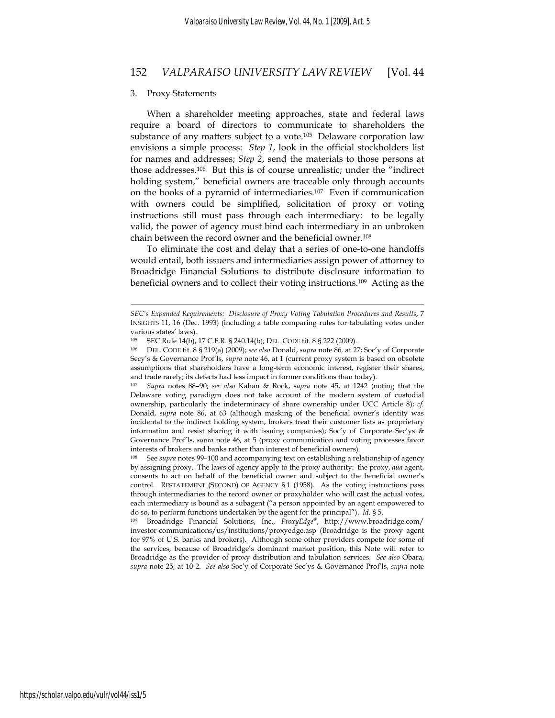#### 3. Proxy Statements

 $\overline{a}$ 

When a shareholder meeting approaches, state and federal laws require a board of directors to communicate to shareholders the substance of any matters subject to a vote.<sup>105</sup> Delaware corporation law envisions a simple process: *Step 1*, look in the official stockholders list for names and addresses; *Step 2*, send the materials to those persons at those addresses.106 But this is of course unrealistic; under the "indirect holding system," beneficial owners are traceable only through accounts on the books of a pyramid of intermediaries.107 Even if communication with owners could be simplified, solicitation of proxy or voting instructions still must pass through each intermediary: to be legally valid, the power of agency must bind each intermediary in an unbroken chain between the record owner and the beneficial owner.108

To eliminate the cost and delay that a series of one-to-one handoffs would entail, both issuers and intermediaries assign power of attorney to Broadridge Financial Solutions to distribute disclosure information to beneficial owners and to collect their voting instructions.109 Acting as the

<sup>107</sup> *Supra* notes 88–90; *see also* Kahan & Rock, *supra* note 45, at 1242 (noting that the Delaware voting paradigm does not take account of the modern system of custodial ownership, particularly the indeterminacy of share ownership under UCC Article 8); *cf.* Donald, *supra* note 86, at 63 (although masking of the beneficial owner's identity was incidental to the indirect holding system, brokers treat their customer lists as proprietary information and resist sharing it with issuing companies); Soc'y of Corporate Sec'ys & Governance Prof'ls, *supra* note 46, at 5 (proxy communication and voting processes favor interests of brokers and banks rather than interest of beneficial owners).

108 See *supra* notes 99–100 and accompanying text on establishing a relationship of agency by assigning proxy. The laws of agency apply to the proxy authority: the proxy, *qua* agent, consents to act on behalf of the beneficial owner and subject to the beneficial owner's control. RESTATEMENT (SECOND) OF AGENCY § 1 (1958). As the voting instructions pass through intermediaries to the record owner or proxyholder who will cast the actual votes, each intermediary is bound as a subagent ("a person appointed by an agent empowered to do so, to perform functions undertaken by the agent for the principal"). *Id.* § 5.

<sup>109</sup> Broadridge Financial Solutions, Inc., *ProxyEdge®*, http://www.broadridge.com/ investor-communications/us/institutions/proxyedge.asp (Broadridge is the proxy agent for 97% of U.S. banks and brokers). Although some other providers compete for some of the services, because of Broadridge's dominant market position, this Note will refer to Broadridge as the provider of proxy distribution and tabulation services. *See also* Obara, *supra* note 25, at 10-2. *See also* Soc'y of Corporate Sec'ys & Governance Prof'ls, *supra* note

*SEC's Expanded Requirements: Disclosure of Proxy Voting Tabulation Procedures and Results*, 7 INSIGHTS 11, 16 (Dec. 1993) (including a table comparing rules for tabulating votes under various states' laws).

<sup>105</sup> SEC Rule 14(b), 17 C.F.R. § 240.14(b); DEL. CODE tit. 8 § 222 (2009).

<sup>106</sup> DEL. CODE tit. 8 § 219(a) (2009); *see also* Donald, *supra* note 86*,* at 27; Soc'y of Corporate Secy's & Governance Prof'ls, *supra* note 46, at 1 (current proxy system is based on obsolete assumptions that shareholders have a long-term economic interest, register their shares, and trade rarely; its defects had less impact in former conditions than today).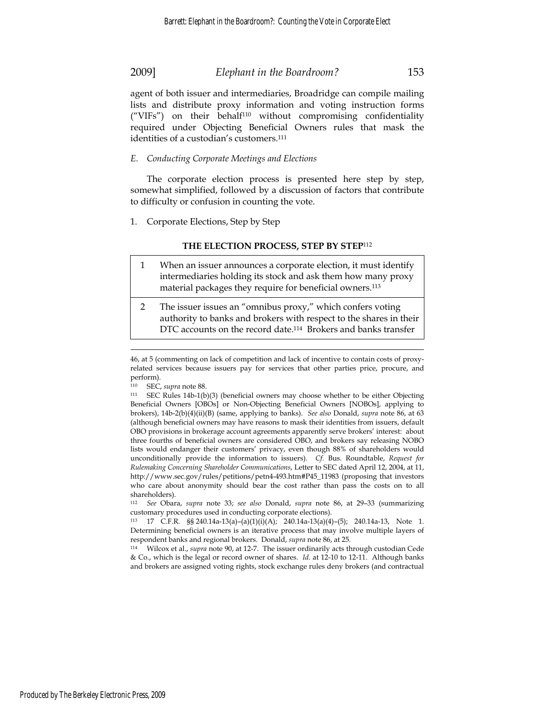2009] *Elephant in the Boardroom?* 153

agent of both issuer and intermediaries, Broadridge can compile mailing lists and distribute proxy information and voting instruction forms  $($ "VIFs") on their behalf<sup>110</sup> without compromising confidentiality required under Objecting Beneficial Owners rules that mask the identities of a custodian's customers.<sup>111</sup>

#### *E. Conducting Corporate Meetings and Elections*

The corporate election process is presented here step by step, somewhat simplified, followed by a discussion of factors that contribute to difficulty or confusion in counting the vote.

1. Corporate Elections, Step by Step

#### **THE ELECTION PROCESS, STEP BY STEP**<sup>112</sup>

| 1 | When an issuer announces a corporate election, it must identify<br>intermediaries holding its stock and ask them how many proxy<br>material packages they require for beneficial owners. <sup>113</sup>        |
|---|----------------------------------------------------------------------------------------------------------------------------------------------------------------------------------------------------------------|
|   | The issuer issues an "omnibus proxy," which confers voting<br>authority to banks and brokers with respect to the shares in their<br>DTC accounts on the record date. <sup>114</sup> Brokers and banks transfer |

46, at 5 (commenting on lack of competition and lack of incentive to contain costs of proxyrelated services because issuers pay for services that other parties price, procure, and perform).<br><sup>110</sup> SEC, *supra* note 88.

 $\overline{a}$ 

<sup>111</sup> SEC Rules 14b-1(b)(3) (beneficial owners may choose whether to be either Objecting Beneficial Owners [OBOs] or Non-Objecting Beneficial Owners [NOBOs], applying to brokers), 14b-2(b)(4)(ii)(B) (same, applying to banks). *See also* Donald, *supra* note 86, at 63 (although beneficial owners may have reasons to mask their identities from issuers, default OBO provisions in brokerage account agreements apparently serve brokers' interest: about three fourths of beneficial owners are considered OBO, and brokers say releasing NOBO lists would endanger their customers' privacy, even though 88% of shareholders would unconditionally provide the information to issuers). *Cf.* Bus. Roundtable, *Request for Rulemaking Concerning Shareholder Communications*, Letter to SEC dated April 12, 2004, at 11, http://www.sec.gov/rules/petitions/petn4-493.htm#P45\_11983 (proposing that investors who care about anonymity should bear the cost rather than pass the costs on to all shareholders).

<sup>112</sup> *See* Obara, *supra* note 33; *see also* Donald, *supra* note 86, at 29–33 (summarizing customary procedures used in conducting corporate elections).

113 17 C.F.R. §§ 240.14a-13(a)–(a)(1)(i)(A); 240.14a-13(a)(4)–(5); 240.14a-13, Note 1. Determining beneficial owners is an iterative process that may involve multiple layers of respondent banks and regional brokers. Donald, *supra* note 86, at 25.

114 Wilcox et al., *supra* note 90, at 12-7. The issuer ordinarily acts through custodian Cede & Co., which is the legal or record owner of shares. *Id*. at 12-10 to 12-11. Although banks and brokers are assigned voting rights, stock exchange rules deny brokers (and contractual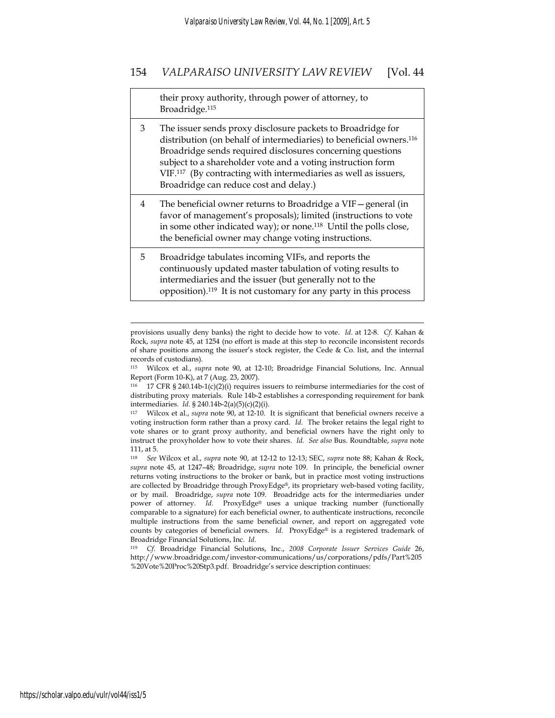|   | their proxy authority, through power of attorney, to<br>Broadridge. <sup>115</sup>                                                                                                                                                                                                                                                                                                                   |
|---|------------------------------------------------------------------------------------------------------------------------------------------------------------------------------------------------------------------------------------------------------------------------------------------------------------------------------------------------------------------------------------------------------|
| 3 | The issuer sends proxy disclosure packets to Broadridge for<br>distribution (on behalf of intermediaries) to beneficial owners. <sup>116</sup><br>Broadridge sends required disclosures concerning questions<br>subject to a shareholder vote and a voting instruction form<br>VIF. <sup>117</sup> (By contracting with intermediaries as well as issuers,<br>Broadridge can reduce cost and delay.) |
| 4 | The beneficial owner returns to Broadridge a VIF – general (in<br>favor of management's proposals); limited (instructions to vote<br>in some other indicated way); or none. <sup>118</sup> Until the polls close,<br>the beneficial owner may change voting instructions.                                                                                                                            |
| 5 | Broadridge tabulates incoming VIFs, and reports the<br>continuously updated master tabulation of voting results to<br>intermediaries and the issuer (but generally not to the<br>opposition). <sup>119</sup> It is not customary for any party in this process                                                                                                                                       |

provisions usually deny banks) the right to decide how to vote. *Id*. at 12-8. *Cf*. Kahan & Rock, *supra* note 45, at 1254 (no effort is made at this step to reconcile inconsistent records of share positions among the issuer's stock register, the Cede & Co. list, and the internal records of custodians).

115 Wilcox et al., *supra* note 90, at 12-10; Broadridge Financial Solutions, Inc. Annual Report (Form 10-K), at 7 (Aug. 23, 2007).

<sup>116</sup> 17 CFR § 240.14b-1(c)(2)(i) requires issuers to reimburse intermediaries for the cost of distributing proxy materials. Rule 14b-2 establishes a corresponding requirement for bank intermediaries. *Id.* § 240.14b-2(a)(5)(c)(2)(i).

117 Wilcox et al., *supra* note 90, at 12-10. It is significant that beneficial owners receive a voting instruction form rather than a proxy card. *Id.* The broker retains the legal right to vote shares or to grant proxy authority, and beneficial owners have the right only to instruct the proxyholder how to vote their shares. *Id. See also* Bus. Roundtable, *supra* note 111, at 5.

<sup>118</sup> *See* Wilcox et al., *supra* note 90, at 12-12 to 12-13; SEC, *supra* note 88; Kahan & Rock, *supra* note 45, at 1247–48; Broadridge, *supra* note 109. In principle, the beneficial owner returns voting instructions to the broker or bank, but in practice most voting instructions are collected by Broadridge through ProxyEdge®, its proprietary web-based voting facility, or by mail. Broadridge, *supra* note 109. Broadridge acts for the intermediaries under power of attorney. *Id.* ProxyEdge® uses a unique tracking number (functionally comparable to a signature) for each beneficial owner, to authenticate instructions, reconcile multiple instructions from the same beneficial owner, and report on aggregated vote counts by categories of beneficial owners. *Id.* ProxyEdge® is a registered trademark of Broadridge Financial Solutions, Inc. *Id.*

<sup>119</sup> *Cf*. Broadridge Financial Solutions, Inc., *2008 Corporate Issuer Services Guide* 26, http://www.broadridge.com/investor-communications/us/corporations/pdfs/Part%205 %20Vote%20Proc%20Stp3.pdf. Broadridge's service description continues: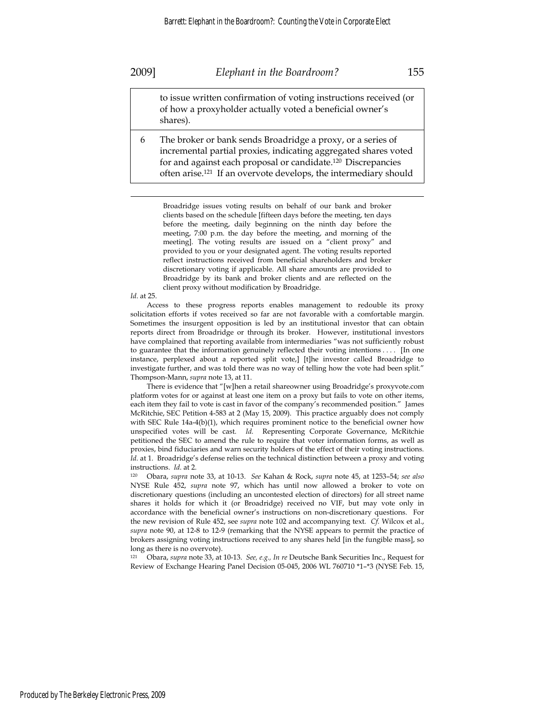to issue written confirmation of voting instructions received (or of how a proxyholder actually voted a beneficial owner's shares).

6 The broker or bank sends Broadridge a proxy, or a series of incremental partial proxies, indicating aggregated shares voted for and against each proposal or candidate.120 Discrepancies often arise.121 If an overvote develops, the intermediary should

Broadridge issues voting results on behalf of our bank and broker clients based on the schedule [fifteen days before the meeting, ten days before the meeting, daily beginning on the ninth day before the meeting, 7:00 p.m. the day before the meeting, and morning of the meeting]. The voting results are issued on a "client proxy" and provided to you or your designated agent. The voting results reported reflect instructions received from beneficial shareholders and broker discretionary voting if applicable. All share amounts are provided to Broadridge by its bank and broker clients and are reflected on the client proxy without modification by Broadridge.

#### *Id*. at 25.

 $\overline{a}$ 

 Access to these progress reports enables management to redouble its proxy solicitation efforts if votes received so far are not favorable with a comfortable margin. Sometimes the insurgent opposition is led by an institutional investor that can obtain reports direct from Broadridge or through its broker. However, institutional investors have complained that reporting available from intermediaries "was not sufficiently robust to guarantee that the information genuinely reflected their voting intentions . . . . [In one instance, perplexed about a reported split vote,] [t]he investor called Broadridge to investigate further, and was told there was no way of telling how the vote had been split." Thompson-Mann, *supra* note 13, at 11.

 There is evidence that "[w]hen a retail shareowner using Broadridge's proxyvote.com platform votes for or against at least one item on a proxy but fails to vote on other items, each item they fail to vote is cast in favor of the company's recommended position." James McRitchie, SEC Petition 4-583 at 2 (May 15, 2009). This practice arguably does not comply with SEC Rule 14a-4(b)(1), which requires prominent notice to the beneficial owner how unspecified votes will be cast. *Id.* Representing Corporate Governance, McRitchie petitioned the SEC to amend the rule to require that voter information forms, as well as proxies, bind fiduciaries and warn security holders of the effect of their voting instructions. *Id.* at 1. Broadridge's defense relies on the technical distinction between a proxy and voting instructions. *Id*. at 2. 120 Obara, *supra* note 33, at 10-13. *See* Kahan & Rock, *supra* note 45, at 1253–54; *see also* 

NYSE Rule 452, *supra* note 97, which has until now allowed a broker to vote on discretionary questions (including an uncontested election of directors) for all street name shares it holds for which it (or Broadridge) received no VIF, but may vote only in accordance with the beneficial owner's instructions on non-discretionary questions. For the new revision of Rule 452, see *supra* note 102 and accompanying text. *Cf.* Wilcox et al., *supra* note 90, at 12-8 to 12-9 (remarking that the NYSE appears to permit the practice of brokers assigning voting instructions received to any shares held [in the fungible mass], so long as there is no overvote).

121 Obara, *supra* note 33, at 10-13. *See, e.g., In re* Deutsche Bank Securities Inc., Request for Review of Exchange Hearing Panel Decision 05-045, 2006 WL 760710 \*1–\*3 (NYSE Feb. 15,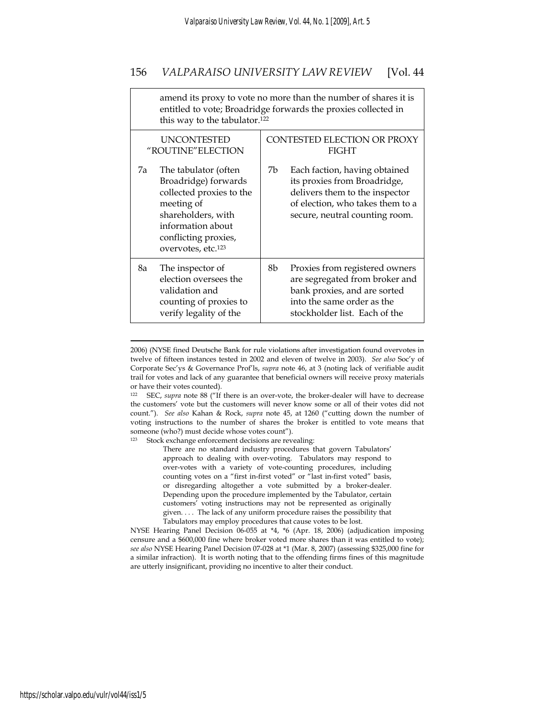| amend its proxy to vote no more than the number of shares it is<br>entitled to vote; Broadridge forwards the proxies collected in<br>this way to the tabulator. <sup>122</sup> |                                                                                                                                                                                             |                                                    |                                                                                                                                                                       |  |  |
|--------------------------------------------------------------------------------------------------------------------------------------------------------------------------------|---------------------------------------------------------------------------------------------------------------------------------------------------------------------------------------------|----------------------------------------------------|-----------------------------------------------------------------------------------------------------------------------------------------------------------------------|--|--|
| <b>UNCONTESTED</b><br>"ROUTINE" ELECTION                                                                                                                                       |                                                                                                                                                                                             | <b>CONTESTED ELECTION OR PROXY</b><br><b>FIGHT</b> |                                                                                                                                                                       |  |  |
| 7a                                                                                                                                                                             | The tabulator (often<br>Broadridge) forwards<br>collected proxies to the<br>meeting of<br>shareholders, with<br>information about<br>conflicting proxies,<br>overvotes, etc. <sup>123</sup> | 7b                                                 | Each faction, having obtained<br>its proxies from Broadridge,<br>delivers them to the inspector<br>of election, who takes them to a<br>secure, neutral counting room. |  |  |
| 8a                                                                                                                                                                             | The inspector of<br>election oversees the<br>validation and<br>counting of proxies to<br>verify legality of the                                                                             | 8b                                                 | Proxies from registered owners<br>are segregated from broker and<br>bank proxies, and are sorted<br>into the same order as the<br>stockholder list. Each of the       |  |  |

 $\overline{a}$ 2006) (NYSE fined Deutsche Bank for rule violations after investigation found overvotes in twelve of fifteen instances tested in 2002 and eleven of twelve in 2003). *See also* Soc'y of Corporate Sec'ys & Governance Prof'ls, *supra* note 46, at 3 (noting lack of verifiable audit trail for votes and lack of any guarantee that beneficial owners will receive proxy materials or have their votes counted).

122 SEC, *supra* note 88 ("If there is an over-vote, the broker-dealer will have to decrease the customers' vote but the customers will never know some or all of their votes did not count."). *See also* Kahan & Rock, *supra* note 45, at 1260 ("cutting down the number of voting instructions to the number of shares the broker is entitled to vote means that someone (who?) must decide whose votes count").

Stock exchange enforcement decisions are revealing:

There are no standard industry procedures that govern Tabulators' approach to dealing with over-voting. Tabulators may respond to over-votes with a variety of vote-counting procedures, including counting votes on a "first in-first voted" or "last in-first voted" basis, or disregarding altogether a vote submitted by a broker-dealer. Depending upon the procedure implemented by the Tabulator, certain customers' voting instructions may not be represented as originally given. . . . The lack of any uniform procedure raises the possibility that Tabulators may employ procedures that cause votes to be lost.

NYSE Hearing Panel Decision 06-055 at \*4, \*6 (Apr. 18, 2006) (adjudication imposing censure and a \$600,000 fine where broker voted more shares than it was entitled to vote); *see also* NYSE Hearing Panel Decision 07-028 at \*1 (Mar. 8, 2007) (assessing \$325,000 fine for a similar infraction). It is worth noting that to the offending firms fines of this magnitude are utterly insignificant, providing no incentive to alter their conduct.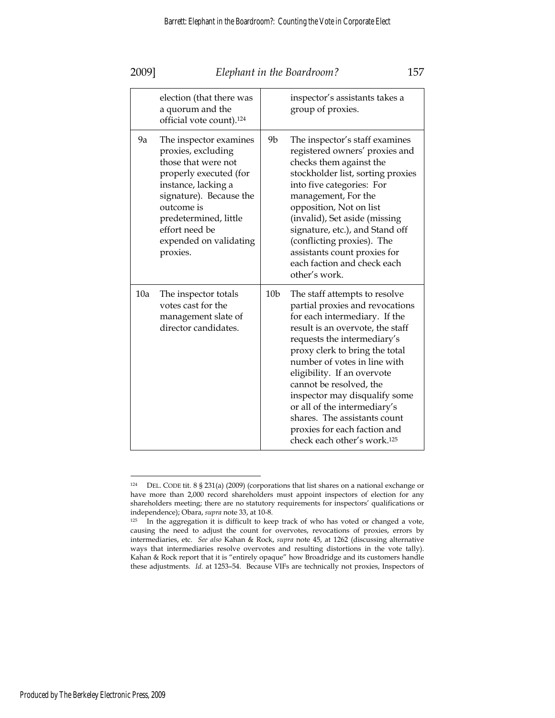2009] *Elephant in the Boardroom?* 157

|     | election (that there was<br>a quorum and the<br>official vote count). <sup>124</sup>                                                                                                                                                           |                 | inspector's assistants takes a<br>group of proxies.                                                                                                                                                                                                                                                                                                                                                                                                                          |
|-----|------------------------------------------------------------------------------------------------------------------------------------------------------------------------------------------------------------------------------------------------|-----------------|------------------------------------------------------------------------------------------------------------------------------------------------------------------------------------------------------------------------------------------------------------------------------------------------------------------------------------------------------------------------------------------------------------------------------------------------------------------------------|
| 9a  | The inspector examines<br>proxies, excluding<br>those that were not<br>properly executed (for<br>instance, lacking a<br>signature). Because the<br>outcome is<br>predetermined, little<br>effort need be<br>expended on validating<br>proxies. | 9b              | The inspector's staff examines<br>registered owners' proxies and<br>checks them against the<br>stockholder list, sorting proxies<br>into five categories: For<br>management, For the<br>opposition, Not on list<br>(invalid), Set aside (missing<br>signature, etc.), and Stand off<br>(conflicting proxies). The<br>assistants count proxies for<br>each faction and check each<br>other's work.                                                                            |
| 10a | The inspector totals<br>votes cast for the<br>management slate of<br>director candidates.                                                                                                                                                      | 10 <sub>b</sub> | The staff attempts to resolve<br>partial proxies and revocations<br>for each intermediary. If the<br>result is an overvote, the staff<br>requests the intermediary's<br>proxy clerk to bring the total<br>number of votes in line with<br>eligibility. If an overvote<br>cannot be resolved, the<br>inspector may disqualify some<br>or all of the intermediary's<br>shares. The assistants count<br>proxies for each faction and<br>check each other's work. <sup>125</sup> |

<sup>124</sup> DEL. CODE tit. 8 § 231(a) (2009) (corporations that list shares on a national exchange or have more than 2,000 record shareholders must appoint inspectors of election for any shareholders meeting; there are no statutory requirements for inspectors' qualifications or independence); Obara, *supra* note 33, at 10-8.

<sup>&</sup>lt;sup>125</sup> In the aggregation it is difficult to keep track of who has voted or changed a vote, causing the need to adjust the count for overvotes, revocations of proxies, errors by intermediaries, etc. *See also* Kahan & Rock, *supra* note 45, at 1262 (discussing alternative ways that intermediaries resolve overvotes and resulting distortions in the vote tally). Kahan & Rock report that it is "entirely opaque" how Broadridge and its customers handle these adjustments. *Id.* at 1253–54. Because VIFs are technically not proxies, Inspectors of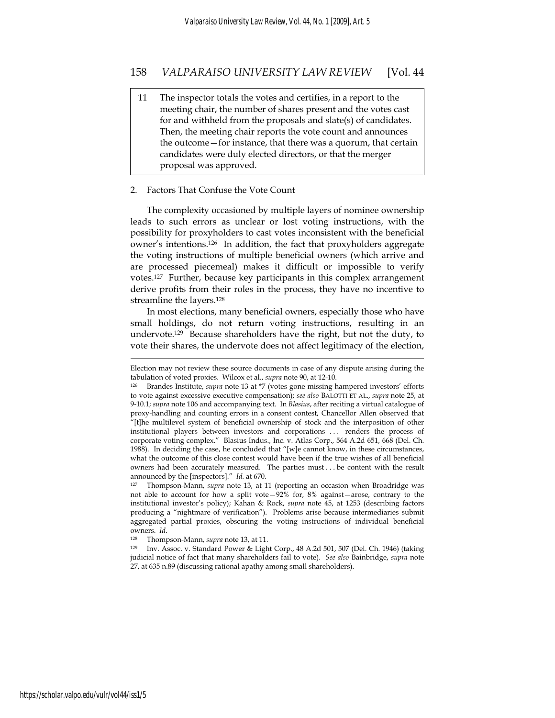11 The inspector totals the votes and certifies, in a report to the meeting chair, the number of shares present and the votes cast for and withheld from the proposals and slate(s) of candidates. Then, the meeting chair reports the vote count and announces the outcome—for instance, that there was a quorum, that certain candidates were duly elected directors, or that the merger proposal was approved.

#### 2. Factors That Confuse the Vote Count

The complexity occasioned by multiple layers of nominee ownership leads to such errors as unclear or lost voting instructions, with the possibility for proxyholders to cast votes inconsistent with the beneficial owner's intentions.126 In addition, the fact that proxyholders aggregate the voting instructions of multiple beneficial owners (which arrive and are processed piecemeal) makes it difficult or impossible to verify votes.127 Further, because key participants in this complex arrangement derive profits from their roles in the process, they have no incentive to streamline the layers.128

In most elections, many beneficial owners, especially those who have small holdings, do not return voting instructions, resulting in an undervote.129 Because shareholders have the right, but not the duty, to vote their shares, the undervote does not affect legitimacy of the election,

Election may not review these source documents in case of any dispute arising during the tabulation of voted proxies. Wilcox et al., *supra* note 90, at 12-10.

<sup>126</sup> Brandes Institute, *supra* note 13 at \*7 (votes gone missing hampered investors' efforts to vote against excessive executive compensation); *see also* BALOTTI ET AL., *supra* note 25, at 9-10.1; *supra* note 106 and accompanying text. In *Blasius*, after reciting a virtual catalogue of proxy-handling and counting errors in a consent contest, Chancellor Allen observed that "[t]he multilevel system of beneficial ownership of stock and the interposition of other institutional players between investors and corporations . . . renders the process of corporate voting complex." Blasius Indus., Inc. v. Atlas Corp., 564 A.2d 651, 668 (Del. Ch. 1988). In deciding the case, he concluded that "[w]e cannot know, in these circumstances, what the outcome of this close contest would have been if the true wishes of all beneficial owners had been accurately measured. The parties must . . . be content with the result announced by the [inspectors]." *Id.* at 670.

<sup>127</sup> Thompson-Mann, *supra* note 13, at 11 (reporting an occasion when Broadridge was not able to account for how a split vote—92% for, 8% against—arose, contrary to the institutional investor's policy); Kahan & Rock, *supra* note 45, at 1253 (describing factors producing a "nightmare of verification"). Problems arise because intermediaries submit aggregated partial proxies, obscuring the voting instructions of individual beneficial owners. *Id*.<br><sup>128</sup> Thompson-Mann, *supra* note 13, at 11.<br><sup>129</sup> Inv. Assoc. v. Standard Power & Light Corp., 48 A.2d 501, 507 (Del. Ch. 1946) (taking

judicial notice of fact that many shareholders fail to vote). *See also* Bainbridge, *supra* note 27, at 635 n.89 (discussing rational apathy among small shareholders).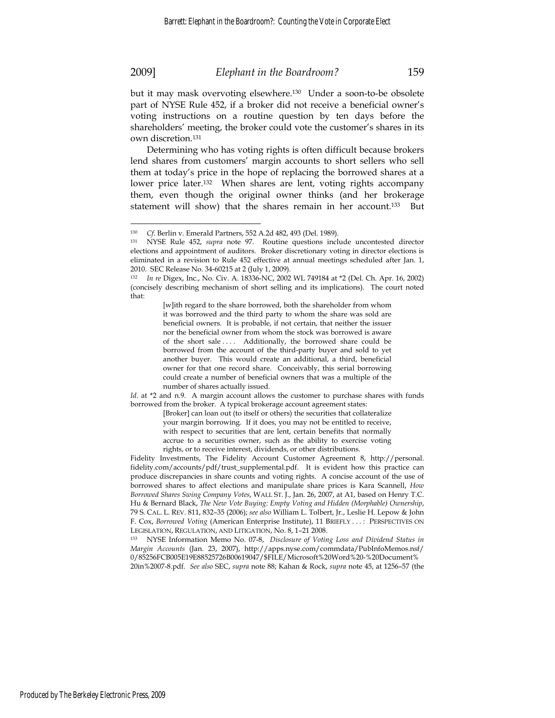#### 2009] *Elephant in the Boardroom?* 159

but it may mask overvoting elsewhere.<sup>130</sup> Under a soon-to-be obsolete part of NYSE Rule 452, if a broker did not receive a beneficial owner's voting instructions on a routine question by ten days before the shareholders' meeting, the broker could vote the customer's shares in its own discretion.131

Determining who has voting rights is often difficult because brokers lend shares from customers' margin accounts to short sellers who sell them at today's price in the hope of replacing the borrowed shares at a lower price later.<sup>132</sup> When shares are lent, voting rights accompany them, even though the original owner thinks (and her brokerage statement will show) that the shares remain in her account.<sup>133</sup> But

[w]ith regard to the share borrowed, both the shareholder from whom it was borrowed and the third party to whom the share was sold are beneficial owners. It is probable, if not certain, that neither the issuer nor the beneficial owner from whom the stock was borrowed is aware of the short sale . . . . Additionally, the borrowed share could be borrowed from the account of the third-party buyer and sold to yet another buyer. This would create an additional, a third, beneficial owner for that one record share. Conceivably, this serial borrowing could create a number of beneficial owners that was a multiple of the number of shares actually issued.

*Id.* at \*2 and n.9. A margin account allows the customer to purchase shares with funds borrowed from the broker. A typical brokerage account agreement states:

> [Broker] can loan out (to itself or others) the securities that collateralize your margin borrowing. If it does, you may not be entitled to receive, with respect to securities that are lent, certain benefits that normally accrue to a securities owner, such as the ability to exercise voting rights, or to receive interest, dividends, or other distributions.

Fidelity Investments, The Fidelity Account Customer Agreement 8, http://personal. fidelity.com/accounts/pdf/trust\_supplemental.pdf. It is evident how this practice can produce discrepancies in share counts and voting rights. A concise account of the use of borrowed shares to affect elections and manipulate share prices is Kara Scannell, *How Borrowed Shares Swing Company Votes*, WALL ST. J., Jan. 26, 2007, at A1, based on Henry T.C. Hu & Bernard Black, *The New Vote Buying: Empty Voting and Hidden (Morphable) Ownership*, 79 S. CAL. L. REV. 811, 832–35 (2006); *see also* William L. Tolbert, Jr., Leslie H. Lepow & John F. Cox, *Borrowed Voting* (American Enterprise Institute), 11 BRIEFLY . . . : PERSPECTIVES ON

LEGISLATION, REGULATION, AND LITIGATION, No. 8, 1–21 2008.<br><sup>133</sup> NYSE Information Memo No. 07-8, *Disclosure of Voting Loss and Dividend Status in Margin Accounts* (Jan. 23, 2007), http://apps.nyse.com/commdata/PubInfoMemos.nsf/ 0/85256FCB005E19E88525726B00619047/\$FILE/Microsoft%20Word%20-%20Document% 20in%2007-8.pdf. *See also* SEC, *supra* note 88; Kahan & Rock, *supra* note 45, at 1256–57 (the

<sup>130</sup> *Cf*. Berlin v. Emerald Partners, 552 A.2d 482, 493 (Del. 1989). 131 NYSE Rule 452, *supra* note 97. Routine questions include uncontested director elections and appointment of auditors. Broker discretionary voting in director elections is eliminated in a revision to Rule 452 effective at annual meetings scheduled after Jan. 1, 2010. SEC Release No. 34-60215 at 2 (July 1, 2009).

<sup>132</sup> *In re* Digex, Inc., No. Civ. A. 18336-NC, 2002 WL 749184 at \*2 (Del. Ch. Apr. 16, 2002) (concisely describing mechanism of short selling and its implications). The court noted that: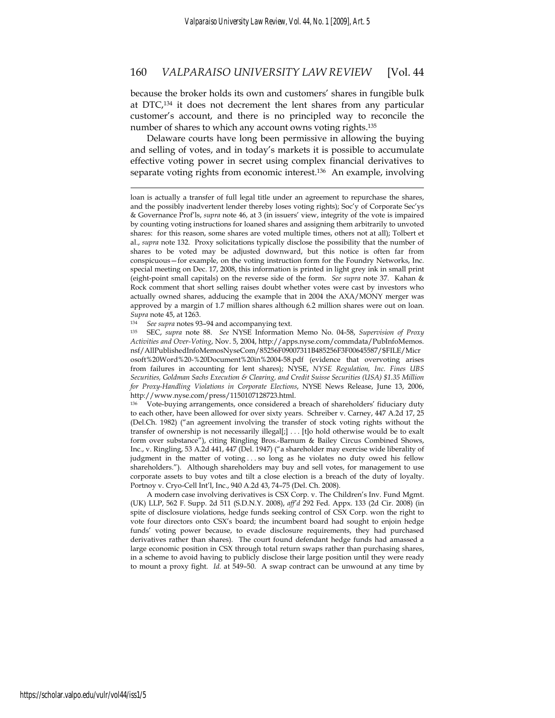because the broker holds its own and customers' shares in fungible bulk at DTC,134 it does not decrement the lent shares from any particular customer's account, and there is no principled way to reconcile the number of shares to which any account owns voting rights.<sup>135</sup>

Delaware courts have long been permissive in allowing the buying and selling of votes, and in today's markets it is possible to accumulate effective voting power in secret using complex financial derivatives to separate voting rights from economic interest.136 An example, involving

 $\overline{a}$ 

 A modern case involving derivatives is CSX Corp. v. The Children's Inv. Fund Mgmt. (UK) LLP, 562 F. Supp. 2d 511 (S.D.N.Y. 2008), *aff'd* 292 Fed. Appx. 133 (2d Cir. 2008) (in spite of disclosure violations, hedge funds seeking control of CSX Corp. won the right to vote four directors onto CSX's board; the incumbent board had sought to enjoin hedge funds' voting power because, to evade disclosure requirements, they had purchased derivatives rather than shares). The court found defendant hedge funds had amassed a large economic position in CSX through total return swaps rather than purchasing shares, in a scheme to avoid having to publicly disclose their large position until they were ready to mount a proxy fight. *Id.* at 549–50. A swap contract can be unwound at any time by

loan is actually a transfer of full legal title under an agreement to repurchase the shares, and the possibly inadvertent lender thereby loses voting rights); Soc'y of Corporate Sec'ys & Governance Prof'ls, *supra* note 46, at 3 (in issuers' view, integrity of the vote is impaired by counting voting instructions for loaned shares and assigning them arbitrarily to unvoted shares: for this reason, some shares are voted multiple times, others not at all); Tolbert et al., *supra* note 132. Proxy solicitations typically disclose the possibility that the number of shares to be voted may be adjusted downward, but this notice is often far from conspicuous—for example, on the voting instruction form for the Foundry Networks, Inc. special meeting on Dec. 17, 2008, this information is printed in light grey ink in small print (eight-point small capitals) on the reverse side of the form. *See supra* note 37. Kahan & Rock comment that short selling raises doubt whether votes were cast by investors who actually owned shares, adducing the example that in 2004 the AXA/MONY merger was approved by a margin of 1.7 million shares although 6.2 million shares were out on loan. *Supra* note 45, at 1263.

<sup>134</sup> *See supra* notes 93–94 and accompanying text. 135 SEC, *supra* note 88. *See* NYSE Information Memo No. 04-58, *Supervision of Proxy Activities and Over-Voting*, Nov. 5, 2004, http://apps.nyse.com/commdata/PubInfoMemos. nsf/AllPublishedInfoMemosNyseCom/85256F09007311B485256F3F00645587/\$FILE/Micr osoft%20Word%20-%20Document%20in%2004-58.pdf (evidence that overvoting arises from failures in accounting for lent shares); NYSE, *NYSE Regulation, Inc. Fines UBS Securities, Goldman Sachs Execution & Clearing, and Credit Suisse Securities (USA) \$1.35 Million for Proxy-Handling Violations in Corporate Elections*, NYSE News Release, June 13, 2006, http://www.nyse.com/press/1150107128723.html.

Vote-buying arrangements, once considered a breach of shareholders' fiduciary duty to each other, have been allowed for over sixty years. Schreiber v. Carney, 447 A.2d 17, 25 (Del.Ch. 1982) ("an agreement involving the transfer of stock voting rights without the transfer of ownership is not necessarily illegal[;] . . . [t]o hold otherwise would be to exalt form over substance"), citing Ringling Bros.-Barnum & Bailey Circus Combined Shows, Inc., v. Ringling, 53 A.2d 441, 447 (Del. 1947) ("a shareholder may exercise wide liberality of judgment in the matter of voting . . . so long as he violates no duty owed his fellow shareholders."). Although shareholders may buy and sell votes, for management to use corporate assets to buy votes and tilt a close election is a breach of the duty of loyalty. Portnoy v. Cryo-Cell Int'l, Inc., 940 A.2d 43, 74–75 (Del. Ch. 2008).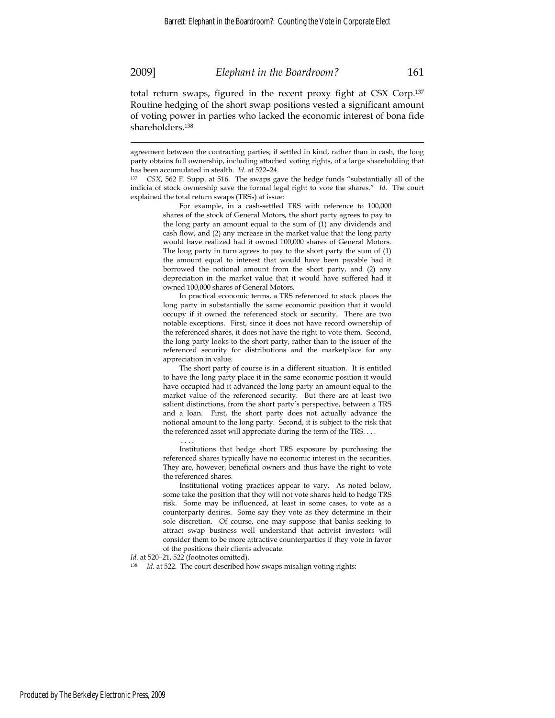total return swaps, figured in the recent proxy fight at CSX Corp.<sup>137</sup> Routine hedging of the short swap positions vested a significant amount of voting power in parties who lacked the economic interest of bona fide shareholders.138

agreement between the contracting parties; if settled in kind, rather than in cash, the long party obtains full ownership, including attached voting rights, of a large shareholding that has been accumulated in stealth. *Id.* at 522–24.

<sup>137</sup> *CSX*, 562 F. Supp. at 516. The swaps gave the hedge funds "substantially all of the indicia of stock ownership save the formal legal right to vote the shares." *Id*. The court explained the total return swaps (TRSs) at issue:

For example, in a cash-settled TRS with reference to 100,000 shares of the stock of General Motors, the short party agrees to pay to the long party an amount equal to the sum of (1) any dividends and cash flow, and (2) any increase in the market value that the long party would have realized had it owned 100,000 shares of General Motors. The long party in turn agrees to pay to the short party the sum of (1) the amount equal to interest that would have been payable had it borrowed the notional amount from the short party, and (2) any depreciation in the market value that it would have suffered had it owned 100,000 shares of General Motors.

In practical economic terms, a TRS referenced to stock places the long party in substantially the same economic position that it would occupy if it owned the referenced stock or security. There are two notable exceptions. First, since it does not have record ownership of the referenced shares, it does not have the right to vote them. Second, the long party looks to the short party, rather than to the issuer of the referenced security for distributions and the marketplace for any appreciation in value.

The short party of course is in a different situation. It is entitled to have the long party place it in the same economic position it would have occupied had it advanced the long party an amount equal to the market value of the referenced security. But there are at least two salient distinctions, from the short party's perspective, between a TRS and a loan. First, the short party does not actually advance the notional amount to the long party. Second, it is subject to the risk that the referenced asset will appreciate during the term of the TRS. . . .

 <sup>. . . .</sup>  Institutions that hedge short TRS exposure by purchasing the referenced shares typically have no economic interest in the securities. They are, however, beneficial owners and thus have the right to vote the referenced shares.

Institutional voting practices appear to vary. As noted below, some take the position that they will not vote shares held to hedge TRS risk. Some may be influenced, at least in some cases, to vote as a counterparty desires. Some say they vote as they determine in their sole discretion. Of course, one may suppose that banks seeking to attract swap business well understand that activist investors will consider them to be more attractive counterparties if they vote in favor of the positions their clients advocate.

*Id.* at 520–21, 522 (footnotes omitted).<br><sup>138</sup> *Id.* at 522. The court described how swaps misalign voting rights: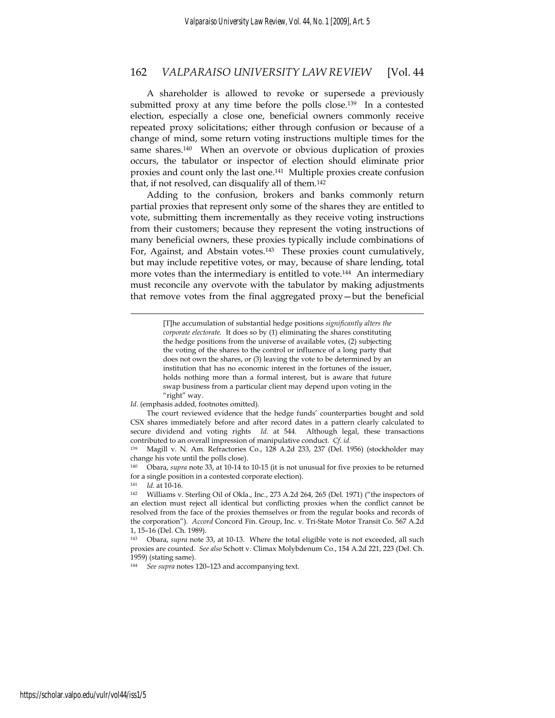A shareholder is allowed to revoke or supersede a previously submitted proxy at any time before the polls close.<sup>139</sup> In a contested election, especially a close one, beneficial owners commonly receive repeated proxy solicitations; either through confusion or because of a change of mind, some return voting instructions multiple times for the same shares.140 When an overvote or obvious duplication of proxies occurs, the tabulator or inspector of election should eliminate prior proxies and count only the last one.141 Multiple proxies create confusion that, if not resolved, can disqualify all of them.142

Adding to the confusion, brokers and banks commonly return partial proxies that represent only some of the shares they are entitled to vote, submitting them incrementally as they receive voting instructions from their customers; because they represent the voting instructions of many beneficial owners, these proxies typically include combinations of For, Against, and Abstain votes.<sup>143</sup> These proxies count cumulatively, but may include repetitive votes, or may, because of share lending, total more votes than the intermediary is entitled to vote.144 An intermediary must reconcile any overvote with the tabulator by making adjustments that remove votes from the final aggregated proxy—but the beneficial

> [T]he accumulation of substantial hedge positions *significantly alters the corporate electorate*. It does so by (1) eliminating the shares constituting the hedge positions from the universe of available votes, (2) subjecting the voting of the shares to the control or influence of a long party that does not own the shares, or (3) leaving the vote to be determined by an institution that has no economic interest in the fortunes of the issuer, holds nothing more than a formal interest, but is aware that future swap business from a particular client may depend upon voting in the "right" way.

Id. (emphasis added, footnotes omitted).

 The court reviewed evidence that the hedge funds' counterparties bought and sold CSX shares immediately before and after record dates in a pattern clearly calculated to secure dividend and voting rights *Id.* at 544. Although legal, these transactions contributed to an overall impression of manipulative conduct. *Cf*. *id.*

139 Magill v. N. Am. Refractories Co., 128 A.2d 233, 237 (Del. 1956) (stockholder may change his vote until the polls close).

140 Obara, *supra* note 33, at 10-14 to 10-15 (it is not unusual for five proxies to be returned for a single position in a contested corporate election).

 $\overline{a}$ 

<sup>144</sup> *See supra* notes 120–123 and accompanying text.

<sup>141</sup> *Id*. at 10-16. 142 Williams v. Sterling Oil of Okla., Inc., 273 A.2d 264, 265 (Del. 1971) ("the inspectors of an election must reject all identical but conflicting proxies when the conflict cannot be resolved from the face of the proxies themselves or from the regular books and records of the corporation"). *Accord* Concord Fin. Group, Inc. v. Tri-State Motor Transit Co. 567 A.2d 1, 15–16 (Del. Ch. 1989).

<sup>143</sup> Obara, *supra* note 33, at 10-13. Where the total eligible vote is not exceeded, all such proxies are counted. *See also* Schott v. Climax Molybdenum Co., 154 A.2d 221, 223 (Del. Ch. 1959) (stating same).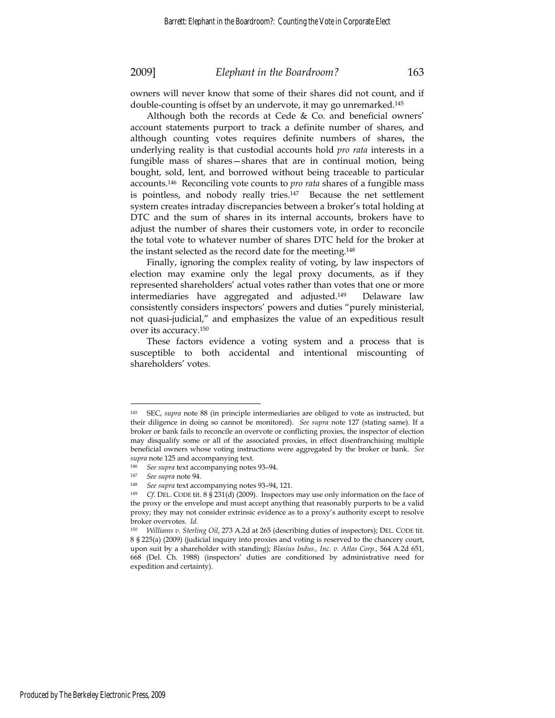#### 2009] *Elephant in the Boardroom?* 163

owners will never know that some of their shares did not count, and if double-counting is offset by an undervote, it may go unremarked.145

Although both the records at Cede & Co. and beneficial owners' account statements purport to track a definite number of shares, and although counting votes requires definite numbers of shares, the underlying reality is that custodial accounts hold *pro rata* interests in a fungible mass of shares—shares that are in continual motion, being bought, sold, lent, and borrowed without being traceable to particular accounts.146 Reconciling vote counts to *pro rata* shares of a fungible mass is pointless, and nobody really tries.147 Because the net settlement system creates intraday discrepancies between a broker's total holding at DTC and the sum of shares in its internal accounts, brokers have to adjust the number of shares their customers vote, in order to reconcile the total vote to whatever number of shares DTC held for the broker at the instant selected as the record date for the meeting.148

Finally, ignoring the complex reality of voting, by law inspectors of election may examine only the legal proxy documents, as if they represented shareholders' actual votes rather than votes that one or more intermediaries have aggregated and adjusted.149 Delaware law consistently considers inspectors' powers and duties "purely ministerial, not quasi-judicial," and emphasizes the value of an expeditious result over its accuracy.150

These factors evidence a voting system and a process that is susceptible to both accidental and intentional miscounting of shareholders' votes.

<sup>145</sup> SEC, *supra* note 88 (in principle intermediaries are obliged to vote as instructed, but their diligence in doing so cannot be monitored). *See supra* note 127 (stating same). If a broker or bank fails to reconcile an overvote or conflicting proxies, the inspector of election may disqualify some or all of the associated proxies, in effect disenfranchising multiple beneficial owners whose voting instructions were aggregated by the broker or bank. *See supra* note 125 and accompanying text.

<sup>146</sup> *See supra* text accompanying notes 93–94. 147 *See supra* note 94.

<sup>&</sup>lt;sup>148</sup> See supra text accompanying notes 93–94, 121.<br><sup>149</sup> Cf. DEL. CODE tit. 8 § 231(d) (2009). Inspectors may use only information on the face of the proxy or the envelope and must accept anything that reasonably purports to be a valid proxy; they may not consider extrinsic evidence as to a proxy's authority except to resolve broker overvotes. *Id*.

<sup>150</sup> *Williams v. Sterling Oil*, 273 A.2d at 265 (describing duties of inspectors); DEL. CODE tit. 8 § 225(a) (2009) (judicial inquiry into proxies and voting is reserved to the chancery court, upon suit by a shareholder with standing); *Blasius Indus., Inc. v. Atlas Corp.,* 564 A.2d 651, 668 (Del. Ch. 1988) (inspectors' duties are conditioned by administrative need for expedition and certainty).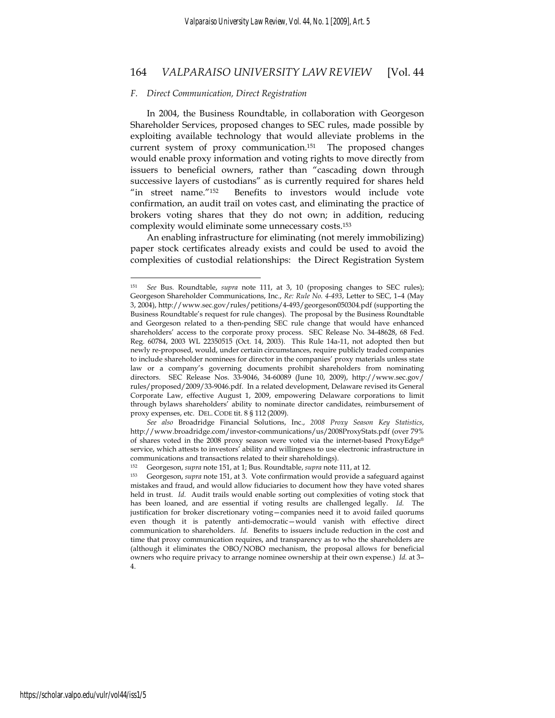#### *F. Direct Communication, Direct Registration*

 $\overline{a}$ 

In 2004, the Business Roundtable, in collaboration with Georgeson Shareholder Services, proposed changes to SEC rules, made possible by exploiting available technology that would alleviate problems in the current system of proxy communication.151 The proposed changes would enable proxy information and voting rights to move directly from issuers to beneficial owners, rather than "cascading down through successive layers of custodians" as is currently required for shares held "in street name."152 Benefits to investors would include vote confirmation, an audit trail on votes cast, and eliminating the practice of brokers voting shares that they do not own; in addition, reducing complexity would eliminate some unnecessary costs.153

An enabling infrastructure for eliminating (not merely immobilizing) paper stock certificates already exists and could be used to avoid the complexities of custodial relationships: the Direct Registration System

<sup>151</sup> *See* Bus. Roundtable, *supra* note 111, at 3, 10 (proposing changes to SEC rules); Georgeson Shareholder Communications, Inc., *Re: Rule No. 4-493*, Letter to SEC, 1–4 (May 3, 2004), http://www.sec.gov/rules/petitions/4-493/georgeson050304.pdf (supporting the Business Roundtable's request for rule changes). The proposal by the Business Roundtable and Georgeson related to a then-pending SEC rule change that would have enhanced shareholders' access to the corporate proxy process. SEC Release No. 34-48628, 68 Fed. Reg. 60784, 2003 WL 22350515 (Oct. 14, 2003). This Rule 14a-11, not adopted then but newly re-proposed, would, under certain circumstances, require publicly traded companies to include shareholder nominees for director in the companies' proxy materials unless state law or a company's governing documents prohibit shareholders from nominating directors. SEC Release Nos. 33-9046, 34-60089 (June 10, 2009), http://www.sec.gov/ rules/proposed/2009/33-9046.pdf. In a related development, Delaware revised its General Corporate Law, effective August 1, 2009, empowering Delaware corporations to limit through bylaws shareholders' ability to nominate director candidates, reimbursement of proxy expenses, etc. DEL. CODE tit. 8 § 112 (2009).

*See also* Broadridge Financial Solutions, Inc., *2008 Proxy Season Key Statistics*, http://www.broadridge.com/investor-communications/us/2008ProxyStats.pdf (over 79% of shares voted in the 2008 proxy season were voted via the internet-based ProxyEdge® service, which attests to investors' ability and willingness to use electronic infrastructure in communications and transactions related to their shareholdings).

<sup>&</sup>lt;sup>152</sup> Georgeson, *supra* note 151, at 1; Bus. Roundtable, *supra* note 111, at 12.<br><sup>153</sup> Georgeson, *supra* note 151, at 3. Vote confirmation would provide a safeguard against

mistakes and fraud, and would allow fiduciaries to document how they have voted shares held in trust. *Id.* Audit trails would enable sorting out complexities of voting stock that has been loaned, and are essential if voting results are challenged legally. *Id.* The justification for broker discretionary voting—companies need it to avoid failed quorums even though it is patently anti-democratic—would vanish with effective direct communication to shareholders. *Id.* Benefits to issuers include reduction in the cost and time that proxy communication requires, and transparency as to who the shareholders are (although it eliminates the OBO/NOBO mechanism, the proposal allows for beneficial owners who require privacy to arrange nominee ownership at their own expense.) *Id.* at 3– 4.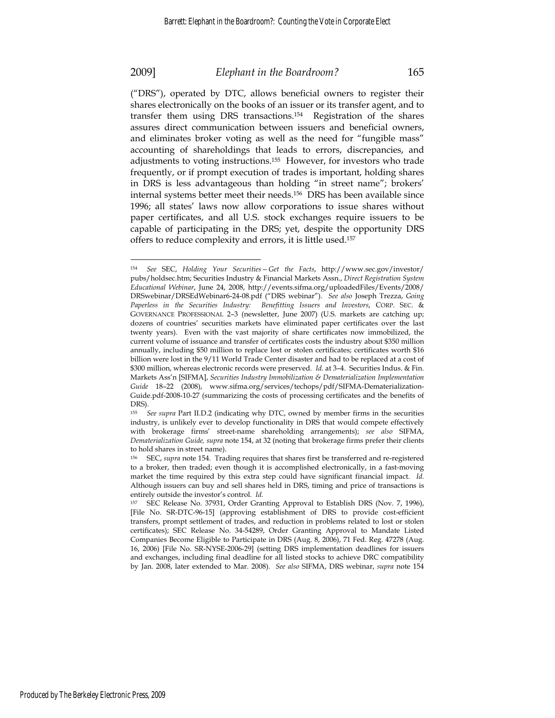#### 2009] *Elephant in the Boardroom?* 165

("DRS"), operated by DTC, allows beneficial owners to register their shares electronically on the books of an issuer or its transfer agent, and to transfer them using DRS transactions.154 Registration of the shares assures direct communication between issuers and beneficial owners, and eliminates broker voting as well as the need for "fungible mass" accounting of shareholdings that leads to errors, discrepancies, and adjustments to voting instructions.155 However, for investors who trade frequently, or if prompt execution of trades is important, holding shares in DRS is less advantageous than holding "in street name"; brokers' internal systems better meet their needs.156 DRS has been available since 1996; all states' laws now allow corporations to issue shares without paper certificates, and all U.S. stock exchanges require issuers to be capable of participating in the DRS; yet, despite the opportunity DRS offers to reduce complexity and errors, it is little used.157

<sup>154</sup> *See* SEC, *Holding Your Securities—Get the Facts*, http://www.sec.gov/investor/ pubs/holdsec.htm; Securities Industry & Financial Markets Assn., *Direct Registration System Educational Webinar*, June 24, 2008, http://events.sifma.org/uploadedFiles/Events/2008/ DRSwebinar/DRSEdWebinar6-24-08.pdf ("DRS webinar"). *See also* Joseph Trezza, *Going Paperless in the Securities Industry: Benefitting Issuers and Investors*, CORP. SEC. & GOVERNANCE PROFESSIONAL 2–3 (newsletter, June 2007) (U.S. markets are catching up; dozens of countries' securities markets have eliminated paper certificates over the last twenty years). Even with the vast majority of share certificates now immobilized, the current volume of issuance and transfer of certificates costs the industry about \$350 million annually, including \$50 million to replace lost or stolen certificates; certificates worth \$16 billion were lost in the 9/11 World Trade Center disaster and had to be replaced at a cost of \$300 million, whereas electronic records were preserved. *Id.* at 3–4. Securities Indus. & Fin. Markets Ass'n [SIFMA], *Securities Industry Immobilization & Dematerialization Implementation Guide* 18–22 (2008), www.sifma.org/services/techops/pdf/SIFMA-Dematerialization-Guide.pdf-2008-10-27 (summarizing the costs of processing certificates and the benefits of DRS).

<sup>155</sup> *See supra* Part II.D.2 (indicating why DTC, owned by member firms in the securities industry, is unlikely ever to develop functionality in DRS that would compete effectively with brokerage firms' street-name shareholding arrangements); *see also* SIFMA, *Dematerialization Guide, supra* note 154, at 32 (noting that brokerage firms prefer their clients to hold shares in street name).

<sup>156</sup> SEC, *supra* note 154. Trading requires that shares first be transferred and re-registered to a broker, then traded; even though it is accomplished electronically, in a fast-moving market the time required by this extra step could have significant financial impact. *Id.* Although issuers can buy and sell shares held in DRS, timing and price of transactions is entirely outside the investor's control. *Id.* 157 September 157 SEC Release No. 37931, Order Granting Approval to Establish DRS (Nov. 7, 1996),

<sup>[</sup>File No. SR-DTC-96-15] (approving establishment of DRS to provide cost-efficient transfers, prompt settlement of trades, and reduction in problems related to lost or stolen certificates); SEC Release No. 34-54289, Order Granting Approval to Mandate Listed Companies Become Eligible to Participate in DRS (Aug. 8, 2006), 71 Fed. Reg. 47278 (Aug. 16, 2006) [File No. SR-NYSE-2006-29] (setting DRS implementation deadlines for issuers and exchanges, including final deadline for all listed stocks to achieve DRC compatibility by Jan. 2008, later extended to Mar. 2008). *See also* SIFMA, DRS webinar, *supra* note 154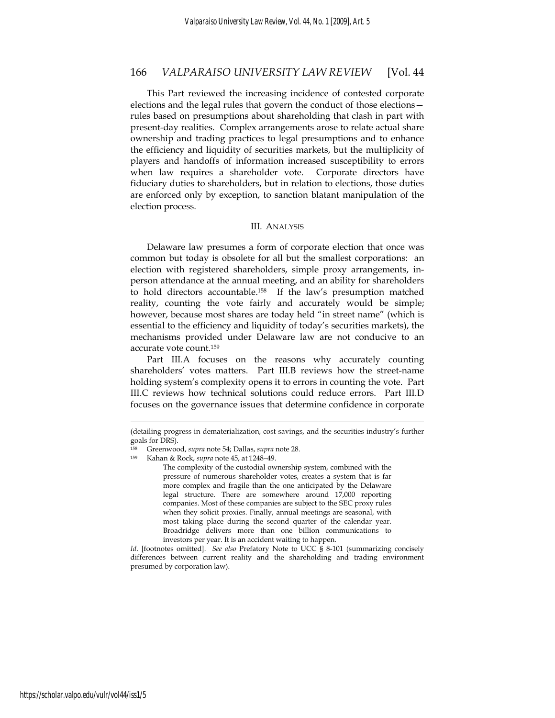This Part reviewed the increasing incidence of contested corporate elections and the legal rules that govern the conduct of those elections rules based on presumptions about shareholding that clash in part with present-day realities. Complex arrangements arose to relate actual share ownership and trading practices to legal presumptions and to enhance the efficiency and liquidity of securities markets, but the multiplicity of players and handoffs of information increased susceptibility to errors when law requires a shareholder vote. Corporate directors have fiduciary duties to shareholders, but in relation to elections, those duties are enforced only by exception, to sanction blatant manipulation of the election process.

#### III. ANALYSIS

Delaware law presumes a form of corporate election that once was common but today is obsolete for all but the smallest corporations: an election with registered shareholders, simple proxy arrangements, inperson attendance at the annual meeting, and an ability for shareholders to hold directors accountable.158 If the law's presumption matched reality, counting the vote fairly and accurately would be simple; however, because most shares are today held "in street name" (which is essential to the efficiency and liquidity of today's securities markets), the mechanisms provided under Delaware law are not conducive to an accurate vote count.159

Part III.A focuses on the reasons why accurately counting shareholders' votes matters. Part III.B reviews how the street-name holding system's complexity opens it to errors in counting the vote. Part III.C reviews how technical solutions could reduce errors. Part III.D focuses on the governance issues that determine confidence in corporate

<sup>(</sup>detailing progress in dematerialization, cost savings, and the securities industry's further goals for DRS).

<sup>158</sup> Greenwood, *supra* note 54; Dallas, *supra* note 28. 159 Kahan & Rock, *supra* note 45, at 1248–49.

The complexity of the custodial ownership system, combined with the pressure of numerous shareholder votes, creates a system that is far more complex and fragile than the one anticipated by the Delaware legal structure. There are somewhere around 17,000 reporting companies. Most of these companies are subject to the SEC proxy rules when they solicit proxies. Finally, annual meetings are seasonal, with most taking place during the second quarter of the calendar year. Broadridge delivers more than one billion communications to investors per year. It is an accident waiting to happen.

*Id*. [footnotes omitted]. *See also* Prefatory Note to UCC § 8-101 (summarizing concisely differences between current reality and the shareholding and trading environment presumed by corporation law).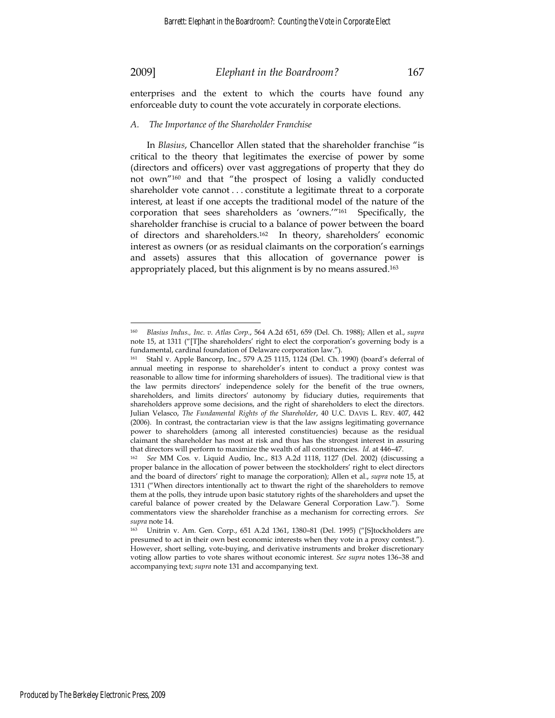enterprises and the extent to which the courts have found any enforceable duty to count the vote accurately in corporate elections.

#### *A. The Importance of the Shareholder Franchise*

In *Blasius*, Chancellor Allen stated that the shareholder franchise "is critical to the theory that legitimates the exercise of power by some (directors and officers) over vast aggregations of property that they do not own"160 and that "the prospect of losing a validly conducted shareholder vote cannot . . . constitute a legitimate threat to a corporate interest, at least if one accepts the traditional model of the nature of the corporation that sees shareholders as 'owners.'"161 Specifically, the shareholder franchise is crucial to a balance of power between the board of directors and shareholders.162 In theory, shareholders' economic interest as owners (or as residual claimants on the corporation's earnings and assets) assures that this allocation of governance power is appropriately placed, but this alignment is by no means assured.163

<sup>160</sup> *Blasius Indus., Inc. v. Atlas Corp.*, 564 A.2d 651, 659 (Del. Ch. 1988); Allen et al., *supra* note 15, at 1311 ("[T]he shareholders' right to elect the corporation's governing body is a

fundamental, cardinal foundation of Delaware corporation law.").<br><sup>161</sup> Stahl v. Apple Bancorp, Inc., 579 A.25 1115, 1124 (Del. Ch. 1990) (board's deferral of annual meeting in response to shareholder's intent to conduct a proxy contest was reasonable to allow time for informing shareholders of issues). The traditional view is that the law permits directors' independence solely for the benefit of the true owners, shareholders, and limits directors' autonomy by fiduciary duties, requirements that shareholders approve some decisions, and the right of shareholders to elect the directors. Julian Velasco, *The Fundamental Rights of the Shareholder*, 40 U.C. DAVIS L. REV. 407, 442 (2006). In contrast, the contractarian view is that the law assigns legitimating governance power to shareholders (among all interested constituencies) because as the residual claimant the shareholder has most at risk and thus has the strongest interest in assuring that directors will perform to maximize the wealth of all constituencies. *Id.* at 446–47.

<sup>162</sup> *See* MM Cos*.* v. Liquid Audio, Inc., 813 A.2d 1118, 1127 (Del. 2002) (discussing a proper balance in the allocation of power between the stockholders' right to elect directors and the board of directors' right to manage the corporation); Allen et al., *supra* note 15, at 1311 ("When directors intentionally act to thwart the right of the shareholders to remove them at the polls, they intrude upon basic statutory rights of the shareholders and upset the careful balance of power created by the Delaware General Corporation Law."). Some commentators view the shareholder franchise as a mechanism for correcting errors. *See supra* note 14.

<sup>163</sup> Unitrin v. Am. Gen. Corp., 651 A.2d 1361, 1380–81 (Del. 1995) ("[S]tockholders are presumed to act in their own best economic interests when they vote in a proxy contest."). However, short selling, vote-buying, and derivative instruments and broker discretionary voting allow parties to vote shares without economic interest. *See supra* notes 136–38 and accompanying text; *supra* note 131 and accompanying text.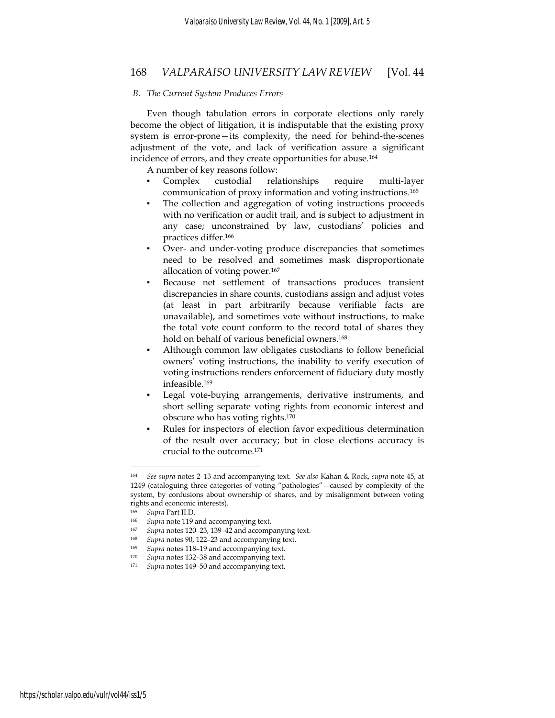#### *B. The Current System Produces Errors*

Even though tabulation errors in corporate elections only rarely become the object of litigation, it is indisputable that the existing proxy system is error-prone—its complexity, the need for behind-the-scenes adjustment of the vote, and lack of verification assure a significant incidence of errors, and they create opportunities for abuse.164

A number of key reasons follow:

- Complex custodial relationships require multi-layer communication of proxy information and voting instructions.165
- The collection and aggregation of voting instructions proceeds with no verification or audit trail, and is subject to adjustment in any case; unconstrained by law, custodians' policies and practices differ.166
- Over- and under-voting produce discrepancies that sometimes need to be resolved and sometimes mask disproportionate allocation of voting power.167
- Because net settlement of transactions produces transient discrepancies in share counts, custodians assign and adjust votes (at least in part arbitrarily because verifiable facts are unavailable), and sometimes vote without instructions, to make the total vote count conform to the record total of shares they hold on behalf of various beneficial owners.<sup>168</sup>
- Although common law obligates custodians to follow beneficial owners' voting instructions, the inability to verify execution of voting instructions renders enforcement of fiduciary duty mostly infeasible.169
- Legal vote-buying arrangements, derivative instruments, and short selling separate voting rights from economic interest and obscure who has voting rights.170
- Rules for inspectors of election favor expeditious determination of the result over accuracy; but in close elections accuracy is crucial to the outcome.171

<sup>164</sup> *See supra* notes 2–13 and accompanying text. *See also* Kahan & Rock, *supra* note 45, at 1249 (cataloguing three categories of voting "pathologies"—caused by complexity of the system, by confusions about ownership of shares, and by misalignment between voting rights and economic interests).

<sup>165</sup> *Supra* Part II.D.

<sup>&</sup>lt;sup>166</sup> Supra note 119 and accompanying text.<br><sup>167</sup> Supra notes 120, 23, 139, 42 and accomp

<sup>167</sup> *Supra* notes 120–23, 139–42 and accompanying text. 168 *Supra* notes 90, 122–23 and accompanying text. 169 *Supra* notes 118–19 and accompanying text.

<sup>170</sup> *Supra* notes 132–38 and accompanying text. 171 *Supra* notes 149–50 and accompanying text.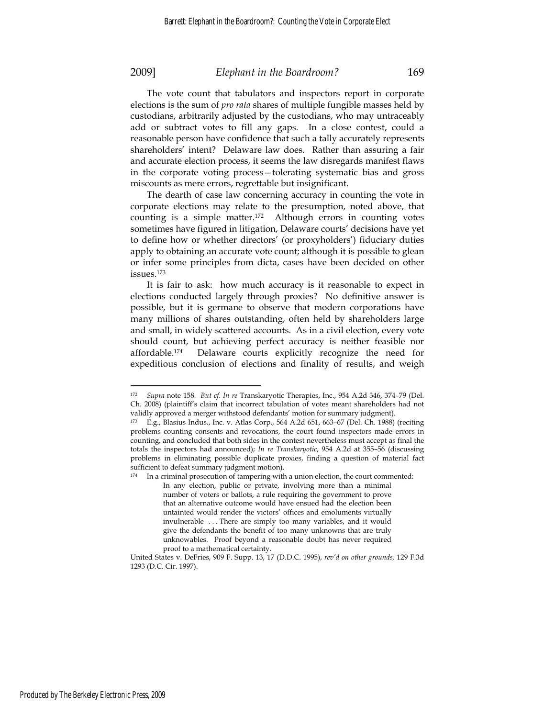#### 2009] *Elephant in the Boardroom?* 169

The vote count that tabulators and inspectors report in corporate elections is the sum of *pro rata* shares of multiple fungible masses held by custodians, arbitrarily adjusted by the custodians, who may untraceably add or subtract votes to fill any gaps. In a close contest, could a reasonable person have confidence that such a tally accurately represents shareholders' intent? Delaware law does. Rather than assuring a fair and accurate election process, it seems the law disregards manifest flaws in the corporate voting process—tolerating systematic bias and gross miscounts as mere errors, regrettable but insignificant.

The dearth of case law concerning accuracy in counting the vote in corporate elections may relate to the presumption, noted above, that counting is a simple matter.172 Although errors in counting votes sometimes have figured in litigation, Delaware courts' decisions have yet to define how or whether directors' (or proxyholders') fiduciary duties apply to obtaining an accurate vote count; although it is possible to glean or infer some principles from dicta, cases have been decided on other issues.173

It is fair to ask: how much accuracy is it reasonable to expect in elections conducted largely through proxies? No definitive answer is possible, but it is germane to observe that modern corporations have many millions of shares outstanding, often held by shareholders large and small, in widely scattered accounts. As in a civil election, every vote should count, but achieving perfect accuracy is neither feasible nor affordable.174 Delaware courts explicitly recognize the need for expeditious conclusion of elections and finality of results, and weigh

<sup>172</sup> *Supra* note 158. *But cf. In re* Transkaryotic Therapies, Inc., 954 A.2d 346, 374–79 (Del. Ch. 2008) (plaintiff's claim that incorrect tabulation of votes meant shareholders had not validly approved a merger withstood defendants' motion for summary judgment).

<sup>173</sup> E.g., Blasius Indus., Inc. v. Atlas Corp., 564 A.2d 651, 663–67 (Del. Ch. 1988) (reciting problems counting consents and revocations, the court found inspectors made errors in counting, and concluded that both sides in the contest nevertheless must accept as final the totals the inspectors had announced); *In re Transkaryotic*, 954 A.2d at 355–56 (discussing problems in eliminating possible duplicate proxies, finding a question of material fact sufficient to defeat summary judgment motion).

In a criminal prosecution of tampering with a union election, the court commented: In any election, public or private, involving more than a minimal number of voters or ballots, a rule requiring the government to prove that an alternative outcome would have ensued had the election been untainted would render the victors' offices and emoluments virtually invulnerable . . . There are simply too many variables, and it would give the defendants the benefit of too many unknowns that are truly unknowables. Proof beyond a reasonable doubt has never required proof to a mathematical certainty.

United States v. DeFries, 909 F. Supp. 13, 17 (D.D.C. 1995), *rev'd on other grounds,* 129 F.3d 1293 (D.C. Cir. 1997).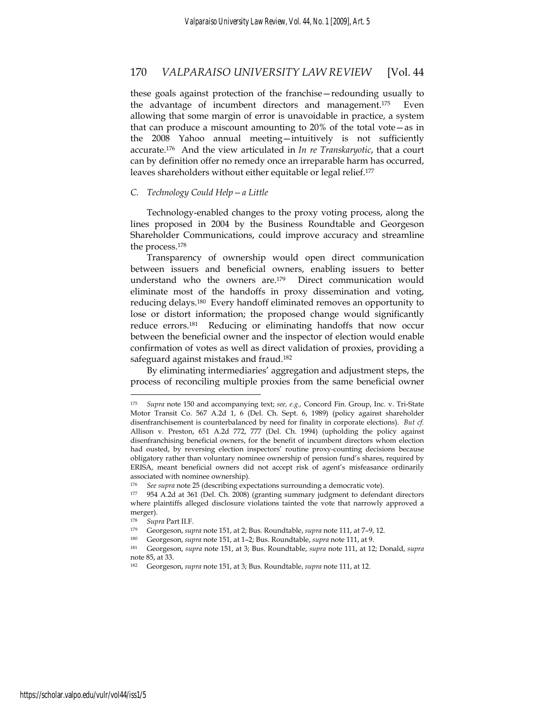these goals against protection of the franchise—redounding usually to the advantage of incumbent directors and management.175 Even allowing that some margin of error is unavoidable in practice, a system that can produce a miscount amounting to 20% of the total vote—as in the 2008 Yahoo annual meeting—intuitively is not sufficiently accurate.176 And the view articulated in *In re Transkaryotic*, that a court can by definition offer no remedy once an irreparable harm has occurred, leaves shareholders without either equitable or legal relief.177

#### *C. Technology Could Help—a Little*

Technology-enabled changes to the proxy voting process, along the lines proposed in 2004 by the Business Roundtable and Georgeson Shareholder Communications, could improve accuracy and streamline the process.178

Transparency of ownership would open direct communication between issuers and beneficial owners, enabling issuers to better understand who the owners are.179 Direct communication would eliminate most of the handoffs in proxy dissemination and voting, reducing delays.180 Every handoff eliminated removes an opportunity to lose or distort information; the proposed change would significantly reduce errors.181 Reducing or eliminating handoffs that now occur between the beneficial owner and the inspector of election would enable confirmation of votes as well as direct validation of proxies, providing a safeguard against mistakes and fraud.182

By eliminating intermediaries' aggregation and adjustment steps, the process of reconciling multiple proxies from the same beneficial owner

<sup>175</sup> *Supra* note 150 and accompanying text; *see, e.g.,* Concord Fin. Group, Inc. v. Tri-State Motor Transit Co. 567 A.2d 1, 6 (Del. Ch. Sept. 6, 1989) (policy against shareholder disenfranchisement is counterbalanced by need for finality in corporate elections). *But cf.* Allison v. Preston, 651 A.2d 772, 777 (Del. Ch. 1994) (upholding the policy against disenfranchising beneficial owners, for the benefit of incumbent directors whom election had ousted, by reversing election inspectors' routine proxy-counting decisions because obligatory rather than voluntary nominee ownership of pension fund's shares, required by ERISA, meant beneficial owners did not accept risk of agent's misfeasance ordinarily associated with nominee ownership).

<sup>176</sup> *See supra* note 25 (describing expectations surrounding a democratic vote). 177 954 A.2d at 361 (Del. Ch. 2008) (granting summary judgment to defendant directors where plaintiffs alleged disclosure violations tainted the vote that narrowly approved a merger).

<sup>178</sup> *Supra* Part II.F.

<sup>&</sup>lt;sup>179</sup> Georgeson, *supra* note 151, at 2; Bus. Roundtable, *supra* note 111, at 7–9, 12.<br><sup>180</sup> Georgeson, *supra* note 151, at 1–2; Bus. Roundtable, *supra* note 111, at 9.<br><sup>181</sup> Georgeson, *supra* note 151, at 3; Bus. Roun

note 85, at 33.

<sup>182</sup> Georgeson, *supra* note 151, at 3; Bus. Roundtable, *supra* note 111, at 12.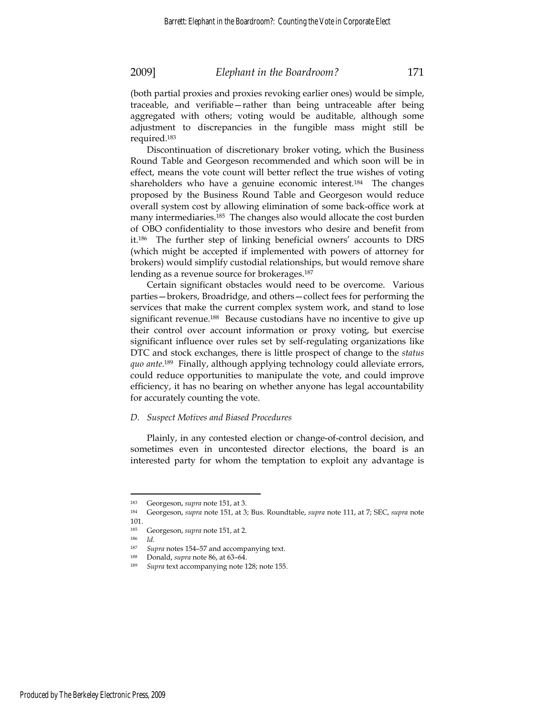(both partial proxies and proxies revoking earlier ones) would be simple, traceable, and verifiable—rather than being untraceable after being aggregated with others; voting would be auditable, although some adjustment to discrepancies in the fungible mass might still be required.183

Discontinuation of discretionary broker voting, which the Business Round Table and Georgeson recommended and which soon will be in effect, means the vote count will better reflect the true wishes of voting shareholders who have a genuine economic interest.<sup>184</sup> The changes proposed by the Business Round Table and Georgeson would reduce overall system cost by allowing elimination of some back-office work at many intermediaries.185 The changes also would allocate the cost burden of OBO confidentiality to those investors who desire and benefit from it.186 The further step of linking beneficial owners' accounts to DRS (which might be accepted if implemented with powers of attorney for brokers) would simplify custodial relationships, but would remove share lending as a revenue source for brokerages.187

Certain significant obstacles would need to be overcome. Various parties—brokers, Broadridge, and others—collect fees for performing the services that make the current complex system work, and stand to lose significant revenue.<sup>188</sup> Because custodians have no incentive to give up their control over account information or proxy voting, but exercise significant influence over rules set by self-regulating organizations like DTC and stock exchanges, there is little prospect of change to the *status quo ante*. 189 Finally, although applying technology could alleviate errors, could reduce opportunities to manipulate the vote, and could improve efficiency, it has no bearing on whether anyone has legal accountability for accurately counting the vote.

#### *D. Suspect Motives and Biased Procedures*

Plainly, in any contested election or change-of-control decision, and sometimes even in uncontested director elections, the board is an interested party for whom the temptation to exploit any advantage is

<sup>183</sup> Georgeson, *supra* note 151, at 3. 184 Georgeson, *supra* note 151, at 3; Bus. Roundtable, *supra* note 111, at 7; SEC, *supra* note 101.

<sup>185</sup> Georgeson, *supra* note 151, at 2. 186 *Id.*

<sup>187</sup> *Supra* notes 154–57 and accompanying text.

<sup>188</sup> Donald, *supra* note 86, at 63–64. 189 *Supra* text accompanying note 128; note 155.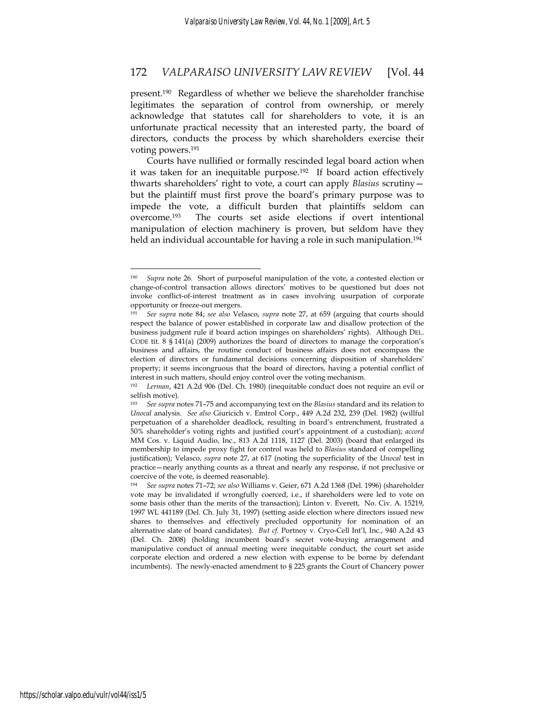present.190 Regardless of whether we believe the shareholder franchise legitimates the separation of control from ownership, or merely acknowledge that statutes call for shareholders to vote, it is an unfortunate practical necessity that an interested party, the board of directors, conducts the process by which shareholders exercise their voting powers.191

Courts have nullified or formally rescinded legal board action when it was taken for an inequitable purpose.192 If board action effectively thwarts shareholders' right to vote, a court can apply *Blasius* scrutiny but the plaintiff must first prove the board's primary purpose was to impede the vote, a difficult burden that plaintiffs seldom can overcome.193 The courts set aside elections if overt intentional manipulation of election machinery is proven, but seldom have they held an individual accountable for having a role in such manipulation.<sup>194</sup>

<sup>190</sup> *Supra* note 26. Short of purposeful manipulation of the vote, a contested election or change-of-control transaction allows directors' motives to be questioned but does not invoke conflict-of-interest treatment as in cases involving usurpation of corporate opportunity or freeze-out mergers.

<sup>191</sup> *See supra* note 84; *see also* Velasco, *supra* note 27, at 659 (arguing that courts should respect the balance of power established in corporate law and disallow protection of the business judgment rule if board action impinges on shareholders' rights). Although DEL. CODE tit. 8 § 141(a) (2009) authorizes the board of directors to manage the corporation's business and affairs, the routine conduct of business affairs does not encompass the election of directors or fundamental decisions concerning disposition of shareholders' property; it seems incongruous that the board of directors, having a potential conflict of interest in such matters, should enjoy control over the voting mechanism.

<sup>192</sup> *Lerman*, 421 A.2d 906 (Del. Ch. 1980) (inequitable conduct does not require an evil or selfish motive).

<sup>193</sup> *See supra* notes 71–75 and accompanying text on the *Blasius* standard and its relation to *Unocal* analysis. *See also* Giuricich v. Emtrol Corp., 449 A.2d 232, 239 (Del. 1982) (willful perpetuation of a shareholder deadlock, resulting in board's entrenchment, frustrated a 50% shareholder's voting rights and justified court's appointment of a custodian); *accord* MM Cos. v. Liquid Audio, Inc., 813 A.2d 1118, 1127 (Del. 2003) (board that enlarged its membership to impede proxy fight for control was held to *Blasius* standard of compelling justification); Velasco, *supra* note 27, at 617 (noting the superficiality of the *Unocal* test in practice—nearly anything counts as a threat and nearly any response, if not preclusive or coercive of the vote, is deemed reasonable).

<sup>194</sup> *See supra* notes 71–72; *see also* Williams v. Geier, 671 A.2d 1368 (Del. 1996) (shareholder vote may be invalidated if wrongfully coerced, i.e., if shareholders were led to vote on some basis other than the merits of the transaction); Linton v. Everett, No. Civ. A. 15219, 1997 WL 441189 (Del. Ch. July 31, 1997) (setting aside election where directors issued new shares to themselves and effectively precluded opportunity for nomination of an alternative slate of board candidates). *But cf.* Portnoy v. Cryo-Cell Int'l, Inc*.*, 940 A.2d 43 (Del. Ch. 2008) (holding incumbent board's secret vote-buying arrangement and manipulative conduct of annual meeting were inequitable conduct, the court set aside corporate election and ordered a new election with expense to be borne by defendant incumbents). The newly-enacted amendment to § 225 grants the Court of Chancery power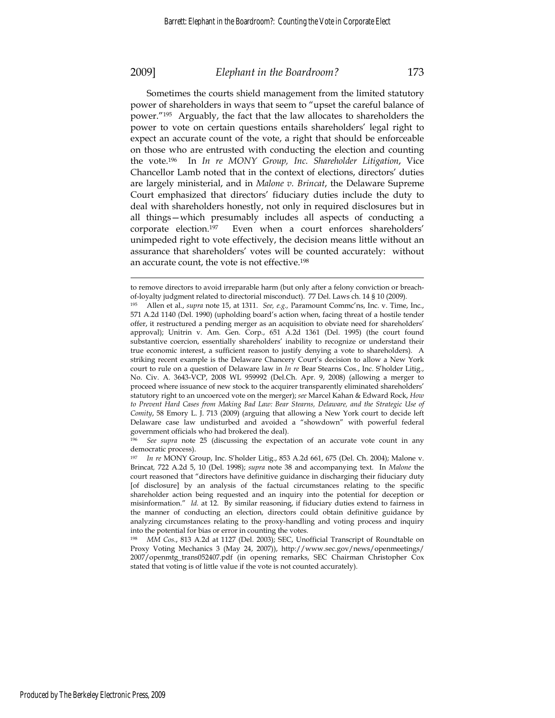#### 2009] *Elephant in the Boardroom?* 173

Sometimes the courts shield management from the limited statutory power of shareholders in ways that seem to "upset the careful balance of power."195 Arguably, the fact that the law allocates to shareholders the power to vote on certain questions entails shareholders' legal right to expect an accurate count of the vote, a right that should be enforceable on those who are entrusted with conducting the election and counting the vote.196 In *In re MONY Group, Inc. Shareholder Litigation*, Vice Chancellor Lamb noted that in the context of elections, directors' duties are largely ministerial, and in *Malone v. Brincat*, the Delaware Supreme Court emphasized that directors' fiduciary duties include the duty to deal with shareholders honestly, not only in required disclosures but in all things—which presumably includes all aspects of conducting a corporate election.197 Even when a court enforces shareholders' unimpeded right to vote effectively, the decision means little without an assurance that shareholders' votes will be counted accurately: without an accurate count, the vote is not effective.198

to remove directors to avoid irreparable harm (but only after a felony conviction or breachof-loyalty judgment related to directorial misconduct). 77 Del. Laws ch. 14 § 10 (2009).

<sup>195</sup> Allen et al., *supra* note 15, at 1311. *See, e.g.,* Paramount Commc'ns, Inc. v. Time, Inc*.*, 571 A.2d 1140 (Del. 1990) (upholding board's action when, facing threat of a hostile tender offer, it restructured a pending merger as an acquisition to obviate need for shareholders' approval); Unitrin v. Am. Gen. Corp*.*, 651 A.2d 1361 (Del. 1995) (the court found substantive coercion, essentially shareholders' inability to recognize or understand their true economic interest, a sufficient reason to justify denying a vote to shareholders). A striking recent example is the Delaware Chancery Court's decision to allow a New York court to rule on a question of Delaware law in *In re* Bear Stearns Cos., Inc. S'holder Litig., No. Civ. A. 3643-VCP, 2008 WL 959992 (Del.Ch. Apr. 9, 2008) (allowing a merger to proceed where issuance of new stock to the acquirer transparently eliminated shareholders' statutory right to an uncoerced vote on the merger); *see* Marcel Kahan & Edward Rock, *How to Prevent Hard Cases from Making Bad Law: Bear Stearns, Delaware, and the Strategic Use of Comity*, 58 Emory L. J. 713 (2009) (arguing that allowing a New York court to decide left Delaware case law undisturbed and avoided a "showdown" with powerful federal government officials who had brokered the deal).

<sup>196</sup> *See supra* note 25 (discussing the expectation of an accurate vote count in any democratic process).

<sup>197</sup> *In re* MONY Group, Inc. S'holder Litig., 853 A.2d 661, 675 (Del. Ch. 2004); Malone v. Brincat*,* 722 A.2d 5, 10 (Del. 1998); *supra* note 38 and accompanying text. In *Malone* the court reasoned that "directors have definitive guidance in discharging their fiduciary duty [of disclosure] by an analysis of the factual circumstances relating to the specific shareholder action being requested and an inquiry into the potential for deception or misinformation." *Id.* at 12. By similar reasoning, if fiduciary duties extend to fairness in the manner of conducting an election, directors could obtain definitive guidance by analyzing circumstances relating to the proxy-handling and voting process and inquiry into the potential for bias or error in counting the votes.

<sup>198</sup> *MM Cos.*, 813 A.2d at 1127 (Del. 2003); SEC, Unofficial Transcript of Roundtable on Proxy Voting Mechanics 3 (May 24, 2007)), http://www.sec.gov/news/openmeetings/ 2007/openmtg\_trans052407.pdf (in opening remarks, SEC Chairman Christopher Cox stated that voting is of little value if the vote is not counted accurately).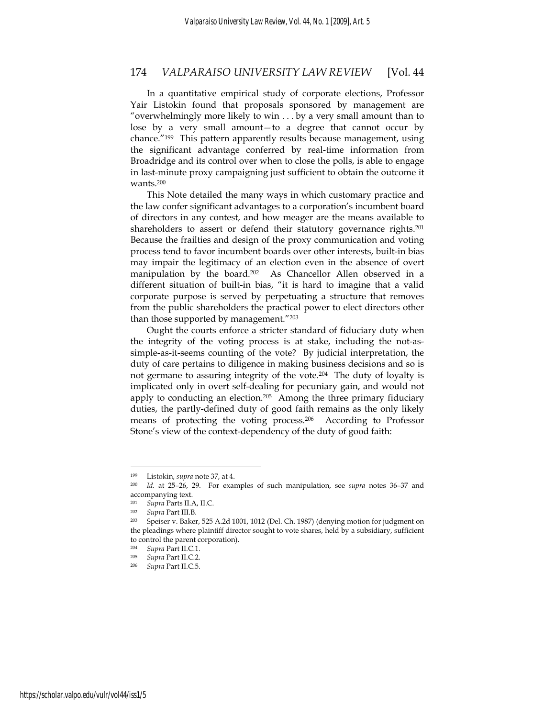In a quantitative empirical study of corporate elections, Professor Yair Listokin found that proposals sponsored by management are "overwhelmingly more likely to win . . . by a very small amount than to lose by a very small amount—to a degree that cannot occur by chance."199 This pattern apparently results because management, using the significant advantage conferred by real-time information from Broadridge and its control over when to close the polls, is able to engage in last-minute proxy campaigning just sufficient to obtain the outcome it wants.200

This Note detailed the many ways in which customary practice and the law confer significant advantages to a corporation's incumbent board of directors in any contest, and how meager are the means available to shareholders to assert or defend their statutory governance rights.201 Because the frailties and design of the proxy communication and voting process tend to favor incumbent boards over other interests, built-in bias may impair the legitimacy of an election even in the absence of overt manipulation by the board.202 As Chancellor Allen observed in a different situation of built-in bias, "it is hard to imagine that a valid corporate purpose is served by perpetuating a structure that removes from the public shareholders the practical power to elect directors other than those supported by management."<sup>203</sup>

Ought the courts enforce a stricter standard of fiduciary duty when the integrity of the voting process is at stake, including the not-assimple-as-it-seems counting of the vote? By judicial interpretation, the duty of care pertains to diligence in making business decisions and so is not germane to assuring integrity of the vote.204 The duty of loyalty is implicated only in overt self-dealing for pecuniary gain, and would not apply to conducting an election.205 Among the three primary fiduciary duties, the partly-defined duty of good faith remains as the only likely means of protecting the voting process.206 According to Professor Stone's view of the context-dependency of the duty of good faith:

<sup>199</sup> Listokin, *supra* note 37, at 4.

<sup>200</sup> *Id*. at 25–26, 29. For examples of such manipulation, see *supra* notes 36–37 and accompanying text.<br> $201 \quad \text{Surra Parts II}$ 

<sup>201</sup> *Supra* Parts II.A, II.C. 202 *Supra* Part III.B.

<sup>203</sup> Speiser v. Baker, 525 A.2d 1001, 1012 (Del. Ch. 1987) (denying motion for judgment on the pleadings where plaintiff director sought to vote shares, held by a subsidiary, sufficient to control the parent corporation).

<sup>204</sup> *Supra* Part II.C.1.

<sup>205</sup> *Supra* Part II.C.2. 206 *Supra* Part II.C.5.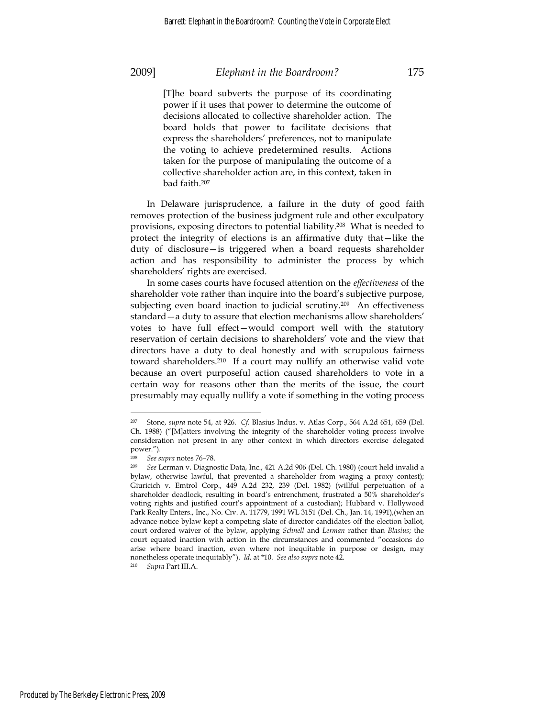#### 2009] *Elephant in the Boardroom?* 175

[T]he board subverts the purpose of its coordinating power if it uses that power to determine the outcome of decisions allocated to collective shareholder action. The board holds that power to facilitate decisions that express the shareholders' preferences, not to manipulate the voting to achieve predetermined results. Actions taken for the purpose of manipulating the outcome of a collective shareholder action are, in this context, taken in bad faith.207

In Delaware jurisprudence, a failure in the duty of good faith removes protection of the business judgment rule and other exculpatory provisions, exposing directors to potential liability.208 What is needed to protect the integrity of elections is an affirmative duty that—like the duty of disclosure—is triggered when a board requests shareholder action and has responsibility to administer the process by which shareholders' rights are exercised.

In some cases courts have focused attention on the *effectiveness* of the shareholder vote rather than inquire into the board's subjective purpose, subjecting even board inaction to judicial scrutiny.<sup>209</sup> An effectiveness standard—a duty to assure that election mechanisms allow shareholders' votes to have full effect—would comport well with the statutory reservation of certain decisions to shareholders' vote and the view that directors have a duty to deal honestly and with scrupulous fairness toward shareholders.210 If a court may nullify an otherwise valid vote because an overt purposeful action caused shareholders to vote in a certain way for reasons other than the merits of the issue, the court presumably may equally nullify a vote if something in the voting process

<sup>207</sup> Stone, *supra* note 54, at 926. *Cf*. Blasius Indus. v. Atlas Corp., 564 A.2d 651, 659 (Del. Ch. 1988) ("[M]atters involving the integrity of the shareholder voting process involve consideration not present in any other context in which directors exercise delegated power.").

See supra notes 76-78.

<sup>209</sup> *See* Lerman v. Diagnostic Data, Inc., 421 A.2d 906 (Del. Ch. 1980) (court held invalid a bylaw, otherwise lawful, that prevented a shareholder from waging a proxy contest); Giuricich v. Emtrol Corp., 449 A.2d 232, 239 (Del. 1982) (willful perpetuation of a shareholder deadlock, resulting in board's entrenchment, frustrated a 50% shareholder's voting rights and justified court's appointment of a custodian); Hubbard v. Hollywood Park Realty Enters., Inc., No. Civ. A. 11779, 1991 WL 3151 (Del. Ch., Jan. 14, 1991),(when an advance-notice bylaw kept a competing slate of director candidates off the election ballot, court ordered waiver of the bylaw, applying *Schnell* and *Lerman* rather than *Blasius*; the court equated inaction with action in the circumstances and commented "occasions do arise where board inaction, even where not inequitable in purpose or design, may nonetheless operate inequitably"). *Id.* at \*10. *See also supra* note 42. 210 *Supra* Part III.A.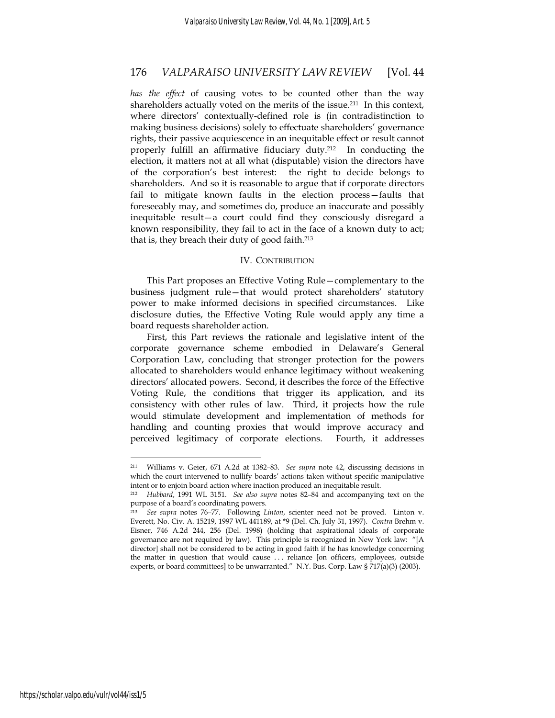*has the effect* of causing votes to be counted other than the way shareholders actually voted on the merits of the issue.211 In this context, where directors' contextually-defined role is (in contradistinction to making business decisions) solely to effectuate shareholders' governance rights, their passive acquiescence in an inequitable effect or result cannot properly fulfill an affirmative fiduciary duty.212 In conducting the election, it matters not at all what (disputable) vision the directors have of the corporation's best interest: the right to decide belongs to shareholders. And so it is reasonable to argue that if corporate directors fail to mitigate known faults in the election process—faults that foreseeably may, and sometimes do, produce an inaccurate and possibly inequitable result—a court could find they consciously disregard a known responsibility, they fail to act in the face of a known duty to act; that is, they breach their duty of good faith.<sup>213</sup>

#### IV. CONTRIBUTION

This Part proposes an Effective Voting Rule—complementary to the business judgment rule—that would protect shareholders' statutory power to make informed decisions in specified circumstances. Like disclosure duties, the Effective Voting Rule would apply any time a board requests shareholder action.

First, this Part reviews the rationale and legislative intent of the corporate governance scheme embodied in Delaware's General Corporation Law, concluding that stronger protection for the powers allocated to shareholders would enhance legitimacy without weakening directors' allocated powers. Second, it describes the force of the Effective Voting Rule, the conditions that trigger its application, and its consistency with other rules of law. Third, it projects how the rule would stimulate development and implementation of methods for handling and counting proxies that would improve accuracy and perceived legitimacy of corporate elections. Fourth, it addresses

<sup>211</sup> Williams v. Geier, 671 A.2d at 1382–83. *See supra* note 42, discussing decisions in which the court intervened to nullify boards' actions taken without specific manipulative intent or to enjoin board action where inaction produced an inequitable result.

<sup>212</sup> *Hubbard*, 1991 WL 3151. *See also supra* notes 82–84 and accompanying text on the purpose of a board's coordinating powers.

<sup>213</sup> *See supra* notes 76–77. Following *Linton*, scienter need not be proved. Linton v. Everett, No. Civ. A. 15219, 1997 WL 441189, at \*9 (Del. Ch. July 31, 1997). *Contra* Brehm v. Eisner, 746 A.2d 244, 256 (Del. 1998) (holding that aspirational ideals of corporate governance are not required by law). This principle is recognized in New York law: "[A director] shall not be considered to be acting in good faith if he has knowledge concerning the matter in question that would cause . . . reliance [on officers, employees, outside experts, or board committees] to be unwarranted." N.Y. Bus. Corp. Law § 717(a)(3) (2003).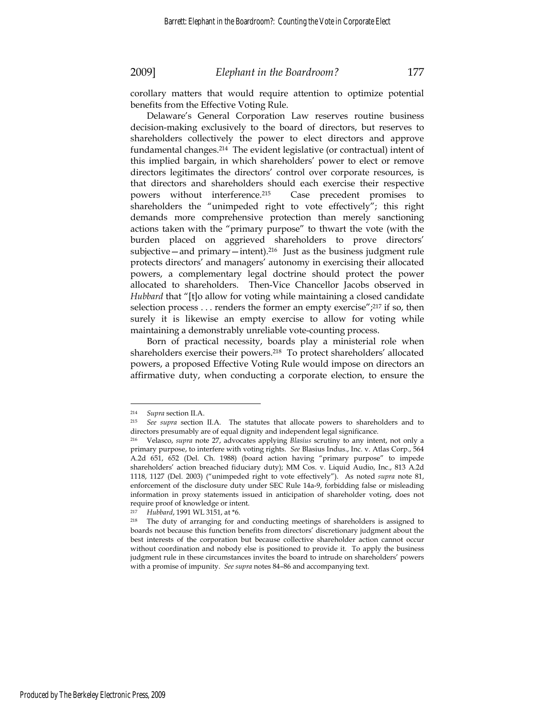#### 2009] *Elephant in the Boardroom?* 177

corollary matters that would require attention to optimize potential benefits from the Effective Voting Rule.

Delaware's General Corporation Law reserves routine business decision-making exclusively to the board of directors, but reserves to shareholders collectively the power to elect directors and approve fundamental changes.214 The evident legislative (or contractual) intent of this implied bargain, in which shareholders' power to elect or remove directors legitimates the directors' control over corporate resources, is that directors and shareholders should each exercise their respective powers without interference.215 Case precedent promises to shareholders the "unimpeded right to vote effectively"; this right demands more comprehensive protection than merely sanctioning actions taken with the "primary purpose" to thwart the vote (with the burden placed on aggrieved shareholders to prove directors' subjective—and primary—intent).<sup>216</sup> Just as the business judgment rule protects directors' and managers' autonomy in exercising their allocated powers, a complementary legal doctrine should protect the power allocated to shareholders. Then-Vice Chancellor Jacobs observed in *Hubbard* that "[t]o allow for voting while maintaining a closed candidate selection process . . . renders the former an empty exercise";<sup>217</sup> if so, then surely it is likewise an empty exercise to allow for voting while maintaining a demonstrably unreliable vote-counting process.

Born of practical necessity, boards play a ministerial role when shareholders exercise their powers.218 To protect shareholders' allocated powers, a proposed Effective Voting Rule would impose on directors an affirmative duty, when conducting a corporate election, to ensure the

<sup>214</sup> *Supra* section II.A. 215 *See supra* section II.A. The statutes that allocate powers to shareholders and to directors presumably are of equal dignity and independent legal significance.

<sup>216</sup> Velasco, *supra* note 27, advocates applying *Blasius* scrutiny to any intent, not only a primary purpose, to interfere with voting rights. *See* Blasius Indus., Inc. v. Atlas Corp., 564 A.2d 651, 652 (Del. Ch. 1988) (board action having "primary purpose" to impede shareholders' action breached fiduciary duty); MM Cos. v. Liquid Audio, Inc., 813 A.2d 1118, 1127 (Del. 2003) ("unimpeded right to vote effectively"). As noted *supra* note 81, enforcement of the disclosure duty under SEC Rule 14a-9, forbidding false or misleading information in proxy statements issued in anticipation of shareholder voting, does not require proof of knowledge or intent.

<sup>217</sup> *Hubbard*, 1991 WL 3151, at \*6.

<sup>218</sup> The duty of arranging for and conducting meetings of shareholders is assigned to boards not because this function benefits from directors' discretionary judgment about the best interests of the corporation but because collective shareholder action cannot occur without coordination and nobody else is positioned to provide it. To apply the business judgment rule in these circumstances invites the board to intrude on shareholders' powers with a promise of impunity. *See supra* notes 84–86 and accompanying text.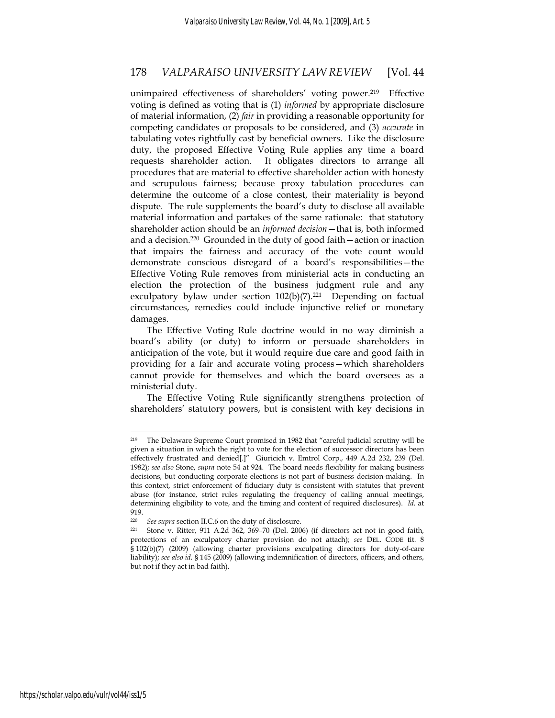unimpaired effectiveness of shareholders' voting power.<sup>219</sup> Effective voting is defined as voting that is (1) *informed* by appropriate disclosure of material information, (2) *fair* in providing a reasonable opportunity for competing candidates or proposals to be considered, and (3) *accurate* in tabulating votes rightfully cast by beneficial owners. Like the disclosure duty, the proposed Effective Voting Rule applies any time a board requests shareholder action. It obligates directors to arrange all procedures that are material to effective shareholder action with honesty and scrupulous fairness; because proxy tabulation procedures can determine the outcome of a close contest, their materiality is beyond dispute. The rule supplements the board's duty to disclose all available material information and partakes of the same rationale: that statutory shareholder action should be an *informed decision*—that is, both informed and a decision.220 Grounded in the duty of good faith—action or inaction that impairs the fairness and accuracy of the vote count would demonstrate conscious disregard of a board's responsibilities—the Effective Voting Rule removes from ministerial acts in conducting an election the protection of the business judgment rule and any exculpatory bylaw under section  $102(b)(7)$ .<sup>221</sup> Depending on factual circumstances, remedies could include injunctive relief or monetary damages.

The Effective Voting Rule doctrine would in no way diminish a board's ability (or duty) to inform or persuade shareholders in anticipation of the vote, but it would require due care and good faith in providing for a fair and accurate voting process—which shareholders cannot provide for themselves and which the board oversees as a ministerial duty.

The Effective Voting Rule significantly strengthens protection of shareholders' statutory powers, but is consistent with key decisions in

<sup>&</sup>lt;sup>219</sup> The Delaware Supreme Court promised in 1982 that "careful judicial scrutiny will be given a situation in which the right to vote for the election of successor directors has been effectively frustrated and denied[.]" Giuricich v. Emtrol Corp., 449 A.2d 232, 239 (Del. 1982); *see also* Stone, *supra* note 54 at 924. The board needs flexibility for making business decisions, but conducting corporate elections is not part of business decision-making. In this context, strict enforcement of fiduciary duty is consistent with statutes that prevent abuse (for instance, strict rules regulating the frequency of calling annual meetings, determining eligibility to vote, and the timing and content of required disclosures). *Id.* at 919.

<sup>&</sup>lt;sup>220</sup> See supra section II.C.6 on the duty of disclosure.<br><sup>221</sup> Stone v. Ritter, 911, A 2d 362, 369-70 (Del. 200

<sup>221</sup> Stone v. Ritter, 911 A.2d 362, 369–70 (Del. 2006) (if directors act not in good faith, protections of an exculpatory charter provision do not attach); *see* DEL. CODE tit. 8 § 102(b)(7) (2009) (allowing charter provisions exculpating directors for duty-of-care liability); *see also id.* § 145 (2009) (allowing indemnification of directors, officers, and others, but not if they act in bad faith).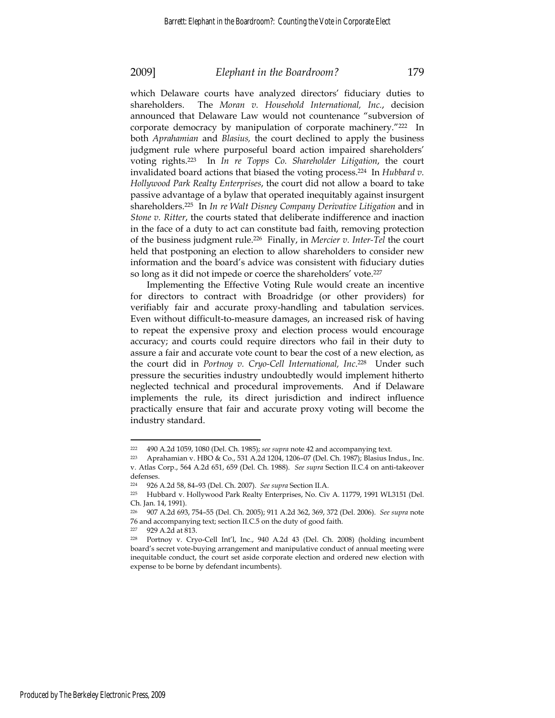#### 2009] *Elephant in the Boardroom?* 179

which Delaware courts have analyzed directors' fiduciary duties to shareholders. The *Moran v. Household International, Inc.*, decision announced that Delaware Law would not countenance "subversion of corporate democracy by manipulation of corporate machinery."222 In both *Aprahamian* and *Blasius,* the court declined to apply the business judgment rule where purposeful board action impaired shareholders' voting rights.223 In *In re Topps Co. Shareholder Litigation*, the court invalidated board actions that biased the voting process.224 In *Hubbard v. Hollywood Park Realty Enterprises*, the court did not allow a board to take passive advantage of a bylaw that operated inequitably against insurgent shareholders.225 In *In re Walt Disney Company Derivative Litigation* and in *Stone v. Ritter*, the courts stated that deliberate indifference and inaction in the face of a duty to act can constitute bad faith, removing protection of the business judgment rule.226 Finally, in *Mercier v. Inter-Tel* the court held that postponing an election to allow shareholders to consider new information and the board's advice was consistent with fiduciary duties so long as it did not impede or coerce the shareholders' vote.227

Implementing the Effective Voting Rule would create an incentive for directors to contract with Broadridge (or other providers) for verifiably fair and accurate proxy-handling and tabulation services. Even without difficult-to-measure damages, an increased risk of having to repeat the expensive proxy and election process would encourage accuracy; and courts could require directors who fail in their duty to assure a fair and accurate vote count to bear the cost of a new election, as the court did in *Portnoy v. Cryo-Cell International, Inc*. 228 Under such pressure the securities industry undoubtedly would implement hitherto neglected technical and procedural improvements. And if Delaware implements the rule, its direct jurisdiction and indirect influence practically ensure that fair and accurate proxy voting will become the industry standard.

<sup>222 490</sup> A.2d 1059, 1080 (Del. Ch. 1985); *see supra* note 42 and accompanying text. 223 Aprahamian v. HBO & Co., 531 A.2d 1204, 1206–07 (Del. Ch. 1987); Blasius Indus., Inc. v. Atlas Corp., 564 A.2d 651, 659 (Del. Ch. 1988). *See supra* Section II.C.4 on anti-takeover defenses.

<sup>224</sup> 926 A.2d 58, 84–93 (Del. Ch. 2007). *See supra* Section II.A. 225 Hubbard v. Hollywood Park Realty Enterprises, No. Civ A. 11779, 1991 WL3151 (Del. Ch. Jan. 14, 1991).

<sup>226</sup> 907 A.2d 693, 754–55 (Del. Ch. 2005); 911 A.2d 362, 369, 372 (Del. 2006). *See supra* note 76 and accompanying text; section II.C.5 on the duty of good faith.

 $^{227}$  929 A.2d at 813.<br> $^{228}$  Portnov v Cry

<sup>228</sup> Portnoy v. Cryo-Cell Int'l, Inc., 940 A.2d 43 (Del. Ch. 2008) (holding incumbent board's secret vote-buying arrangement and manipulative conduct of annual meeting were inequitable conduct, the court set aside corporate election and ordered new election with expense to be borne by defendant incumbents).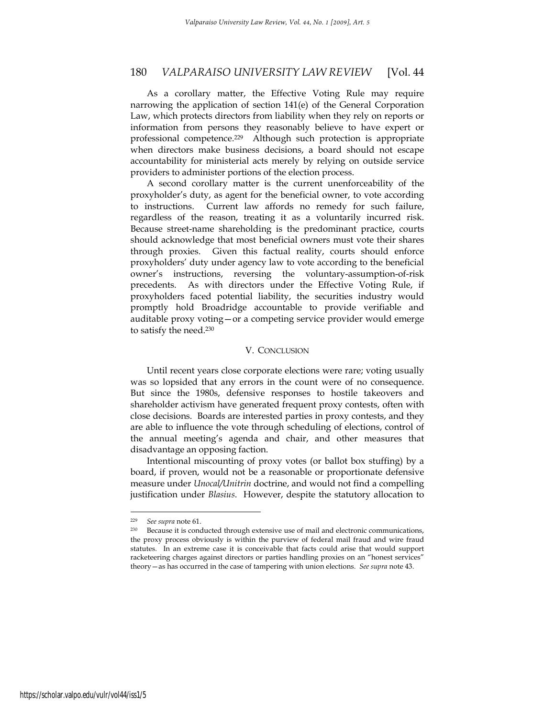As a corollary matter, the Effective Voting Rule may require narrowing the application of section 141(e) of the General Corporation Law, which protects directors from liability when they rely on reports or information from persons they reasonably believe to have expert or professional competence.229 Although such protection is appropriate when directors make business decisions, a board should not escape accountability for ministerial acts merely by relying on outside service providers to administer portions of the election process.

A second corollary matter is the current unenforceability of the proxyholder's duty, as agent for the beneficial owner, to vote according to instructions. Current law affords no remedy for such failure, regardless of the reason, treating it as a voluntarily incurred risk. Because street-name shareholding is the predominant practice, courts should acknowledge that most beneficial owners must vote their shares through proxies. Given this factual reality, courts should enforce proxyholders' duty under agency law to vote according to the beneficial owner's instructions, reversing the voluntary-assumption-of-risk precedents. As with directors under the Effective Voting Rule, if proxyholders faced potential liability, the securities industry would promptly hold Broadridge accountable to provide verifiable and auditable proxy voting—or a competing service provider would emerge to satisfy the need.230

#### V. CONCLUSION

Until recent years close corporate elections were rare; voting usually was so lopsided that any errors in the count were of no consequence. But since the 1980s, defensive responses to hostile takeovers and shareholder activism have generated frequent proxy contests, often with close decisions. Boards are interested parties in proxy contests, and they are able to influence the vote through scheduling of elections, control of the annual meeting's agenda and chair, and other measures that disadvantage an opposing faction.

Intentional miscounting of proxy votes (or ballot box stuffing) by a board, if proven, would not be a reasonable or proportionate defensive measure under *Unocal/Unitrin* doctrine, and would not find a compelling justification under *Blasius*. However, despite the statutory allocation to

<sup>229</sup> *See supra* note 61.

Because it is conducted through extensive use of mail and electronic communications, the proxy process obviously is within the purview of federal mail fraud and wire fraud statutes. In an extreme case it is conceivable that facts could arise that would support racketeering charges against directors or parties handling proxies on an "honest services" theory—as has occurred in the case of tampering with union elections. *See supra* note 43.